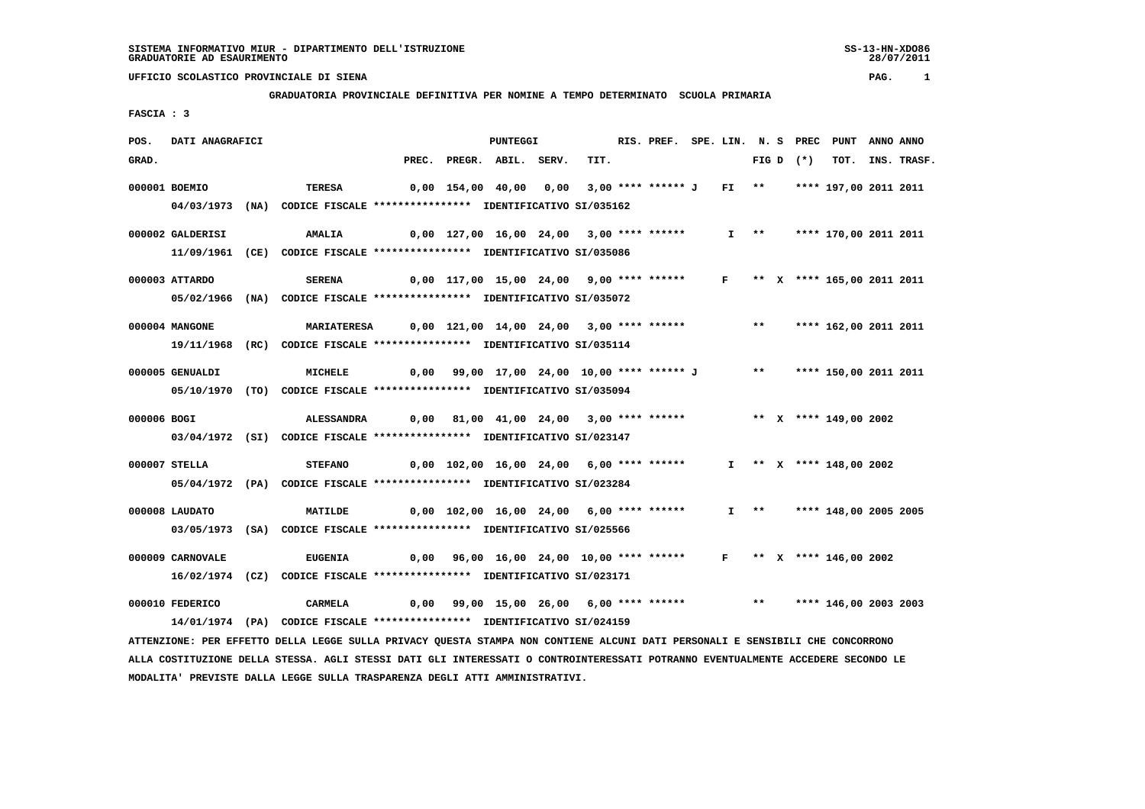# **GRADUATORIA PROVINCIALE DEFINITIVA PER NOMINE A TEMPO DETERMINATO SCUOLA PRIMARIA**

 **FASCIA : 3**

| POS.        | DATI ANAGRAFICI  |                                                                                                                               |       | <b>PUNTEGGI</b>                                                         |      | RIS. PREF. SPE. LIN. N. S PREC PUNT ANNO ANNO |  |  |            |                            |             |
|-------------|------------------|-------------------------------------------------------------------------------------------------------------------------------|-------|-------------------------------------------------------------------------|------|-----------------------------------------------|--|--|------------|----------------------------|-------------|
| GRAD.       |                  |                                                                                                                               | PREC. | PREGR. ABIL. SERV.                                                      | TIT. |                                               |  |  | $FIGD (*)$ | тот.                       | INS. TRASF. |
|             | 000001 BOEMIO    | TERESA                                                                                                                        |       | 0,00 154,00 40,00 0,00 3,00 **** ****** J FI ** **** 197,00 2011 2011   |      |                                               |  |  |            |                            |             |
|             |                  | 04/03/1973 (NA) CODICE FISCALE *************** IDENTIFICATIVO SI/035162                                                       |       |                                                                         |      |                                               |  |  |            |                            |             |
|             | 000002 GALDERISI | <b>AMALIA</b>                                                                                                                 |       | 0,00 127,00 16,00 24,00 3,00 **** ******                                |      |                                               |  |  |            | I ** **** 170,00 2011 2011 |             |
|             |                  | 11/09/1961 (CE) CODICE FISCALE *************** IDENTIFICATIVO SI/035086                                                       |       |                                                                         |      |                                               |  |  |            |                            |             |
|             |                  |                                                                                                                               |       |                                                                         |      |                                               |  |  |            |                            |             |
|             | 000003 ATTARDO   | <b>SERENA</b>                                                                                                                 |       | $0,00$ 117,00 15,00 24,00 9,00 **** ****** F ** X **** 165,00 2011 2011 |      |                                               |  |  |            |                            |             |
|             |                  | 05/02/1966 (NA) CODICE FISCALE *************** IDENTIFICATIVO SI/035072                                                       |       |                                                                         |      |                                               |  |  |            |                            |             |
|             | 000004 MANGONE   | MARIATERESA 0,00 121,00 14,00 24,00 3,00 **** ****** **** **** 162,00 2011 2011                                               |       |                                                                         |      |                                               |  |  |            |                            |             |
|             |                  | 19/11/1968 (RC) CODICE FISCALE *************** IDENTIFICATIVO SI/035114                                                       |       |                                                                         |      |                                               |  |  |            |                            |             |
|             | 000005 GENUALDI  | <b>MICHELE</b>                                                                                                                |       | 0,00 99,00 17,00 24,00 10,00 **** ****** J ** **** 150,00 2011 2011     |      |                                               |  |  |            |                            |             |
|             |                  |                                                                                                                               |       |                                                                         |      |                                               |  |  |            |                            |             |
|             |                  | 05/10/1970 (TO) CODICE FISCALE *************** IDENTIFICATIVO SI/035094                                                       |       |                                                                         |      |                                               |  |  |            |                            |             |
| 000006 BOGI |                  | <b>ALESSANDRA</b>                                                                                                             |       | 0,00 81,00 41,00 24,00 3,00 **** ******                                 |      |                                               |  |  |            | ** X **** 149,00 2002      |             |
|             |                  | 03/04/1972 (SI) CODICE FISCALE *************** IDENTIFICATIVO SI/023147                                                       |       |                                                                         |      |                                               |  |  |            |                            |             |
|             | 000007 STELLA    | <b>STEFANO</b>                                                                                                                |       | 0,00 102,00 16,00 24,00 6,00 **** ******                                |      |                                               |  |  |            | $I$ ** X **** 148,00 2002  |             |
|             |                  | 05/04/1972 (PA) CODICE FISCALE *************** IDENTIFICATIVO SI/023284                                                       |       |                                                                         |      |                                               |  |  |            |                            |             |
|             |                  |                                                                                                                               |       |                                                                         |      |                                               |  |  |            |                            |             |
|             | 000008 LAUDATO   | <b>MATILDE</b>                                                                                                                |       | 0,00 102,00 16,00 24,00 6,00 **** ******                                |      |                                               |  |  |            | I ** **** 148,00 2005 2005 |             |
|             |                  | 03/05/1973 (SA) CODICE FISCALE *************** IDENTIFICATIVO SI/025566                                                       |       |                                                                         |      |                                               |  |  |            |                            |             |
|             | 000009 CARNOVALE | <b>EUGENIA</b>                                                                                                                |       | $0,00$ 96,00 16,00 24,00 10,00 **** ****** F ** X **** 146,00 2002      |      |                                               |  |  |            |                            |             |
|             |                  | 16/02/1974 (CZ) CODICE FISCALE *************** IDENTIFICATIVO SI/023171                                                       |       |                                                                         |      |                                               |  |  |            |                            |             |
|             |                  |                                                                                                                               |       |                                                                         |      |                                               |  |  |            |                            |             |
|             | 000010 FEDERICO  | <b>CARMELA</b>                                                                                                                |       | 0,00 99,00 15,00 26,00 6,00 **** ****** *** **** 146,00 2003 2003       |      |                                               |  |  |            |                            |             |
|             |                  | 14/01/1974 (PA) CODICE FISCALE *************** IDENTIFICATIVO SI/024159                                                       |       |                                                                         |      |                                               |  |  |            |                            |             |
|             |                  | ATTENZIONE: PER EFFETTO DELLA LEGGE SULLA PRIVACY QUESTA STAMPA NON CONTIENE ALCUNI DATI PERSONALI E SENSIBILI CHE CONCORRONO |       |                                                                         |      |                                               |  |  |            |                            |             |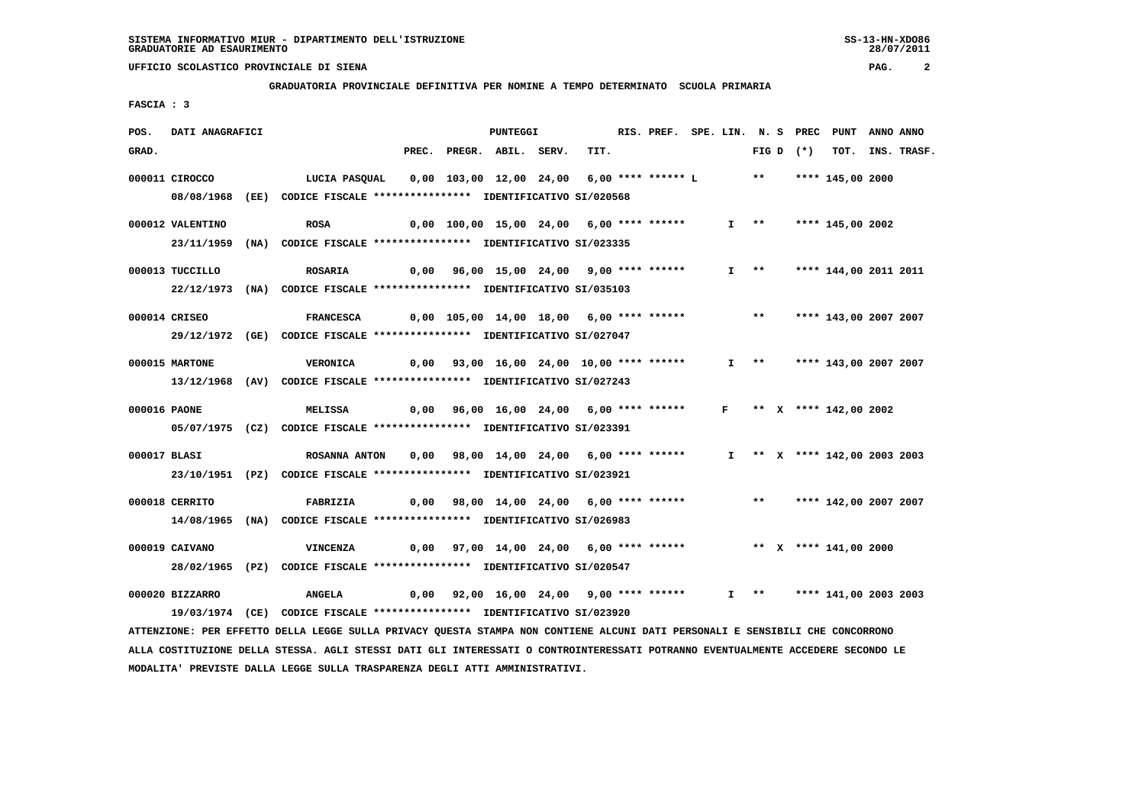**GRADUATORIA PROVINCIALE DEFINITIVA PER NOMINE A TEMPO DETERMINATO SCUOLA PRIMARIA**

 **FASCIA : 3**

| POS.  | DATI ANAGRAFICI  |                                                                          |  | <b>PUNTEGGI</b>                                                        |      | RIS. PREF. SPE. LIN. N. S PREC PUNT |  |                       |                              | ANNO ANNO |             |
|-------|------------------|--------------------------------------------------------------------------|--|------------------------------------------------------------------------|------|-------------------------------------|--|-----------------------|------------------------------|-----------|-------------|
| GRAD. |                  |                                                                          |  | PREC. PREGR. ABIL. SERV.                                               | TIT. |                                     |  | FIG D $(*)$           | TOT.                         |           | INS. TRASF. |
|       | 000011 CIROCCO   | LUCIA PASQUAL                                                            |  | 0,00 103,00 12,00 24,00  6,00 **** ****** L      **   **** 145,00 2000 |      |                                     |  |                       |                              |           |             |
|       |                  | 08/08/1968 (EE) CODICE FISCALE *************** IDENTIFICATIVO SI/020568  |  |                                                                        |      |                                     |  |                       |                              |           |             |
|       | 000012 VALENTINO | <b>ROSA</b>                                                              |  | 0,00 100,00 15,00 24,00 6,00 **** ******                               |      |                                     |  | $I \rightarrow \star$ | **** 145,00 2002             |           |             |
|       |                  | 23/11/1959 (NA) CODICE FISCALE *************** IDENTIFICATIVO SI/023335  |  |                                                                        |      |                                     |  |                       |                              |           |             |
|       | 000013 TUCCILLO  | <b>ROSARIA</b>                                                           |  | 0,00 96,00 15,00 24,00 9,00 **** ******                                |      |                                     |  | $I \rightarrow \star$ | **** 144,00 2011 2011        |           |             |
|       |                  | 22/12/1973 (NA) CODICE FISCALE *************** IDENTIFICATIVO SI/035103  |  |                                                                        |      |                                     |  |                       |                              |           |             |
|       | 000014 CRISEO    | <b>FRANCESCA</b>                                                         |  | 0,00 105,00 14,00 18,00 6,00 **** ****** *** **                        |      |                                     |  |                       | **** 143,00 2007 2007        |           |             |
|       |                  | 29/12/1972 (GE) CODICE FISCALE *************** IDENTIFICATIVO SI/027047  |  |                                                                        |      |                                     |  |                       |                              |           |             |
|       |                  |                                                                          |  |                                                                        |      |                                     |  |                       |                              |           |             |
|       | 000015 MARTONE   | <b>VERONICA</b>                                                          |  | $0,00$ $93,00$ $16,00$ $24,00$ $10,00$ **** ******                     |      |                                     |  |                       | I ** **** 143,00 2007 2007   |           |             |
|       |                  | 13/12/1968 (AV) CODICE FISCALE **************** IDENTIFICATIVO SI/027243 |  |                                                                        |      |                                     |  |                       |                              |           |             |
|       | 000016 PAONE     | <b>MELISSA</b>                                                           |  | $0,00$ 96,00 16,00 24,00 6,00 **** ****** F ** X **** 142,00 2002      |      |                                     |  |                       |                              |           |             |
|       |                  | 05/07/1975 (CZ) CODICE FISCALE *************** IDENTIFICATIVO SI/023391  |  |                                                                        |      |                                     |  |                       |                              |           |             |
|       | 000017 BLASI     | ROSANNA ANTON                                                            |  | 0,00 98,00 14,00 24,00 6,00 **** ******                                |      |                                     |  |                       | I ** X **** 142,00 2003 2003 |           |             |
|       |                  | 23/10/1951 (PZ) CODICE FISCALE *************** IDENTIFICATIVO SI/023921  |  |                                                                        |      |                                     |  |                       |                              |           |             |
|       | 000018 CERRITO   | FABRIZIA                                                                 |  | 0,00 98,00 14,00 24,00 6,00 **** ****** *** **** 142,00 2007 2007      |      |                                     |  |                       |                              |           |             |
|       |                  | 14/08/1965 (NA) CODICE FISCALE *************** IDENTIFICATIVO SI/026983  |  |                                                                        |      |                                     |  |                       |                              |           |             |
|       |                  |                                                                          |  |                                                                        |      |                                     |  |                       |                              |           |             |
|       | 000019 CAIVANO   | <b>VINCENZA</b>                                                          |  | $0,00$ 97,00 14,00 24,00 6,00 **** ****** **** *** X **** 141,00 2000  |      |                                     |  |                       |                              |           |             |
|       |                  | 28/02/1965 (PZ) CODICE FISCALE *************** IDENTIFICATIVO SI/020547  |  |                                                                        |      |                                     |  |                       |                              |           |             |
|       | 000020 BIZZARRO  | <b>ANGELA</b>                                                            |  | 0,00 92,00 16,00 24,00 9,00 **** ******                                |      |                                     |  |                       | $I$ ** **** 141,00 2003 2003 |           |             |
|       |                  |                                                                          |  |                                                                        |      |                                     |  |                       |                              |           |             |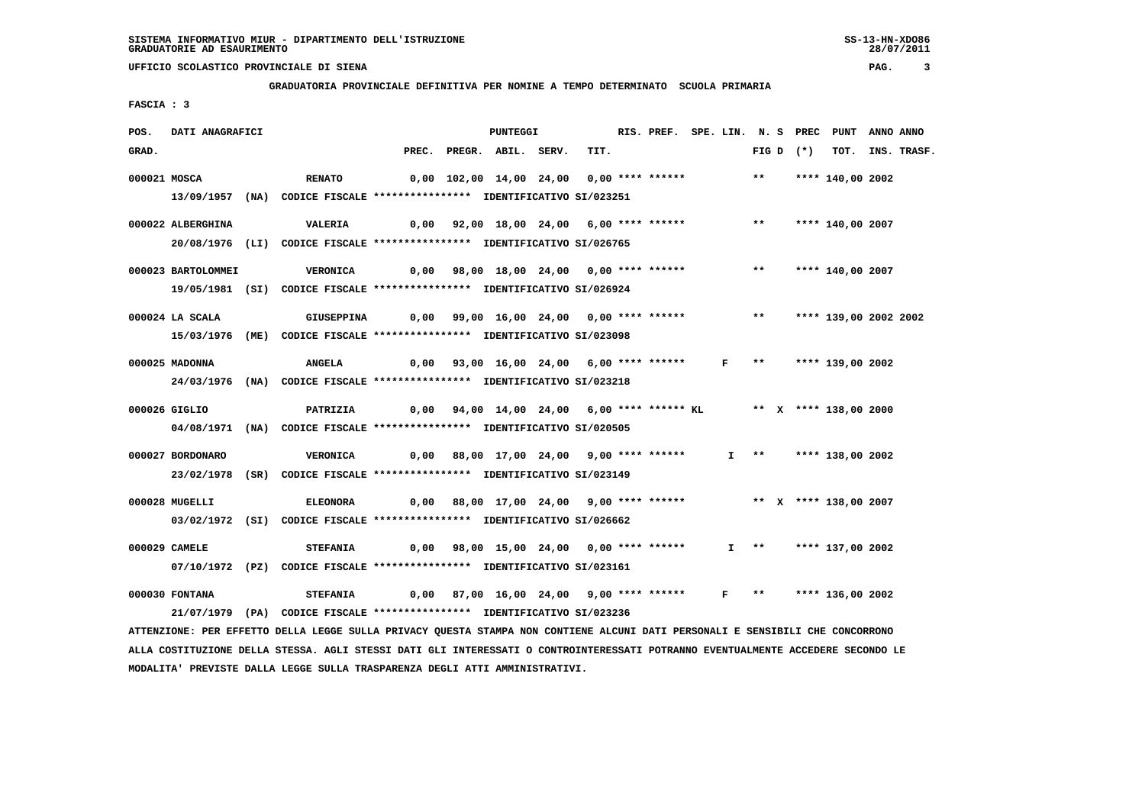**GRADUATORIA PROVINCIALE DEFINITIVA PER NOMINE A TEMPO DETERMINATO SCUOLA PRIMARIA**

 **FASCIA : 3**

| POS.  | DATI ANAGRAFICI    |                                                                               |                                                                          | <b>PUNTEGGI</b>                                                    |      | RIS. PREF. SPE. LIN. N. S PREC PUNT ANNO ANNO |                       |                       |                       |                  |
|-------|--------------------|-------------------------------------------------------------------------------|--------------------------------------------------------------------------|--------------------------------------------------------------------|------|-----------------------------------------------|-----------------------|-----------------------|-----------------------|------------------|
| GRAD. |                    |                                                                               |                                                                          | PREC. PREGR. ABIL. SERV.                                           | TIT. |                                               |                       | FIG D $(*)$           |                       | TOT. INS. TRASF. |
|       | 000021 MOSCA       | <b>RENATO</b>                                                                 |                                                                          | 0,00 102,00 14,00 24,00 0,00 **** ****** *** **** **** 140,00 2002 |      |                                               |                       |                       |                       |                  |
|       |                    | 13/09/1957 (NA) CODICE FISCALE *************** IDENTIFICATIVO SI/023251       |                                                                          |                                                                    |      |                                               |                       |                       |                       |                  |
|       |                    |                                                                               |                                                                          |                                                                    |      |                                               |                       |                       |                       |                  |
|       | 000022 ALBERGHINA  | <b>VALERIA</b>                                                                |                                                                          | 0,00 92,00 18,00 24,00 6,00 **** ******                            |      |                                               |                       |                       | ** **** 140,00 2007   |                  |
|       |                    | 20/08/1976 (LI) CODICE FISCALE *************** IDENTIFICATIVO SI/026765       |                                                                          |                                                                    |      |                                               |                       |                       |                       |                  |
|       | 000023 BARTOLOMMEI | VERONICA          0,00     98,00    18,00    24,00     0,00    ****    ****** |                                                                          |                                                                    |      |                                               |                       |                       | ** **** 140,00 2007   |                  |
|       |                    | 19/05/1981 (SI) CODICE FISCALE *************** IDENTIFICATIVO SI/026924       |                                                                          |                                                                    |      |                                               |                       |                       |                       |                  |
|       | 000024 LA SCALA    | GIUSEPPINA                                                                    | 0,00 99,00 16,00 24,00  0,00 **** ******      **   **** 139,00 2002 2002 |                                                                    |      |                                               |                       |                       |                       |                  |
|       |                    | 15/03/1976 (ME) CODICE FISCALE *************** IDENTIFICATIVO SI/023098       |                                                                          |                                                                    |      |                                               |                       |                       |                       |                  |
|       |                    |                                                                               |                                                                          |                                                                    |      |                                               |                       |                       |                       |                  |
|       | 000025 MADONNA     | <b>ANGELA</b>                                                                 | 0,00 93,00 16,00 24,00 6,00 **** ******   F  **   **** 139,00 2002       |                                                                    |      |                                               |                       |                       |                       |                  |
|       |                    | 24/03/1976 (NA) CODICE FISCALE *************** IDENTIFICATIVO SI/023218       |                                                                          |                                                                    |      |                                               |                       |                       |                       |                  |
|       | 000026 GIGLIO      | PATRIZIA                                                                      | 0,00 94,00 14,00 24,00 6,00 **** ****** KL ** X **** 138,00 2000         |                                                                    |      |                                               |                       |                       |                       |                  |
|       |                    | 04/08/1971 (NA) CODICE FISCALE *************** IDENTIFICATIVO SI/020505       |                                                                          |                                                                    |      |                                               |                       |                       |                       |                  |
|       | 000027 BORDONARO   | <b>VERONICA</b>                                                               | 0,00 88,00 17,00 24,00 9,00 **** ******                                  |                                                                    |      |                                               |                       |                       | I ** **** 138,00 2002 |                  |
|       |                    | 23/02/1978 (SR) CODICE FISCALE *************** IDENTIFICATIVO SI/023149       |                                                                          |                                                                    |      |                                               |                       |                       |                       |                  |
|       |                    |                                                                               |                                                                          |                                                                    |      |                                               |                       |                       |                       |                  |
|       | 000028 MUGELLI     | <b>ELEONORA</b>                                                               |                                                                          | 0,00 88,00 17,00 24,00 9,00 **** ******                            |      |                                               |                       |                       | ** X **** 138,00 2007 |                  |
|       |                    | 03/02/1972 (SI) CODICE FISCALE *************** IDENTIFICATIVO SI/026662       |                                                                          |                                                                    |      |                                               |                       |                       |                       |                  |
|       | 000029 CAMELE      | <b>STEFANIA</b>                                                               |                                                                          | 0,00 98,00 15,00 24,00 0,00 **** ******                            |      |                                               |                       | $I \rightarrow \star$ | **** 137,00 2002      |                  |
|       |                    | 07/10/1972 (PZ) CODICE FISCALE *************** IDENTIFICATIVO SI/023161       |                                                                          |                                                                    |      |                                               |                       |                       |                       |                  |
|       |                    |                                                                               |                                                                          |                                                                    |      |                                               |                       |                       |                       |                  |
|       | 000030 FONTANA     | <b>STEFANIA</b>                                                               |                                                                          | 0,00 87,00 16,00 24,00 9,00 **** ******                            |      |                                               | $F \rightarrow \star$ |                       | **** 136,00 2002      |                  |
|       |                    | 21/07/1979 (PA) CODICE FISCALE *************** IDENTIFICATIVO SI/023236       |                                                                          |                                                                    |      |                                               |                       |                       |                       |                  |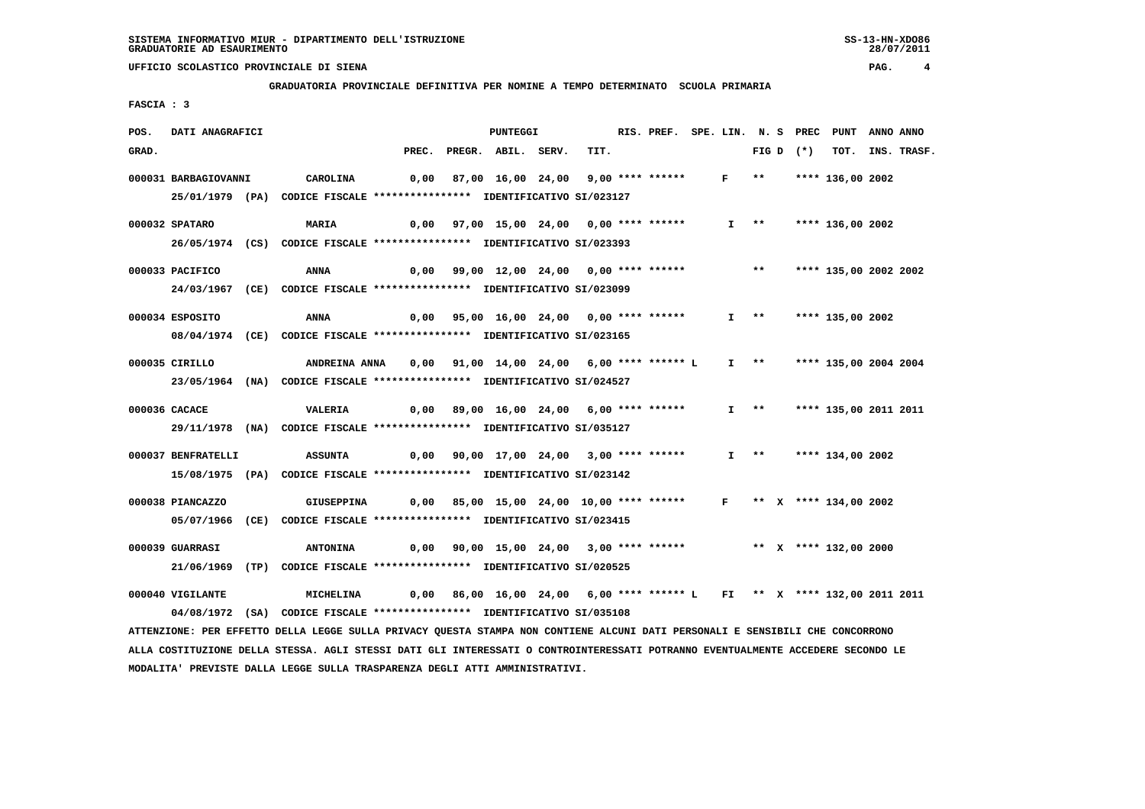**GRADUATORIA PROVINCIALE DEFINITIVA PER NOMINE A TEMPO DETERMINATO SCUOLA PRIMARIA**

 **FASCIA : 3**

| POS.  | DATI ANAGRAFICI      |                                                                                                                               |  | PUNTEGGI                                                                |      |  |                             |                     |             | RIS. PREF. SPE. LIN. N. S PREC PUNT ANNO ANNO |                  |
|-------|----------------------|-------------------------------------------------------------------------------------------------------------------------------|--|-------------------------------------------------------------------------|------|--|-----------------------------|---------------------|-------------|-----------------------------------------------|------------------|
| GRAD. |                      |                                                                                                                               |  | PREC. PREGR. ABIL. SERV.                                                | TIT. |  |                             |                     | FIG D $(*)$ |                                               | TOT. INS. TRASF. |
|       | 000031 BARBAGIOVANNI | CAROLINA                                                                                                                      |  | 0,00 87,00 16,00 24,00 9,00 **** ******                                 |      |  | $F \rightarrow \star \star$ |                     |             | **** 136,00 2002                              |                  |
|       |                      | 25/01/1979 (PA) CODICE FISCALE *************** IDENTIFICATIVO SI/023127                                                       |  |                                                                         |      |  |                             |                     |             |                                               |                  |
|       | 000032 SPATARO       | MARIA                                                                                                                         |  | 0,00 97,00 15,00 24,00 0,00 **** ******                                 |      |  |                             |                     |             | $I$ ** **** 136,00 2002                       |                  |
|       |                      | 26/05/1974 (CS) CODICE FISCALE *************** IDENTIFICATIVO SI/023393                                                       |  |                                                                         |      |  |                             |                     |             |                                               |                  |
|       |                      |                                                                                                                               |  |                                                                         |      |  |                             |                     |             |                                               |                  |
|       | 000033 PACIFICO      | ANNA                                                                                                                          |  | $0,00$ 99,00 12,00 24,00 0,00 **** ******                               |      |  |                             | $***$               |             | **** 135,00 2002 2002                         |                  |
|       |                      | 24/03/1967 (CE) CODICE FISCALE *************** IDENTIFICATIVO SI/023099                                                       |  |                                                                         |      |  |                             |                     |             |                                               |                  |
|       | 000034 ESPOSITO      | ANNA                                                                                                                          |  | 0,00 95,00 16,00 24,00 0,00 **** ******                                 |      |  |                             |                     |             | I ** **** 135,00 2002                         |                  |
|       |                      | 08/04/1974 (CE) CODICE FISCALE *************** IDENTIFICATIVO SI/023165                                                       |  |                                                                         |      |  |                             |                     |             |                                               |                  |
|       |                      |                                                                                                                               |  |                                                                         |      |  |                             |                     |             |                                               |                  |
|       | 000035 CIRILLO       | ANDREINA ANNA                                                                                                                 |  | 0,00 91,00 14,00 24,00 6,00 **** ****** L                               |      |  |                             |                     |             | I ** **** 135,00 2004 2004                    |                  |
|       |                      | 23/05/1964 (NA) CODICE FISCALE *************** IDENTIFICATIVO SI/024527                                                       |  |                                                                         |      |  |                             |                     |             |                                               |                  |
|       | 000036 CACACE        | VALERIA                                                                                                                       |  | 0,00 89,00 16,00 24,00 6,00 **** ******                                 |      |  |                             | $I \longrightarrow$ |             | **** 135,00 2011 2011                         |                  |
|       |                      | 29/11/1978 (NA) CODICE FISCALE **************** IDENTIFICATIVO SI/035127                                                      |  |                                                                         |      |  |                             |                     |             |                                               |                  |
|       |                      |                                                                                                                               |  |                                                                         |      |  |                             |                     |             |                                               |                  |
|       | 000037 BENFRATELLI   | <b>ASSUNTA</b>                                                                                                                |  | 0,00 90,00 17,00 24,00 3,00 **** ******                                 |      |  |                             | $I \longrightarrow$ |             | **** 134,00 2002                              |                  |
|       |                      | 15/08/1975 (PA) CODICE FISCALE *************** IDENTIFICATIVO SI/023142                                                       |  |                                                                         |      |  |                             |                     |             |                                               |                  |
|       | 000038 PIANCAZZO     | GIUSEPPINA                                                                                                                    |  | $0,00$ 85,00 15,00 24,00 10,00 **** ******                              |      |  |                             |                     |             | F ** X **** 134,00 2002                       |                  |
|       |                      | 05/07/1966 (CE) CODICE FISCALE *************** IDENTIFICATIVO SI/023415                                                       |  |                                                                         |      |  |                             |                     |             |                                               |                  |
|       |                      |                                                                                                                               |  |                                                                         |      |  |                             |                     |             |                                               |                  |
|       | 000039 GUARRASI      | <b>ANTONINA</b>                                                                                                               |  | 0,00 90,00 15,00 24,00 3,00 **** ****** *** ** ** **** 132,00 2000      |      |  |                             |                     |             |                                               |                  |
|       |                      | 21/06/1969 (TP) CODICE FISCALE *************** IDENTIFICATIVO SI/020525                                                       |  |                                                                         |      |  |                             |                     |             |                                               |                  |
|       | 000040 VIGILANTE     | MICHELINA                                                                                                                     |  | 0,00 86,00 16,00 24,00 6,00 **** ****** L FI ** X **** 132,00 2011 2011 |      |  |                             |                     |             |                                               |                  |
|       |                      | 04/08/1972 (SA) CODICE FISCALE *************** IDENTIFICATIVO SI/035108                                                       |  |                                                                         |      |  |                             |                     |             |                                               |                  |
|       |                      | ATTENZIONE: PER EFFETTO DELLA LEGGE SULLA PRIVACY QUESTA STAMPA NON CONTIENE ALCUNI DATI PERSONALI E SENSIBILI CHE CONCORRONO |  |                                                                         |      |  |                             |                     |             |                                               |                  |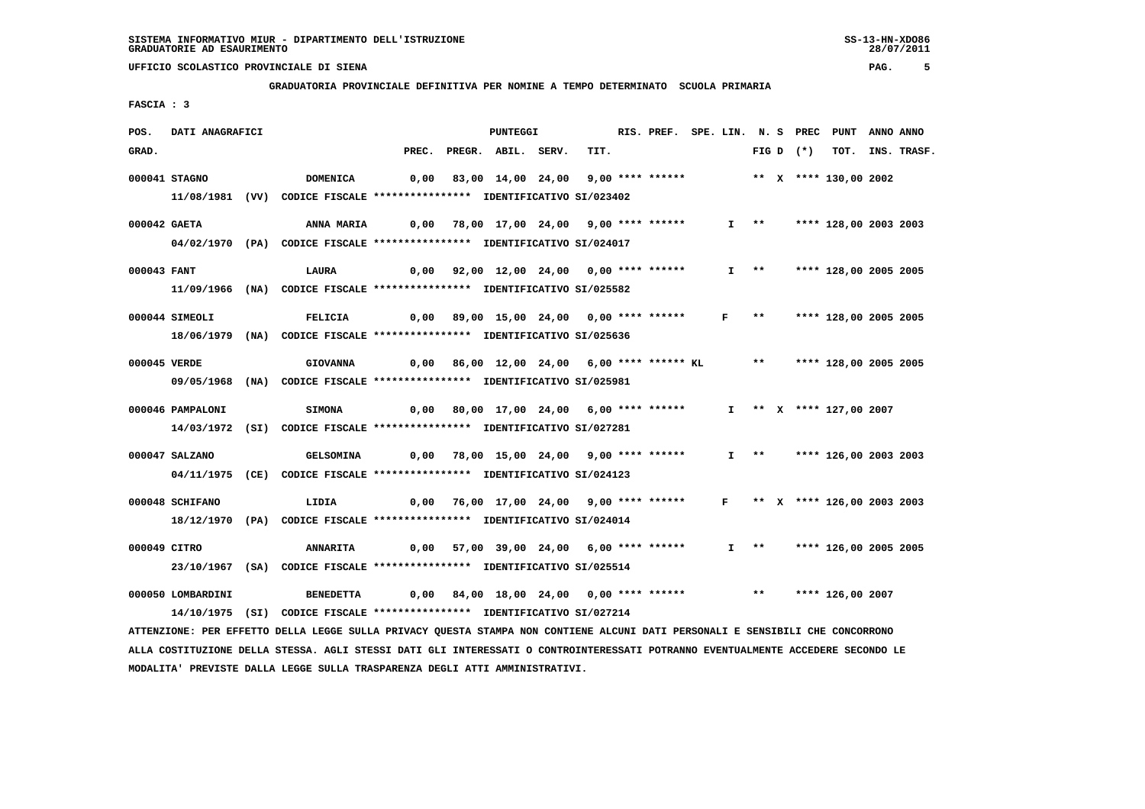**GRADUATORIA PROVINCIALE DEFINITIVA PER NOMINE A TEMPO DETERMINATO SCUOLA PRIMARIA**

 **FASCIA : 3**

| POS.         | DATI ANAGRAFICI   |                                                                                                                               |                                                                            | <b>PUNTEGGI</b>                                                          |      | RIS. PREF. SPE. LIN. N. S PREC PUNT ANNO ANNO |  |                     |             |                            |                  |
|--------------|-------------------|-------------------------------------------------------------------------------------------------------------------------------|----------------------------------------------------------------------------|--------------------------------------------------------------------------|------|-----------------------------------------------|--|---------------------|-------------|----------------------------|------------------|
| GRAD.        |                   |                                                                                                                               |                                                                            | PREC. PREGR. ABIL. SERV.                                                 | TIT. |                                               |  |                     | FIG D $(*)$ |                            | TOT. INS. TRASF. |
|              | 000041 STAGNO     | <b>DOMENICA</b>                                                                                                               |                                                                            | $0,00$ 83,00 14,00 24,00 9,00 **** ****** *** ** **** 130,00 2002        |      |                                               |  |                     |             |                            |                  |
|              |                   | 11/08/1981 (VV) CODICE FISCALE *************** IDENTIFICATIVO SI/023402                                                       |                                                                            |                                                                          |      |                                               |  |                     |             |                            |                  |
| 000042 GAETA |                   |                                                                                                                               |                                                                            |                                                                          |      |                                               |  |                     |             |                            |                  |
|              |                   | <b>ANNA MARIA</b><br>04/02/1970 (PA) CODICE FISCALE *************** IDENTIFICATIVO SI/024017                                  | 0,00 78,00 17,00 24,00 9,00 **** ******                                    |                                                                          |      |                                               |  |                     |             | I ** **** 128,00 2003 2003 |                  |
|              |                   |                                                                                                                               |                                                                            |                                                                          |      |                                               |  |                     |             |                            |                  |
| 000043 FANT  |                   | LAURA                                                                                                                         |                                                                            | 0,00 92,00 12,00 24,00 0,00 **** ******                                  |      |                                               |  | $I \longrightarrow$ |             | **** 128,00 2005 2005      |                  |
|              |                   | 11/09/1966 (NA) CODICE FISCALE *************** IDENTIFICATIVO SI/025582                                                       |                                                                            |                                                                          |      |                                               |  |                     |             |                            |                  |
|              | 000044 SIMEOLI    | FELICIA                                                                                                                       |                                                                            | 0,00 89,00 15,00 24,00  0,00 **** ******   F  **   **** 128,00 2005 2005 |      |                                               |  |                     |             |                            |                  |
|              |                   | 18/06/1979 (NA) CODICE FISCALE *************** IDENTIFICATIVO SI/025636                                                       |                                                                            |                                                                          |      |                                               |  |                     |             |                            |                  |
|              |                   |                                                                                                                               |                                                                            |                                                                          |      |                                               |  |                     |             |                            |                  |
| 000045 VERDE |                   | <b>GIOVANNA</b>                                                                                                               |                                                                            | 0,00 86,00 12,00 24,00 6,00 **** ****** KL ** **** 128,00 2005 2005      |      |                                               |  |                     |             |                            |                  |
|              |                   | 09/05/1968 (NA) CODICE FISCALE **************** IDENTIFICATIVO SI/025981                                                      |                                                                            |                                                                          |      |                                               |  |                     |             |                            |                  |
|              | 000046 PAMPALONI  | SIMONA                                                                                                                        |                                                                            | $0,00$ 80,00 17,00 24,00 6,00 **** ******                                |      |                                               |  |                     |             | I ** X **** 127,00 2007    |                  |
|              |                   | 14/03/1972 (SI) CODICE FISCALE **************** IDENTIFICATIVO SI/027281                                                      |                                                                            |                                                                          |      |                                               |  |                     |             |                            |                  |
|              |                   |                                                                                                                               |                                                                            |                                                                          |      |                                               |  |                     |             |                            |                  |
|              | 000047 SALZANO    | <b>GELSOMINA</b>                                                                                                              | 0,00 78,00 15,00 24,00  9,00 **** ******    I  **   **** 126,00 2003 2003  |                                                                          |      |                                               |  |                     |             |                            |                  |
|              |                   | 04/11/1975 (CE) CODICE FISCALE *************** IDENTIFICATIVO SI/024123                                                       |                                                                            |                                                                          |      |                                               |  |                     |             |                            |                  |
|              | 000048 SCHIFANO   | LIDIA                                                                                                                         |                                                                            | 0,00 76,00 17,00 24,00 9,00 **** ****** F ** X **** 126,00 2003 2003     |      |                                               |  |                     |             |                            |                  |
|              |                   | 18/12/1970 (PA) CODICE FISCALE *************** IDENTIFICATIVO SI/024014                                                       |                                                                            |                                                                          |      |                                               |  |                     |             |                            |                  |
|              |                   |                                                                                                                               |                                                                            |                                                                          |      |                                               |  |                     |             |                            |                  |
| 000049 CITRO |                   | <b>ANNARITA</b>                                                                                                               |                                                                            | 0,00 57,00 39,00 24,00 6,00 **** ******                                  |      |                                               |  |                     |             | I ** **** 126,00 2005 2005 |                  |
|              |                   | 23/10/1967 (SA) CODICE FISCALE *************** IDENTIFICATIVO SI/025514                                                       |                                                                            |                                                                          |      |                                               |  |                     |             |                            |                  |
|              | 000050 LOMBARDINI |                                                                                                                               | BENEDETTA 6,00 84,00 18,00 24,00 0,00 **** ****** *** *** **** 126,00 2007 |                                                                          |      |                                               |  |                     |             |                            |                  |
|              |                   | 14/10/1975 (SI) CODICE FISCALE *************** IDENTIFICATIVO SI/027214                                                       |                                                                            |                                                                          |      |                                               |  |                     |             |                            |                  |
|              |                   | ATTENZIONE: PER EFFETTO DELLA LEGGE SULLA PRIVACY QUESTA STAMPA NON CONTIENE ALCUNI DATI PERSONALI E SENSIBILI CHE CONCORRONO |                                                                            |                                                                          |      |                                               |  |                     |             |                            |                  |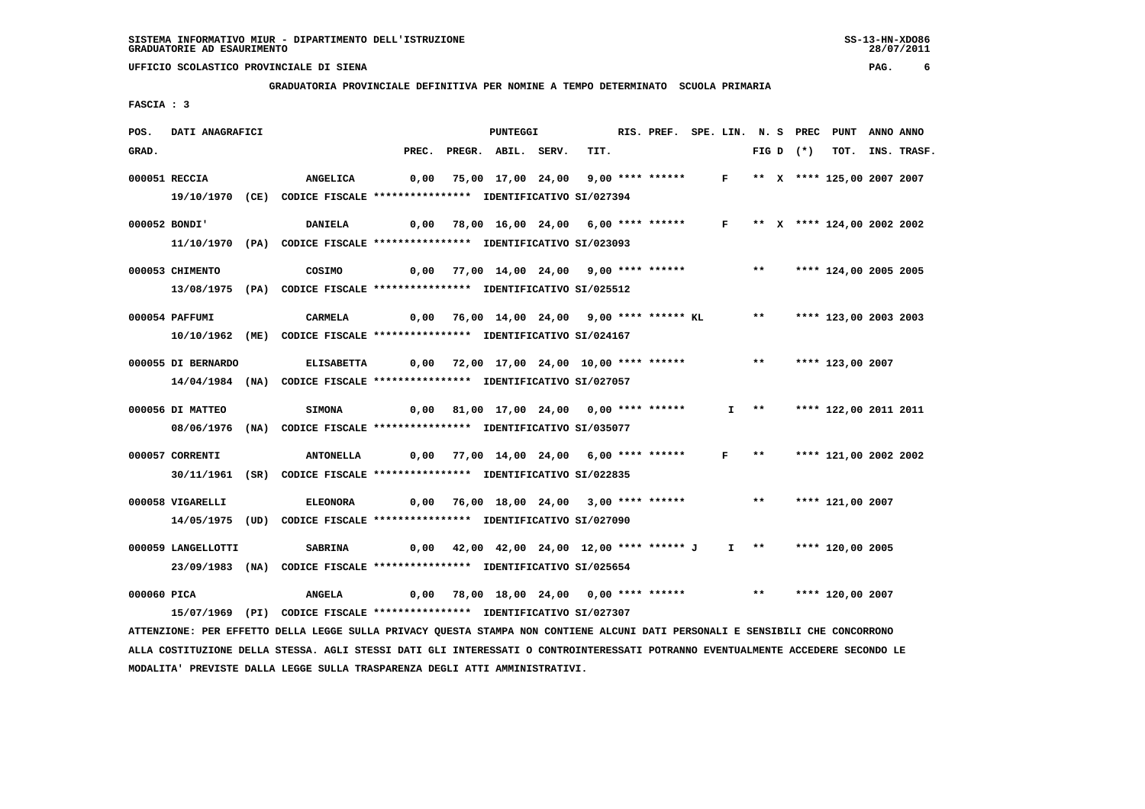**GRADUATORIA PROVINCIALE DEFINITIVA PER NOMINE A TEMPO DETERMINATO SCUOLA PRIMARIA**

 **FASCIA : 3**

| POS.        | DATI ANAGRAFICI    |                                                                         |                                                  | <b>PUNTEGGI</b>                                                          |      |  |                       |                       |             | RIS. PREF. SPE. LIN. N. S PREC PUNT ANNO ANNO |             |
|-------------|--------------------|-------------------------------------------------------------------------|--------------------------------------------------|--------------------------------------------------------------------------|------|--|-----------------------|-----------------------|-------------|-----------------------------------------------|-------------|
| GRAD.       |                    |                                                                         | PREC.                                            | PREGR. ABIL. SERV.                                                       | TIT. |  |                       |                       | FIG D $(*)$ | тот.                                          | INS. TRASF. |
|             | 000051 RECCIA      | <b>ANGELICA</b>                                                         | 0,00                                             | 75,00 17,00 24,00 9,00 **** ****** F ** X **** 125,00 2007 2007          |      |  |                       |                       |             |                                               |             |
|             |                    | 19/10/1970 (CE) CODICE FISCALE *************** IDENTIFICATIVO SI/027394 |                                                  |                                                                          |      |  |                       |                       |             |                                               |             |
|             | 000052 BONDI'      | <b>DANIELA</b>                                                          |                                                  |                                                                          |      |  |                       |                       |             |                                               |             |
|             |                    | 11/10/1970 (PA) CODICE FISCALE *************** IDENTIFICATIVO SI/023093 |                                                  | $0,00$ 78,00 16,00 24,00 6,00 **** ****** F ** X **** 124,00 2002 2002   |      |  |                       |                       |             |                                               |             |
|             |                    |                                                                         |                                                  |                                                                          |      |  |                       |                       |             |                                               |             |
|             | 000053 CHIMENTO    | COSIMO                                                                  |                                                  | 0,00 77,00 14,00 24,00  9,00 **** ******      **   **** 124,00 2005 2005 |      |  |                       |                       |             |                                               |             |
|             |                    | 13/08/1975 (PA) CODICE FISCALE *************** IDENTIFICATIVO SI/025512 |                                                  |                                                                          |      |  |                       |                       |             |                                               |             |
|             | 000054 PAFFUMI     | <b>CARMELA</b>                                                          |                                                  | 0,00 76,00 14,00 24,00 9,00 **** ****** KL                               |      |  |                       | $***$                 |             | **** 123,00 2003 2003                         |             |
|             |                    | 10/10/1962 (ME) CODICE FISCALE *************** IDENTIFICATIVO SI/024167 |                                                  |                                                                          |      |  |                       |                       |             |                                               |             |
|             |                    |                                                                         |                                                  |                                                                          |      |  |                       |                       |             |                                               |             |
|             | 000055 DI BERNARDO | <b>ELISABETTA</b>                                                       | 0,00 72,00 17,00 24,00 10,00 **** ****** *** *** |                                                                          |      |  |                       |                       |             | **** 123,00 2007                              |             |
|             |                    | 14/04/1984 (NA) CODICE FISCALE *************** IDENTIFICATIVO SI/027057 |                                                  |                                                                          |      |  |                       |                       |             |                                               |             |
|             | 000056 DI MATTEO   | <b>SIMONA</b>                                                           |                                                  | 0,00 81,00 17,00 24,00 0,00 **** ******                                  |      |  |                       | $I \rightarrow \star$ |             | **** 122,00 2011 2011                         |             |
|             |                    | 08/06/1976 (NA) CODICE FISCALE *************** IDENTIFICATIVO SI/035077 |                                                  |                                                                          |      |  |                       |                       |             |                                               |             |
|             | 000057 CORRENTI    | ANTONELLA                                                               |                                                  |                                                                          |      |  | $F \rightarrow \star$ |                       |             | **** 121,00 2002 2002                         |             |
|             |                    |                                                                         |                                                  | $0,00$ 77,00 14,00 24,00 6,00 **** ******                                |      |  |                       |                       |             |                                               |             |
|             |                    | 30/11/1961 (SR) CODICE FISCALE *************** IDENTIFICATIVO SI/022835 |                                                  |                                                                          |      |  |                       |                       |             |                                               |             |
|             | 000058 VIGARELLI   | <b>ELEONORA</b>                                                         |                                                  | $0,00$ 76,00 18,00 24,00 3,00 **** ******                                |      |  |                       | $***$                 |             | **** 121,00 2007                              |             |
|             |                    | 14/05/1975 (UD) CODICE FISCALE *************** IDENTIFICATIVO SI/027090 |                                                  |                                                                          |      |  |                       |                       |             |                                               |             |
|             | 000059 LANGELLOTTI | <b>SABRINA</b>                                                          |                                                  | 0,00 42,00 42,00 24,00 12,00 **** ****** J I ** **** 120,00 2005         |      |  |                       |                       |             |                                               |             |
|             |                    | 23/09/1983 (NA) CODICE FISCALE *************** IDENTIFICATIVO SI/025654 |                                                  |                                                                          |      |  |                       |                       |             |                                               |             |
|             |                    |                                                                         |                                                  |                                                                          |      |  |                       |                       |             |                                               |             |
| 000060 PICA |                    | <b>ANGELA</b>                                                           |                                                  | $0,00$ 78,00 18,00 24,00 0,00 **** ******                                |      |  |                       | $***$                 |             | **** 120,00 2007                              |             |
|             |                    | 15/07/1969 (PI) CODICE FISCALE *************** IDENTIFICATIVO SI/027307 |                                                  |                                                                          |      |  |                       |                       |             |                                               |             |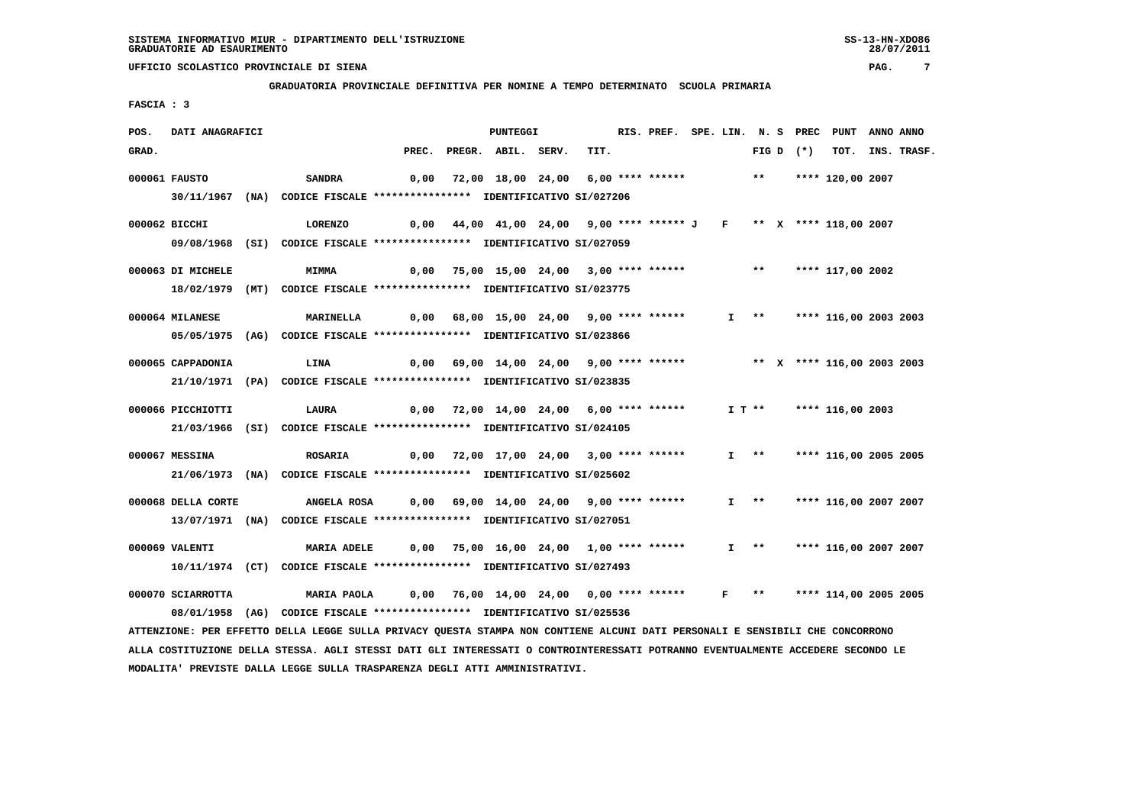**GRADUATORIA PROVINCIALE DEFINITIVA PER NOMINE A TEMPO DETERMINATO SCUOLA PRIMARIA**

 **FASCIA : 3**

| POS.  | DATI ANAGRAFICI    |                                                                                                                               |       | PUNTEGGI                                                                |      | RIS. PREF. SPE. LIN. N. S PREC PUNT |          |                       |             |                            | ANNO ANNO |                  |
|-------|--------------------|-------------------------------------------------------------------------------------------------------------------------------|-------|-------------------------------------------------------------------------|------|-------------------------------------|----------|-----------------------|-------------|----------------------------|-----------|------------------|
| GRAD. |                    |                                                                                                                               | PREC. | PREGR. ABIL. SERV.                                                      | TIT. |                                     |          |                       | FIG D $(*)$ |                            |           | TOT. INS. TRASF. |
|       | 000061 FAUSTO      | <b>SANDRA</b>                                                                                                                 | 0,00  | 72,00 18,00 24,00 6,00 **** ******           **       **** 120,00 2007  |      |                                     |          |                       |             |                            |           |                  |
|       |                    | 30/11/1967 (NA) CODICE FISCALE *************** IDENTIFICATIVO SI/027206                                                       |       |                                                                         |      |                                     |          |                       |             |                            |           |                  |
|       |                    |                                                                                                                               |       |                                                                         |      |                                     |          |                       |             |                            |           |                  |
|       | 000062 BICCHI      | LORENZO                                                                                                                       |       | 0,00 44,00 41,00 24,00 9,00 **** ****** J F ** X **** 118,00 2007       |      |                                     |          |                       |             |                            |           |                  |
|       |                    | 09/08/1968 (SI) CODICE FISCALE *************** IDENTIFICATIVO SI/027059                                                       |       |                                                                         |      |                                     |          |                       |             |                            |           |                  |
|       | 000063 DI MICHELE  | <b>MIMMA</b>                                                                                                                  | 0,00  | 75,00 15,00 24,00 3,00 **** ******                                      |      |                                     |          | $***$                 |             | **** 117,00 2002           |           |                  |
|       |                    | 18/02/1979 (MT) CODICE FISCALE *************** IDENTIFICATIVO SI/023775                                                       |       |                                                                         |      |                                     |          |                       |             |                            |           |                  |
|       | 000064 MILANESE    | <b>MARINELLA</b>                                                                                                              |       | 0,00 68,00 15,00 24,00 9,00 **** ******                                 |      |                                     |          |                       |             | I ** **** 116,00 2003 2003 |           |                  |
|       |                    | 05/05/1975 (AG) CODICE FISCALE *************** IDENTIFICATIVO SI/023866                                                       |       |                                                                         |      |                                     |          |                       |             |                            |           |                  |
|       |                    |                                                                                                                               |       |                                                                         |      |                                     |          |                       |             |                            |           |                  |
|       | 000065 CAPPADONIA  | LINA                                                                                                                          |       | $0,00$ 69,00 14,00 24,00 9,00 **** ****** **** ** **** 116,00 2003 2003 |      |                                     |          |                       |             |                            |           |                  |
|       |                    | 21/10/1971 (PA) CODICE FISCALE **************** IDENTIFICATIVO SI/023835                                                      |       |                                                                         |      |                                     |          |                       |             |                            |           |                  |
|       | 000066 PICCHIOTTI  | <b>LAURA</b>                                                                                                                  |       | 0,00 72,00 14,00 24,00 6,00 **** ******                                 |      |                                     | $I T$ ** |                       |             | **** 116,00 2003           |           |                  |
|       |                    | 21/03/1966 (SI) CODICE FISCALE *************** IDENTIFICATIVO SI/024105                                                       |       |                                                                         |      |                                     |          |                       |             |                            |           |                  |
|       |                    |                                                                                                                               |       |                                                                         |      |                                     |          |                       |             |                            |           |                  |
|       | 000067 MESSINA     | <b>ROSARIA</b>                                                                                                                |       | 0,00 72,00 17,00 24,00 3,00 **** ******                                 |      |                                     |          | $I \longrightarrow$   |             | **** 116,00 2005 2005      |           |                  |
|       |                    | 21/06/1973 (NA) CODICE FISCALE *************** IDENTIFICATIVO SI/025602                                                       |       |                                                                         |      |                                     |          |                       |             |                            |           |                  |
|       | 000068 DELLA CORTE | <b>ANGELA ROSA</b>                                                                                                            |       | 0,00 69,00 14,00 24,00 9,00 **** ******                                 |      |                                     |          | $I \longrightarrow$   |             | **** 116,00 2007 2007      |           |                  |
|       |                    | 13/07/1971 (NA) CODICE FISCALE *************** IDENTIFICATIVO SI/027051                                                       |       |                                                                         |      |                                     |          |                       |             |                            |           |                  |
|       |                    |                                                                                                                               |       |                                                                         |      |                                     |          |                       |             |                            |           |                  |
|       | 000069 VALENTI     | MARIA ADELE 0,00 75,00 16,00 24,00 1,00 **** ******                                                                           |       |                                                                         |      |                                     |          | $I \rightarrow \star$ |             | **** 116,00 2007 2007      |           |                  |
|       |                    | 10/11/1974 (CT) CODICE FISCALE *************** IDENTIFICATIVO SI/027493                                                       |       |                                                                         |      |                                     |          |                       |             |                            |           |                  |
|       | 000070 SCIARROTTA  | <b>MARIA PAOLA</b>                                                                                                            |       | 0,00 76,00 14,00 24,00 0,00 **** ****** F **                            |      |                                     |          |                       |             | **** 114,00 2005 2005      |           |                  |
|       |                    | 08/01/1958 (AG) CODICE FISCALE *************** IDENTIFICATIVO SI/025536                                                       |       |                                                                         |      |                                     |          |                       |             |                            |           |                  |
|       |                    | ATTENZIONE: PER EFFETTO DELLA LEGGE SULLA PRIVACY QUESTA STAMPA NON CONTIENE ALCUNI DATI PERSONALI E SENSIBILI CHE CONCORRONO |       |                                                                         |      |                                     |          |                       |             |                            |           |                  |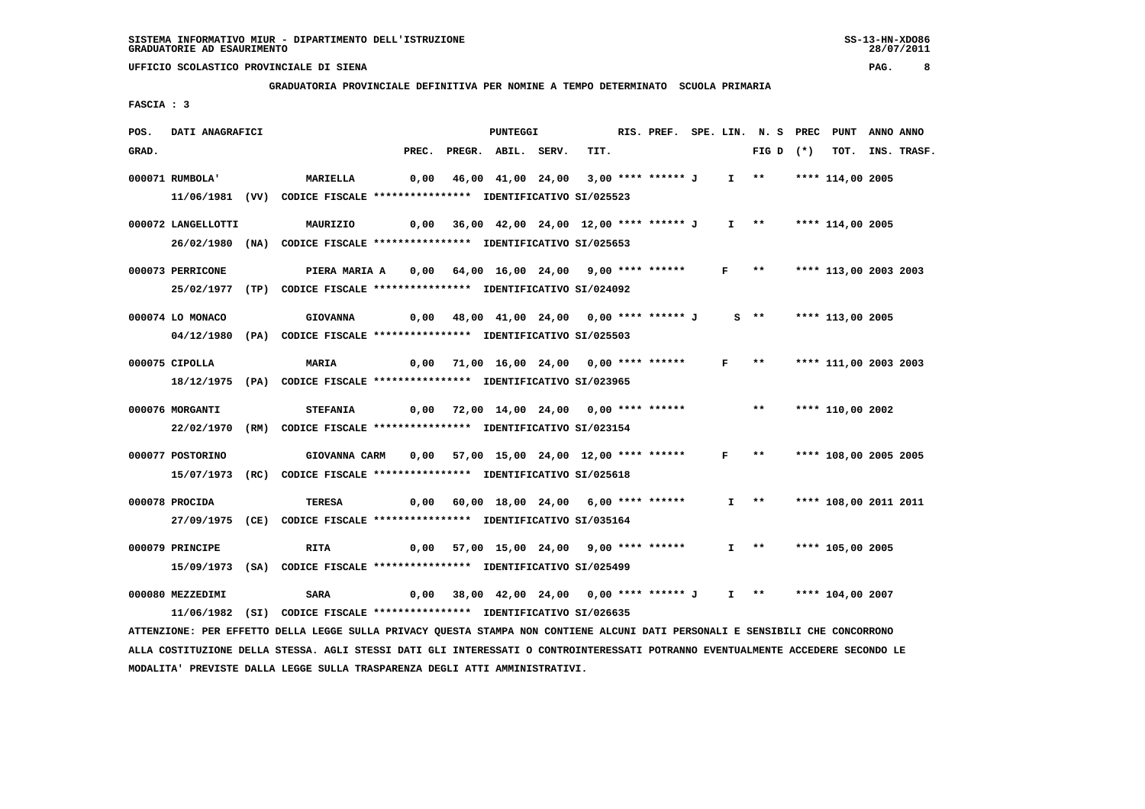**GRADUATORIA PROVINCIALE DEFINITIVA PER NOMINE A TEMPO DETERMINATO SCUOLA PRIMARIA**

 **FASCIA : 3**

| POS.  | DATI ANAGRAFICI    |                                                                         |       | <b>PUNTEGGI</b>                                                 |      | RIS. PREF. SPE. LIN. N. S PREC |              |                       | PUNT                  | ANNO ANNO |                  |
|-------|--------------------|-------------------------------------------------------------------------|-------|-----------------------------------------------------------------|------|--------------------------------|--------------|-----------------------|-----------------------|-----------|------------------|
| GRAD. |                    |                                                                         | PREC. | PREGR. ABIL. SERV.                                              | TIT. |                                |              | FIG D $(*)$           |                       |           | TOT. INS. TRASF. |
|       | 000071 RUMBOLA'    | <b>MARIELLA</b>                                                         | 0,00  | 46,00 41,00 24,00 3,00 **** ****** J                            |      |                                |              | I ** **** 114,00 2005 |                       |           |                  |
|       |                    | 11/06/1981 (VV) CODICE FISCALE *************** IDENTIFICATIVO SI/025523 |       |                                                                 |      |                                |              |                       |                       |           |                  |
|       | 000072 LANGELLOTTI | MAURIZIO                                                                |       | 0,00 36,00 42,00 24,00 12,00 **** ****** J                      |      |                                |              | I ** **** 114,00 2005 |                       |           |                  |
|       |                    | 26/02/1980 (NA) CODICE FISCALE *************** IDENTIFICATIVO SI/025653 |       |                                                                 |      |                                |              |                       |                       |           |                  |
|       | 000073 PERRICONE   | PIERA MARIA A                                                           |       | 0,00 64,00 16,00 24,00 9,00 **** ****** F **                    |      |                                |              |                       | **** 113,00 2003 2003 |           |                  |
|       |                    | 25/02/1977 (TP) CODICE FISCALE *************** IDENTIFICATIVO SI/024092 |       |                                                                 |      |                                |              |                       |                       |           |                  |
|       | 000074 LO MONACO   | <b>GIOVANNA</b>                                                         |       | 0,00 48,00 41,00 24,00 0,00 **** ****** J s ** **** 113,00 2005 |      |                                |              |                       |                       |           |                  |
|       |                    | 04/12/1980 (PA) CODICE FISCALE *************** IDENTIFICATIVO SI/025503 |       |                                                                 |      |                                |              |                       |                       |           |                  |
|       | 000075 CIPOLLA     | <b>MARIA</b>                                                            |       | 0,00 71,00 16,00 24,00 0,00 **** ******                         |      |                                | $\mathbf{F}$ | $***$                 | **** 111,00 2003 2003 |           |                  |
|       |                    | 18/12/1975 (PA) CODICE FISCALE *************** IDENTIFICATIVO SI/023965 |       |                                                                 |      |                                |              |                       |                       |           |                  |
|       | 000076 MORGANTI    | <b>STEFANIA</b>                                                         |       | 0,00 72,00 14,00 24,00 0,00 **** ******                         |      |                                |              | $\star \star$         | **** 110,00 2002      |           |                  |
|       |                    | 22/02/1970 (RM) CODICE FISCALE *************** IDENTIFICATIVO SI/023154 |       |                                                                 |      |                                |              |                       |                       |           |                  |
|       | 000077 POSTORINO   | GIOVANNA CARM                                                           |       | 0,00 57,00 15,00 24,00 12,00 **** ******                        |      |                                | F            | $\star \star$         | **** 108,00 2005 2005 |           |                  |
|       |                    | 15/07/1973 (RC) CODICE FISCALE *************** IDENTIFICATIVO SI/025618 |       |                                                                 |      |                                |              |                       |                       |           |                  |
|       | 000078 PROCIDA     | TERESA                                                                  |       | 0,00 60,00 18,00 24,00 6,00 **** ******                         |      |                                |              | $I \longrightarrow$   | **** 108,00 2011 2011 |           |                  |
|       |                    | 27/09/1975 (CE) CODICE FISCALE *************** IDENTIFICATIVO SI/035164 |       |                                                                 |      |                                |              |                       |                       |           |                  |
|       | 000079 PRINCIPE    | <b>RITA</b>                                                             |       | $0,00$ 57,00 15,00 24,00 9,00 **** ******                       |      |                                |              | I **                  | **** 105,00 2005      |           |                  |
|       |                    | 15/09/1973 (SA) CODICE FISCALE *************** IDENTIFICATIVO SI/025499 |       |                                                                 |      |                                |              |                       |                       |           |                  |
|       | 000080 MEZZEDIMI   | SARA                                                                    | 0,00  | 38,00 42,00 24,00 0,00 **** ****** J                            |      |                                |              | I ** **** 104,00 2007 |                       |           |                  |
|       |                    | 11/06/1982 (SI) CODICE FISCALE *************** IDENTIFICATIVO SI/026635 |       |                                                                 |      |                                |              |                       |                       |           |                  |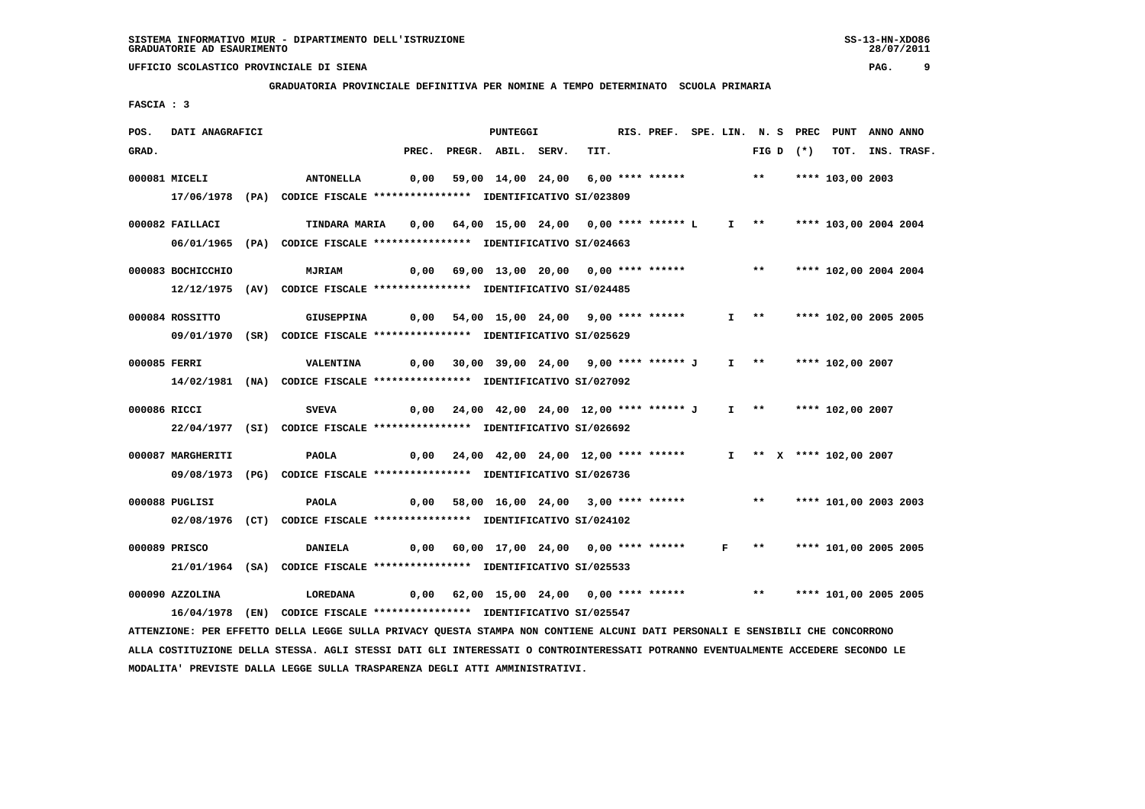## **GRADUATORIA PROVINCIALE DEFINITIVA PER NOMINE A TEMPO DETERMINATO SCUOLA PRIMARIA**

 **FASCIA : 3**

| POS.<br>DATI ANAGRAFICI              |                                                                                                                                                                                                                                                                                                                        | PUNTEGGI           | RIS. PREF. SPE. LIN. N. S PREC PUNT ANNO ANNO                                                               |       |                            |                  |
|--------------------------------------|------------------------------------------------------------------------------------------------------------------------------------------------------------------------------------------------------------------------------------------------------------------------------------------------------------------------|--------------------|-------------------------------------------------------------------------------------------------------------|-------|----------------------------|------------------|
| GRAD.                                | PREC.                                                                                                                                                                                                                                                                                                                  | PREGR. ABIL. SERV. | TIT.                                                                                                        |       | FIG D $(*)$                | TOT. INS. TRASF. |
| 000081 MICELI                        | <b>ANTONELLA</b>                                                                                                                                                                                                                                                                                                       |                    | 0,00 59,00 14,00 24,00 6,00 **** ******           **                                                        |       | **** 103,00 2003           |                  |
|                                      | 17/06/1978 (PA) CODICE FISCALE *************** IDENTIFICATIVO SI/023809                                                                                                                                                                                                                                                |                    |                                                                                                             |       |                            |                  |
| 000082 FAILLACI                      | <b>TINDARA MARIA</b>                                                                                                                                                                                                                                                                                                   |                    | 0,00 64,00 15,00 24,00 0,00 **** ****** L                                                                   |       | I ** **** 103,00 2004 2004 |                  |
|                                      | 06/01/1965 (PA) CODICE FISCALE **************** IDENTIFICATIVO SI/024663                                                                                                                                                                                                                                               |                    |                                                                                                             |       |                            |                  |
|                                      |                                                                                                                                                                                                                                                                                                                        |                    |                                                                                                             |       |                            |                  |
| 000083 BOCHICCHIO                    | <b>MJRIAM</b>                                                                                                                                                                                                                                                                                                          |                    | 0,00 69,00 13,00 20,00 0,00 **** ******                                                                     | $***$ | **** 102,00 2004 2004      |                  |
|                                      | 12/12/1975 (AV) CODICE FISCALE *************** IDENTIFICATIVO SI/024485                                                                                                                                                                                                                                                |                    |                                                                                                             |       |                            |                  |
| 000084 ROSSITTO                      | GIUSEPPINA                                                                                                                                                                                                                                                                                                             |                    | 0,00 54,00 15,00 24,00 9,00 **** ******                                                                     |       | I ** **** 102,00 2005 2005 |                  |
|                                      | 09/01/1970 (SR) CODICE FISCALE *************** IDENTIFICATIVO SI/025629                                                                                                                                                                                                                                                |                    |                                                                                                             |       |                            |                  |
|                                      |                                                                                                                                                                                                                                                                                                                        |                    |                                                                                                             |       |                            |                  |
| 000085 FERRI                         | <b>VALENTINA</b>                                                                                                                                                                                                                                                                                                       |                    | 0,00 30,00 39,00 24,00 9,00 **** ****** J                                                                   |       | I ** **** 102,00 2007      |                  |
|                                      | 14/02/1981 (NA) CODICE FISCALE *************** IDENTIFICATIVO SI/027092                                                                                                                                                                                                                                                |                    |                                                                                                             |       |                            |                  |
| 000086 RICCI                         | SVEVA                                                                                                                                                                                                                                                                                                                  |                    | 0,00 24,00 42,00 24,00 12,00 **** ****** J I **     **** 102,00 2007                                        |       |                            |                  |
|                                      | 22/04/1977 (SI) CODICE FISCALE *************** IDENTIFICATIVO SI/026692                                                                                                                                                                                                                                                |                    |                                                                                                             |       |                            |                  |
|                                      |                                                                                                                                                                                                                                                                                                                        |                    |                                                                                                             |       |                            |                  |
|                                      |                                                                                                                                                                                                                                                                                                                        |                    |                                                                                                             |       |                            |                  |
|                                      |                                                                                                                                                                                                                                                                                                                        |                    |                                                                                                             |       |                            |                  |
| 000088 PUGLISI                       | <b>PAOLA</b>                                                                                                                                                                                                                                                                                                           |                    | 0,00 58,00 16,00 24,00 3,00 **** ****** *** *** **** 101,00 2003 2003                                       |       |                            |                  |
|                                      | 02/08/1976 (CT) CODICE FISCALE *************** IDENTIFICATIVO SI/024102                                                                                                                                                                                                                                                |                    |                                                                                                             |       |                            |                  |
| 000089 PRISCO                        | <b>DANIELA</b>                                                                                                                                                                                                                                                                                                         |                    | 0,00 60,00 17,00 24,00 0,00 **** ****** F **                                                                |       | **** 101,00 2005 2005      |                  |
|                                      | 21/01/1964 (SA) CODICE FISCALE *************** IDENTIFICATIVO SI/025533                                                                                                                                                                                                                                                |                    |                                                                                                             |       |                            |                  |
|                                      |                                                                                                                                                                                                                                                                                                                        |                    |                                                                                                             |       |                            |                  |
|                                      |                                                                                                                                                                                                                                                                                                                        |                    |                                                                                                             |       |                            |                  |
|                                      |                                                                                                                                                                                                                                                                                                                        |                    |                                                                                                             |       |                            |                  |
| 000087 MARGHERITI<br>000090 AZZOLINA | <b>PAOLA</b><br>09/08/1973 (PG) CODICE FISCALE *************** IDENTIFICATIVO SI/026736<br><b>LOREDANA</b><br>16/04/1978 (EN) CODICE FISCALE *************** IDENTIFICATIVO SI/025547<br>ATTENZIONE: PER EFFETTO DELLA LEGGE SULLA PRIVACY QUESTA STAMPA NON CONTIENE ALCUNI DATI PERSONALI E SENSIBILI CHE CONCORRONO |                    | 0,00 24,00 42,00 24,00 12,00 **** ****** T ** X **** 102,00 2007<br>0,00 62,00 15,00 24,00 0,00 **** ****** | $***$ | **** 101,00 2005 2005      |                  |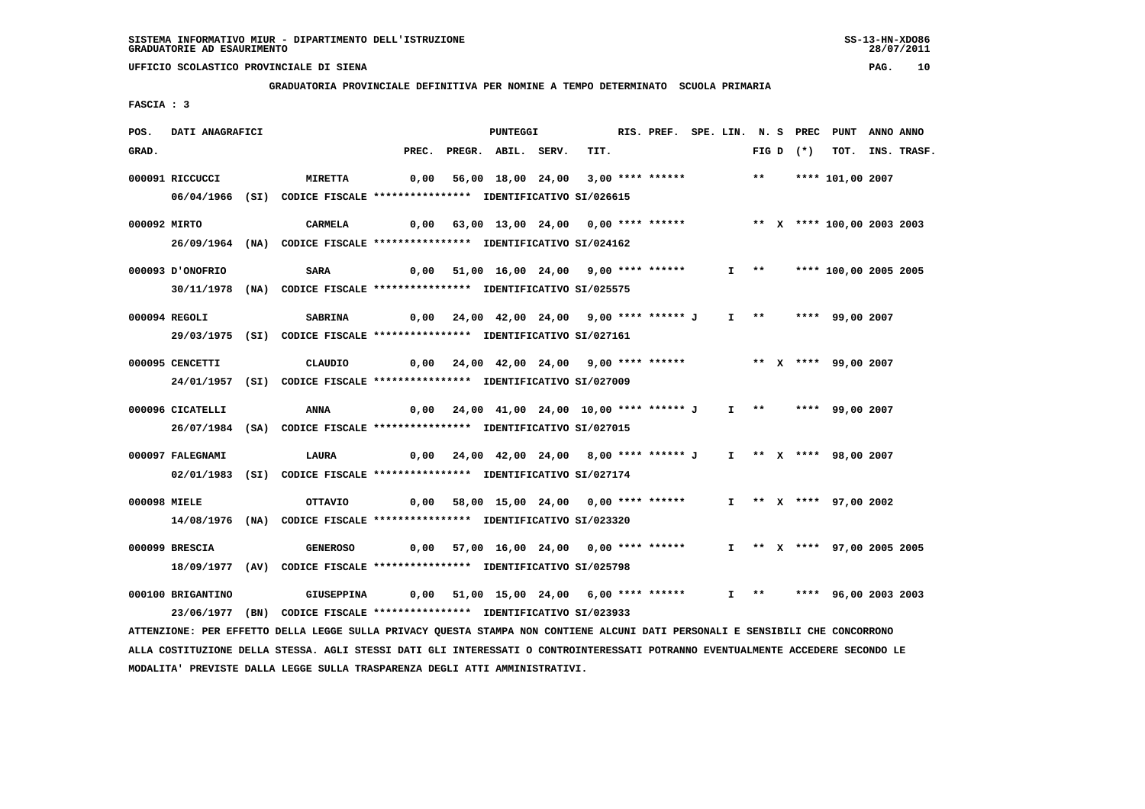**GRADUATORIA PROVINCIALE DEFINITIVA PER NOMINE A TEMPO DETERMINATO SCUOLA PRIMARIA**

 **FASCIA : 3**

| RIS. PREF. SPE. LIN. N. S PREC PUNT ANNO ANNO                                                                                   |
|---------------------------------------------------------------------------------------------------------------------------------|
| TOT. INS. TRASF.                                                                                                                |
|                                                                                                                                 |
|                                                                                                                                 |
|                                                                                                                                 |
| 0,00 63,00 13,00 24,00 0,00 **** ****** *** ** ** *** 100,00 2003 2003                                                          |
|                                                                                                                                 |
| I ** **** 100,00 2005 2005                                                                                                      |
|                                                                                                                                 |
|                                                                                                                                 |
|                                                                                                                                 |
|                                                                                                                                 |
|                                                                                                                                 |
|                                                                                                                                 |
|                                                                                                                                 |
|                                                                                                                                 |
|                                                                                                                                 |
|                                                                                                                                 |
|                                                                                                                                 |
|                                                                                                                                 |
|                                                                                                                                 |
| I ** X **** 97,00 2005 2005                                                                                                     |
|                                                                                                                                 |
|                                                                                                                                 |
| I **     ****   96,00 2003 2003                                                                                                 |
|                                                                                                                                 |
|                                                                                                                                 |
| ALLA COSTITUZIONE DELLA STESSA. AGLI STESSI DATI GLI INTERESSATI O CONTROINTERESSATI POTRANNO EVENTUALMENTE ACCEDERE SECONDO LE |

 **MODALITA' PREVISTE DALLA LEGGE SULLA TRASPARENZA DEGLI ATTI AMMINISTRATIVI.**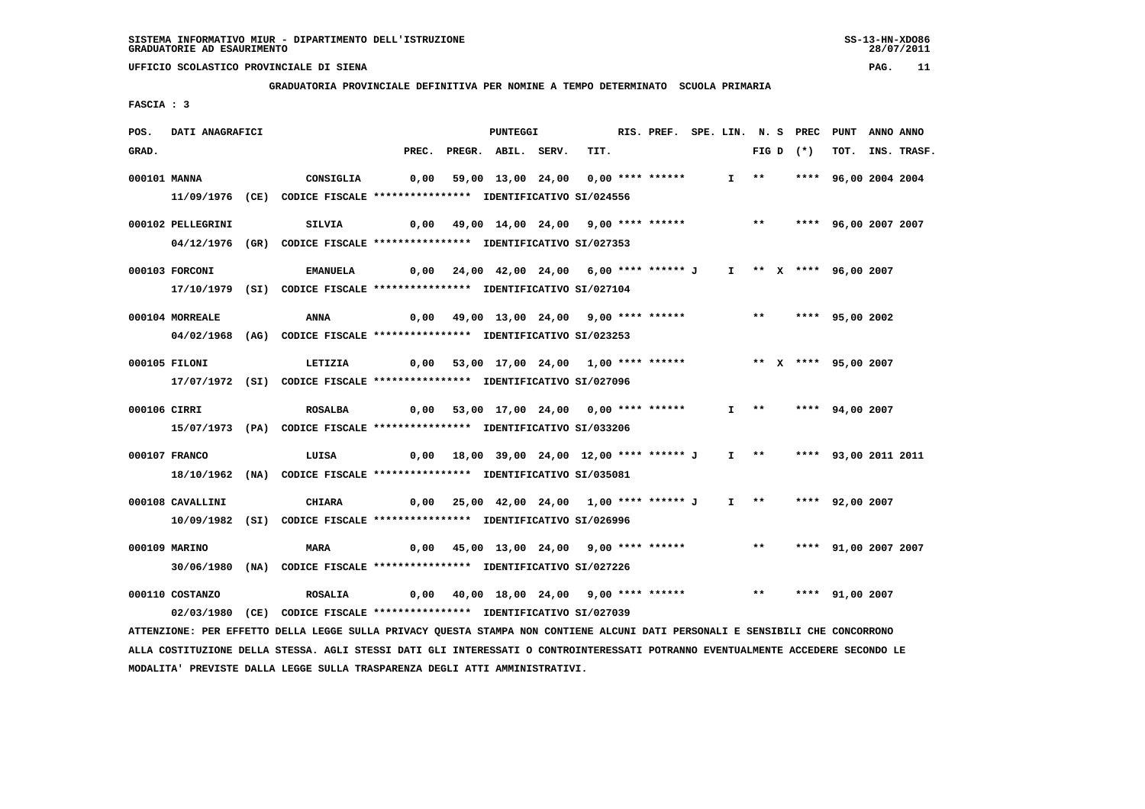**GRADUATORIA PROVINCIALE DEFINITIVA PER NOMINE A TEMPO DETERMINATO SCUOLA PRIMARIA**

 **FASCIA : 3**

| POS.  | DATI ANAGRAFICI   |                                                                                                                                 |       | <b>PUNTEGGI</b>                                          |      | RIS. PREF. SPE. LIN. N. S PREC PUNT |  |                     |             |                         | ANNO ANNO |             |
|-------|-------------------|---------------------------------------------------------------------------------------------------------------------------------|-------|----------------------------------------------------------|------|-------------------------------------|--|---------------------|-------------|-------------------------|-----------|-------------|
| GRAD. |                   |                                                                                                                                 | PREC. | PREGR. ABIL. SERV.                                       | TIT. |                                     |  |                     | FIG D $(*)$ | тот.                    |           | INS. TRASF. |
|       | 000101 MANNA      | CONSIGLIA                                                                                                                       | 0,00  | 59,00 13,00 24,00 0,00 **** ******                       |      |                                     |  | I **                |             | **** 96,00 2004 2004    |           |             |
|       |                   | 11/09/1976 (CE) CODICE FISCALE *************** IDENTIFICATIVO SI/024556                                                         |       |                                                          |      |                                     |  |                     |             |                         |           |             |
|       |                   |                                                                                                                                 |       |                                                          |      |                                     |  |                     |             |                         |           |             |
|       | 000102 PELLEGRINI | <b>SILVIA</b>                                                                                                                   |       | $0,00$ 49,00 14,00 24,00 9,00 **** ******                |      |                                     |  |                     |             | ** **** 96,00 2007 2007 |           |             |
|       |                   | 04/12/1976 (GR) CODICE FISCALE *************** IDENTIFICATIVO SI/027353                                                         |       |                                                          |      |                                     |  |                     |             |                         |           |             |
|       | 000103 FORCONI    | <b>EMANUELA</b>                                                                                                                 |       | 0,00 24,00 42,00 24,00 6,00 **** ****** J                |      |                                     |  |                     |             | I ** X **** 96,00 2007  |           |             |
|       |                   | 17/10/1979 (SI) CODICE FISCALE **************** IDENTIFICATIVO SI/027104                                                        |       |                                                          |      |                                     |  |                     |             |                         |           |             |
|       | 000104 MORREALE   | <b>ANNA</b>                                                                                                                     |       | $0,00$ 49,00 13,00 24,00 9,00 **** ******                |      |                                     |  | $***$               |             | **** 95,00 2002         |           |             |
|       |                   | 04/02/1968 (AG) CODICE FISCALE *************** IDENTIFICATIVO SI/023253                                                         |       |                                                          |      |                                     |  |                     |             |                         |           |             |
|       |                   |                                                                                                                                 |       |                                                          |      |                                     |  |                     |             |                         |           |             |
|       | 000105 FILONI     | LETIZIA                                                                                                                         |       | 0,00 53,00 17,00 24,00 1,00 **** ******                  |      |                                     |  |                     |             | ** X **** 95,00 2007    |           |             |
|       |                   | 17/07/1972 (SI) CODICE FISCALE *************** IDENTIFICATIVO SI/027096                                                         |       |                                                          |      |                                     |  |                     |             |                         |           |             |
|       | 000106 CIRRI      | <b>ROSALBA</b>                                                                                                                  |       | 0,00 53,00 17,00 24,00 0,00 **** ******                  |      |                                     |  |                     |             | I ** **** 94,00 2007    |           |             |
|       |                   | 15/07/1973 (PA) CODICE FISCALE *************** IDENTIFICATIVO SI/033206                                                         |       |                                                          |      |                                     |  |                     |             |                         |           |             |
|       |                   |                                                                                                                                 |       |                                                          |      |                                     |  |                     |             |                         |           |             |
|       | 000107 FRANCO     | LUISA                                                                                                                           |       | $0,00$ 18,00 39,00 24,00 12,00 **** ****** J             |      |                                     |  | $I \longrightarrow$ |             | **** 93,00 2011 2011    |           |             |
|       |                   | 18/10/1962 (NA) CODICE FISCALE *************** IDENTIFICATIVO SI/035081                                                         |       |                                                          |      |                                     |  |                     |             |                         |           |             |
|       | 000108 CAVALLINI  | <b>CHIARA</b>                                                                                                                   |       | $0,00$ $25,00$ $42,00$ $24,00$ $1,00$ $***$ **** ***** J |      |                                     |  | $I \quad * \quad$   |             | **** 92,00 2007         |           |             |
|       |                   | 10/09/1982 (SI) CODICE FISCALE *************** IDENTIFICATIVO SI/026996                                                         |       |                                                          |      |                                     |  |                     |             |                         |           |             |
|       |                   |                                                                                                                                 |       |                                                          |      |                                     |  |                     |             |                         |           |             |
|       | 000109 MARINO     | <b>MARA</b>                                                                                                                     | 0,00  | 45,00 13,00 24,00 9,00 **** ******                       |      |                                     |  | $***$               |             | **** 91,00 2007 2007    |           |             |
|       |                   | 30/06/1980 (NA) CODICE FISCALE *************** IDENTIFICATIVO SI/027226                                                         |       |                                                          |      |                                     |  |                     |             |                         |           |             |
|       | 000110 COSTANZO   | <b>ROSALIA</b>                                                                                                                  |       | 0,00 40,00 18,00 24,00 9,00 **** ******                  |      |                                     |  |                     |             | ** **** 91,00 2007      |           |             |
|       |                   | 02/03/1980 (CE) CODICE FISCALE *************** IDENTIFICATIVO SI/027039                                                         |       |                                                          |      |                                     |  |                     |             |                         |           |             |
|       |                   | ATTENZIONE: PER EFFETTO DELLA LEGGE SULLA PRIVACY QUESTA STAMPA NON CONTIENE ALCUNI DATI PERSONALI E SENSIBILI CHE CONCORRONO   |       |                                                          |      |                                     |  |                     |             |                         |           |             |
|       |                   | ALLA COSTITUZIONE DELLA STESSA. AGLI STESSI DATI GLI INTERESSATI O CONTROINTERESSATI POTRANNO EVENTUALMENTE ACCEDERE SECONDO LE |       |                                                          |      |                                     |  |                     |             |                         |           |             |

 **MODALITA' PREVISTE DALLA LEGGE SULLA TRASPARENZA DEGLI ATTI AMMINISTRATIVI.**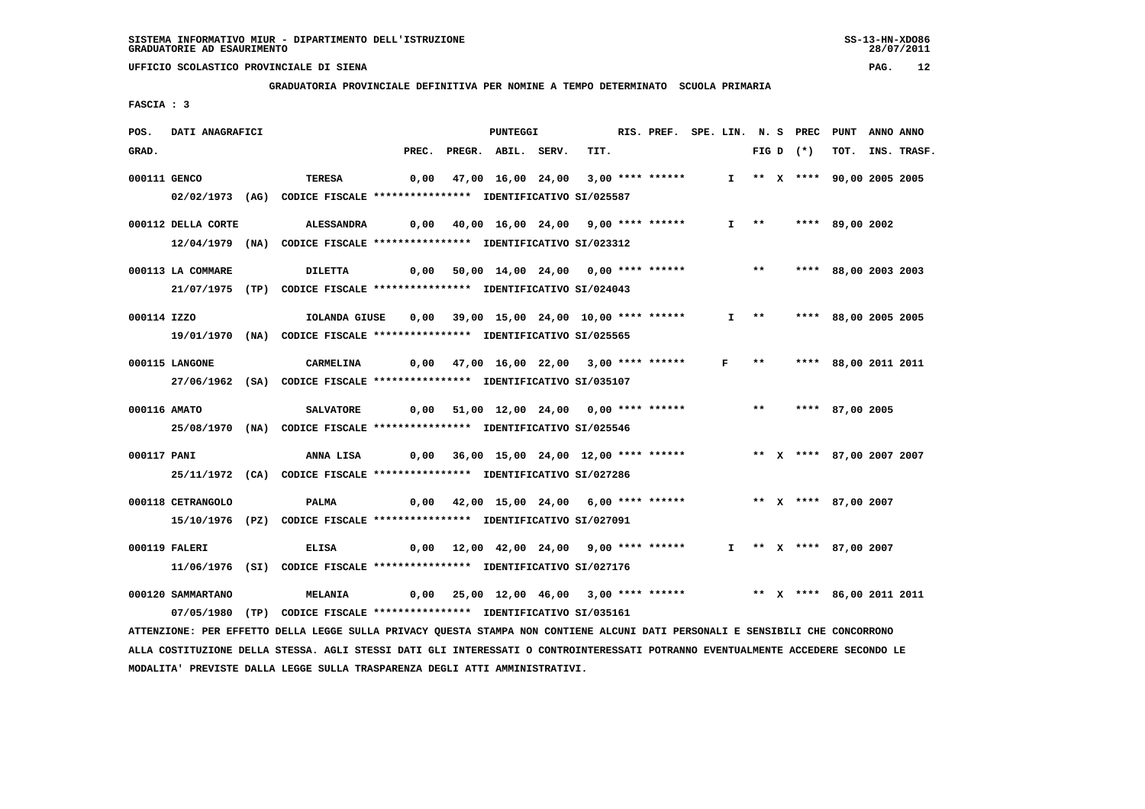**GRADUATORIA PROVINCIALE DEFINITIVA PER NOMINE A TEMPO DETERMINATO SCUOLA PRIMARIA**

 **FASCIA : 3**

| POS.         | DATI ANAGRAFICI    |                                                                                                                               |      | PUNTEGGI                                                              |      | RIS. PREF. SPE. LIN. N. S PREC PUNT ANNO ANNO |  |  |             |                             |                  |
|--------------|--------------------|-------------------------------------------------------------------------------------------------------------------------------|------|-----------------------------------------------------------------------|------|-----------------------------------------------|--|--|-------------|-----------------------------|------------------|
| GRAD.        |                    |                                                                                                                               |      | PREC. PREGR. ABIL. SERV.                                              | TIT. |                                               |  |  | FIG D $(*)$ |                             | TOT. INS. TRASF. |
| 000111 GENCO |                    | TERESA                                                                                                                        | 0,00 | 47,00 16,00 24,00 3,00 **** ******                                    |      |                                               |  |  |             | I ** X **** 90,00 2005 2005 |                  |
|              |                    | 02/02/1973 (AG) CODICE FISCALE *************** IDENTIFICATIVO SI/025587                                                       |      |                                                                       |      |                                               |  |  |             |                             |                  |
|              |                    |                                                                                                                               |      |                                                                       |      |                                               |  |  |             |                             |                  |
|              | 000112 DELLA CORTE | ALESSANDRA                                                                                                                    |      | $0,00$ 40,00 16,00 24,00 9,00 **** ******                             |      |                                               |  |  |             | I ** **** 89,00 2002        |                  |
|              |                    | 12/04/1979 (NA) CODICE FISCALE *************** IDENTIFICATIVO SI/023312                                                       |      |                                                                       |      |                                               |  |  |             |                             |                  |
|              | 000113 LA COMMARE  | <b>DILETTA</b>                                                                                                                |      | $0,00$ 50,00 14,00 24,00 0,00 **** ****** *** **                      |      |                                               |  |  |             | **** 88,00 2003 2003        |                  |
|              |                    | 21/07/1975 (TP) CODICE FISCALE *************** IDENTIFICATIVO SI/024043                                                       |      |                                                                       |      |                                               |  |  |             |                             |                  |
| 000114 IZZO  |                    | IOLANDA GIUSE                                                                                                                 |      | 0,00 39,00 15,00 24,00 10,00 **** ******                              |      |                                               |  |  |             | I ** **** 88,00 2005 2005   |                  |
|              |                    | 19/01/1970 (NA) CODICE FISCALE *************** IDENTIFICATIVO SI/025565                                                       |      |                                                                       |      |                                               |  |  |             |                             |                  |
|              |                    |                                                                                                                               |      |                                                                       |      |                                               |  |  |             |                             |                  |
|              | 000115 LANGONE     | CARMELINA                                                                                                                     |      | 0,00 47,00 16,00 22,00 3,00 **** ****** F **                          |      |                                               |  |  |             | **** 88,00 2011 2011        |                  |
|              |                    | 27/06/1962 (SA) CODICE FISCALE *************** IDENTIFICATIVO SI/035107                                                       |      |                                                                       |      |                                               |  |  |             |                             |                  |
|              | 000116 AMATO       | <b>SALVATORE</b>                                                                                                              |      | $0,00$ 51,00 12,00 24,00 0,00 **** ******                             |      |                                               |  |  |             | ** **** 87,00 2005          |                  |
|              |                    | 25/08/1970 (NA) CODICE FISCALE *************** IDENTIFICATIVO SI/025546                                                       |      |                                                                       |      |                                               |  |  |             |                             |                  |
|              |                    |                                                                                                                               |      |                                                                       |      |                                               |  |  |             |                             |                  |
| 000117 PANI  |                    | ANNA LISA 0,00 36,00 15,00 24,00 12,00 **** ****** *** ** ** *** 87,00 2007 2007                                              |      |                                                                       |      |                                               |  |  |             |                             |                  |
|              |                    | 25/11/1972 (CA) CODICE FISCALE *************** IDENTIFICATIVO SI/027286                                                       |      |                                                                       |      |                                               |  |  |             |                             |                  |
|              | 000118 CETRANGOLO  | PALMA                                                                                                                         |      | 0,00 42,00 15,00 24,00 6,00 **** ****** ***** ** ** **** 87,00 2007   |      |                                               |  |  |             |                             |                  |
|              |                    | 15/10/1976 (PZ) CODICE FISCALE *************** IDENTIFICATIVO SI/027091                                                       |      |                                                                       |      |                                               |  |  |             |                             |                  |
|              |                    |                                                                                                                               |      |                                                                       |      |                                               |  |  |             |                             |                  |
|              | 000119 FALERI      | <b>ELISA</b>                                                                                                                  |      | 0,00 12,00 42,00 24,00 9,00 **** ******                               |      |                                               |  |  |             | I ** X **** 87,00 2007      |                  |
|              |                    | 11/06/1976 (SI) CODICE FISCALE *************** IDENTIFICATIVO SI/027176                                                       |      |                                                                       |      |                                               |  |  |             |                             |                  |
|              | 000120 SAMMARTANO  | <b>MELANIA</b>                                                                                                                |      | 0,00 25,00 12,00 46,00 3,00 **** ****** **** *** **** 86,00 2011 2011 |      |                                               |  |  |             |                             |                  |
|              |                    | 07/05/1980 (TP) CODICE FISCALE *************** IDENTIFICATIVO SI/035161                                                       |      |                                                                       |      |                                               |  |  |             |                             |                  |
|              |                    | ATTENZIONE: PER EFFETTO DELLA LEGGE SULLA PRIVACY QUESTA STAMPA NON CONTIENE ALCUNI DATI PERSONALI E SENSIBILI CHE CONCORRONO |      |                                                                       |      |                                               |  |  |             |                             |                  |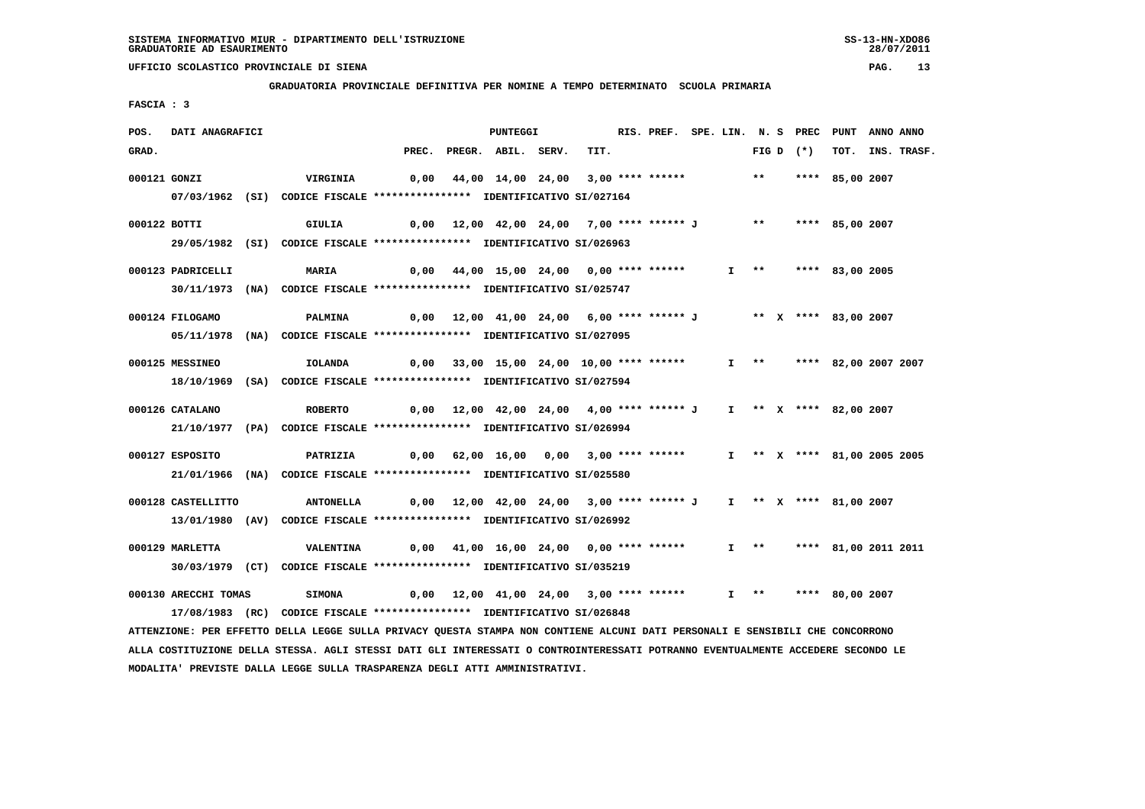**GRADUATORIA PROVINCIALE DEFINITIVA PER NOMINE A TEMPO DETERMINATO SCUOLA PRIMARIA**

 **FASCIA : 3**

| POS.  | DATI ANAGRAFICI      |                                                                          |                                                                      | <b>PUNTEGGI</b>                                                  |      |  |  |                   |             | RIS. PREF. SPE. LIN. N. S PREC PUNT ANNO ANNO |                  |
|-------|----------------------|--------------------------------------------------------------------------|----------------------------------------------------------------------|------------------------------------------------------------------|------|--|--|-------------------|-------------|-----------------------------------------------|------------------|
| GRAD. |                      |                                                                          | PREC.                                                                | PREGR. ABIL. SERV.                                               | TIT. |  |  |                   | FIG D $(*)$ |                                               | TOT. INS. TRASF. |
|       | 000121 GONZI         | <b>VIRGINIA</b>                                                          |                                                                      | 0,00 44,00 14,00 24,00 3,00 **** ******                          |      |  |  | $***$             |             | **** 85,00 2007                               |                  |
|       |                      | 07/03/1962 (SI) CODICE FISCALE *************** IDENTIFICATIVO SI/027164  |                                                                      |                                                                  |      |  |  |                   |             |                                               |                  |
|       |                      |                                                                          |                                                                      |                                                                  |      |  |  |                   |             |                                               |                  |
|       | 000122 BOTTI         | GIULIA                                                                   |                                                                      | 0,00 12,00 42,00 24,00 7,00 **** ****** J                        |      |  |  | $***$             |             | **** 85,00 2007                               |                  |
|       |                      | 29/05/1982 (SI) CODICE FISCALE *************** IDENTIFICATIVO SI/026963  |                                                                      |                                                                  |      |  |  |                   |             |                                               |                  |
|       | 000123 PADRICELLI    | <b>MARIA</b>                                                             |                                                                      | 0,00 44,00 15,00 24,00 0,00 **** ******                          |      |  |  |                   |             | I ** **** 83,00 2005                          |                  |
|       |                      | 30/11/1973 (NA) CODICE FISCALE *************** IDENTIFICATIVO SI/025747  |                                                                      |                                                                  |      |  |  |                   |             |                                               |                  |
|       | 000124 FILOGAMO      | PALMINA                                                                  |                                                                      | 0,00 12,00 41,00 24,00 6,00 **** ****** J ** X **** 83,00 2007   |      |  |  |                   |             |                                               |                  |
|       |                      | 05/11/1978 (NA) CODICE FISCALE *************** IDENTIFICATIVO SI/027095  |                                                                      |                                                                  |      |  |  |                   |             |                                               |                  |
|       |                      |                                                                          |                                                                      |                                                                  |      |  |  |                   |             |                                               |                  |
|       | 000125 MESSINEO      | <b>IOLANDA</b>                                                           |                                                                      | 0,00 33,00 15,00 24,00 10,00 **** ******                         |      |  |  |                   |             | I ** **** 82,00 2007 2007                     |                  |
|       |                      | 18/10/1969 (SA) CODICE FISCALE *************** IDENTIFICATIVO SI/027594  |                                                                      |                                                                  |      |  |  |                   |             |                                               |                  |
|       | 000126 CATALANO      | <b>ROBERTO</b>                                                           |                                                                      | 0,00 12,00 42,00 24,00 4,00 **** ****** J                        |      |  |  |                   |             | I ** X **** 82,00 2007                        |                  |
|       |                      | 21/10/1977 (PA) CODICE FISCALE *************** IDENTIFICATIVO SI/026994  |                                                                      |                                                                  |      |  |  |                   |             |                                               |                  |
|       |                      |                                                                          |                                                                      |                                                                  |      |  |  |                   |             |                                               |                  |
|       | 000127 ESPOSITO      | PATRIZIA                                                                 | 0,00 62,00 16,00 0,00 3,00 **** ******   I ** X **** 81,00 2005 2005 |                                                                  |      |  |  |                   |             |                                               |                  |
|       |                      | 21/01/1966 (NA) CODICE FISCALE **************** IDENTIFICATIVO SI/025580 |                                                                      |                                                                  |      |  |  |                   |             |                                               |                  |
|       | 000128 CASTELLITTO   | <b>ANTONELLA</b>                                                         |                                                                      | 0,00 12,00 42,00 24,00 3,00 **** ****** J I ** X **** 81,00 2007 |      |  |  |                   |             |                                               |                  |
|       |                      | 13/01/1980 (AV) CODICE FISCALE *************** IDENTIFICATIVO SI/026992  |                                                                      |                                                                  |      |  |  |                   |             |                                               |                  |
|       |                      |                                                                          |                                                                      |                                                                  |      |  |  |                   |             |                                               |                  |
|       | 000129 MARLETTA      | <b>VALENTINA</b>                                                         |                                                                      | 0,00 41,00 16,00 24,00 0,00 **** ******                          |      |  |  |                   |             | I ** **** 81,00 2011 2011                     |                  |
|       |                      | 30/03/1979 (CT) CODICE FISCALE *************** IDENTIFICATIVO SI/035219  |                                                                      |                                                                  |      |  |  |                   |             |                                               |                  |
|       | 000130 ARECCHI TOMAS | <b>SIMONA</b>                                                            |                                                                      | 0,00 12,00 41,00 24,00 3,00 **** ******                          |      |  |  | $I \quad * \quad$ |             | **** 80,00 2007                               |                  |
|       |                      | 17/08/1983 (RC) CODICE FISCALE *************** IDENTIFICATIVO SI/026848  |                                                                      |                                                                  |      |  |  |                   |             |                                               |                  |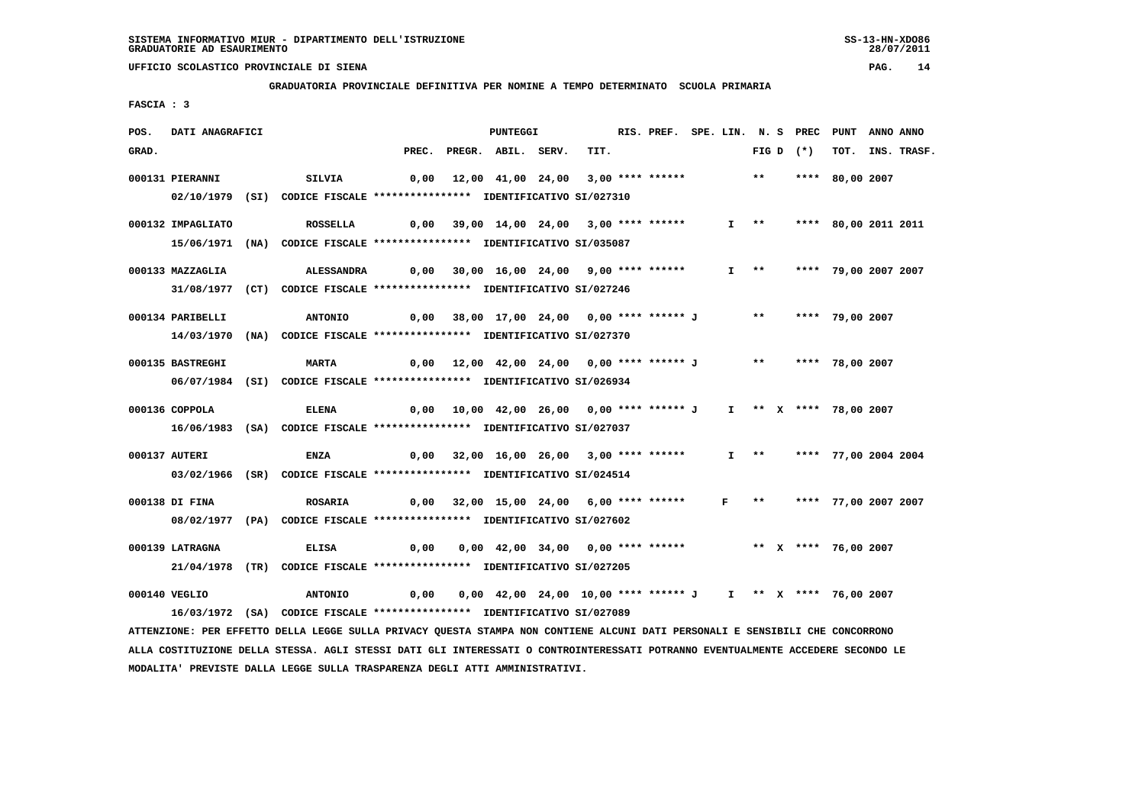**GRADUATORIA PROVINCIALE DEFINITIVA PER NOMINE A TEMPO DETERMINATO SCUOLA PRIMARIA**

 **FASCIA : 3**

| POS.  | DATI ANAGRAFICI   |                                                                         |                                                                                       | <b>PUNTEGGI</b>                                              |  | RIS. PREF. SPE. LIN. N. S PREC |  |                   |                           | PUNT                 | ANNO ANNO |                  |
|-------|-------------------|-------------------------------------------------------------------------|---------------------------------------------------------------------------------------|--------------------------------------------------------------|--|--------------------------------|--|-------------------|---------------------------|----------------------|-----------|------------------|
| GRAD. |                   |                                                                         | PREC.                                                                                 | PREGR. ABIL. SERV.                                           |  | TIT.                           |  |                   | FIG D $(*)$               |                      |           | TOT. INS. TRASF. |
|       | 000131 PIERANNI   | SILVIA                                                                  |                                                                                       | 0,00 12,00 41,00 24,00 3,00 **** ******                      |  |                                |  | $***$             |                           | **** 80,00 2007      |           |                  |
|       |                   | 02/10/1979 (SI) CODICE FISCALE *************** IDENTIFICATIVO SI/027310 |                                                                                       |                                                              |  |                                |  |                   |                           |                      |           |                  |
|       |                   |                                                                         |                                                                                       |                                                              |  |                                |  |                   |                           |                      |           |                  |
|       | 000132 IMPAGLIATO | ROSSELLA                                                                |                                                                                       | 0,00 39,00 14,00 24,00 3,00 **** ******                      |  |                                |  | $I \rightarrow *$ |                           | **** 80,00 2011 2011 |           |                  |
|       |                   | 15/06/1971 (NA) CODICE FISCALE *************** IDENTIFICATIVO SI/035087 |                                                                                       |                                                              |  |                                |  |                   |                           |                      |           |                  |
|       | 000133 MAZZAGLIA  | ALESSANDRA                                                              | 0,00 30,00 16,00 24,00 9,00 **** ******                                               |                                                              |  |                                |  |                   | I ** **** 79,00 2007 2007 |                      |           |                  |
|       |                   | 31/08/1977 (CT) CODICE FISCALE *************** IDENTIFICATIVO SI/027246 |                                                                                       |                                                              |  |                                |  |                   |                           |                      |           |                  |
|       |                   |                                                                         |                                                                                       |                                                              |  |                                |  |                   |                           |                      |           |                  |
|       | 000134 PARIBELLI  | <b>ANTONIO</b>                                                          |                                                                                       | 0,00 38,00 17,00 24,00 0,00 **** ****** J                    |  |                                |  | $***$             |                           | **** 79,00 2007      |           |                  |
|       |                   | 14/03/1970 (NA) CODICE FISCALE *************** IDENTIFICATIVO SI/027370 |                                                                                       |                                                              |  |                                |  |                   |                           |                      |           |                  |
|       | 000135 BASTREGHI  | <b>MARTA</b>                                                            |                                                                                       | 0,00 12,00 42,00 24,00 0,00 **** ****** J ** **** 78,00 2007 |  |                                |  |                   |                           |                      |           |                  |
|       |                   | 06/07/1984 (SI) CODICE FISCALE *************** IDENTIFICATIVO SI/026934 |                                                                                       |                                                              |  |                                |  |                   |                           |                      |           |                  |
|       |                   |                                                                         |                                                                                       |                                                              |  |                                |  |                   |                           |                      |           |                  |
|       | 000136 COPPOLA    | <b>ELENA</b>                                                            |                                                                                       |                                                              |  |                                |  |                   | I ** X **** 78,00 2007    |                      |           |                  |
|       |                   | 16/06/1983 (SA) CODICE FISCALE *************** IDENTIFICATIVO SI/027037 |                                                                                       |                                                              |  |                                |  |                   |                           |                      |           |                  |
|       | 000137 AUTERI     | <b>ENZA</b>                                                             | 0,00 32,00 16,00 26,00 3,00 **** ******                                               |                                                              |  |                                |  |                   | I ** **** 77,00 2004 2004 |                      |           |                  |
|       |                   | 03/02/1966 (SR) CODICE FISCALE *************** IDENTIFICATIVO SI/024514 |                                                                                       |                                                              |  |                                |  |                   |                           |                      |           |                  |
|       |                   |                                                                         |                                                                                       |                                                              |  |                                |  |                   |                           |                      |           |                  |
|       | 000138 DI FINA    | <b>ROSARIA</b>                                                          |                                                                                       | 0,00 32,00 15,00 24,00 6,00 **** ****** F                    |  |                                |  | $\star\star$      |                           | **** 77,00 2007 2007 |           |                  |
|       |                   | 08/02/1977 (PA) CODICE FISCALE *************** IDENTIFICATIVO SI/027602 |                                                                                       |                                                              |  |                                |  |                   |                           |                      |           |                  |
|       | 000139 LATRAGNA   | ELISA                                                                   | 0,00  0,00  42,00  34,00  0,00  ****  ******                 **    x **** 76,00  2007 |                                                              |  |                                |  |                   |                           |                      |           |                  |
|       |                   | 21/04/1978 (TR) CODICE FISCALE *************** IDENTIFICATIVO SI/027205 |                                                                                       |                                                              |  |                                |  |                   |                           |                      |           |                  |
|       |                   |                                                                         |                                                                                       |                                                              |  |                                |  |                   |                           |                      |           |                  |
|       | 000140 VEGLIO     | <b>ANTONIO</b>                                                          | 0,00                                                                                  | 0,00 42,00 24,00 10,00 **** ****** J                         |  |                                |  |                   | I ** X **** 76,00 2007    |                      |           |                  |
|       |                   | 16/03/1972 (SA) CODICE FISCALE *************** IDENTIFICATIVO SI/027089 |                                                                                       |                                                              |  |                                |  |                   |                           |                      |           |                  |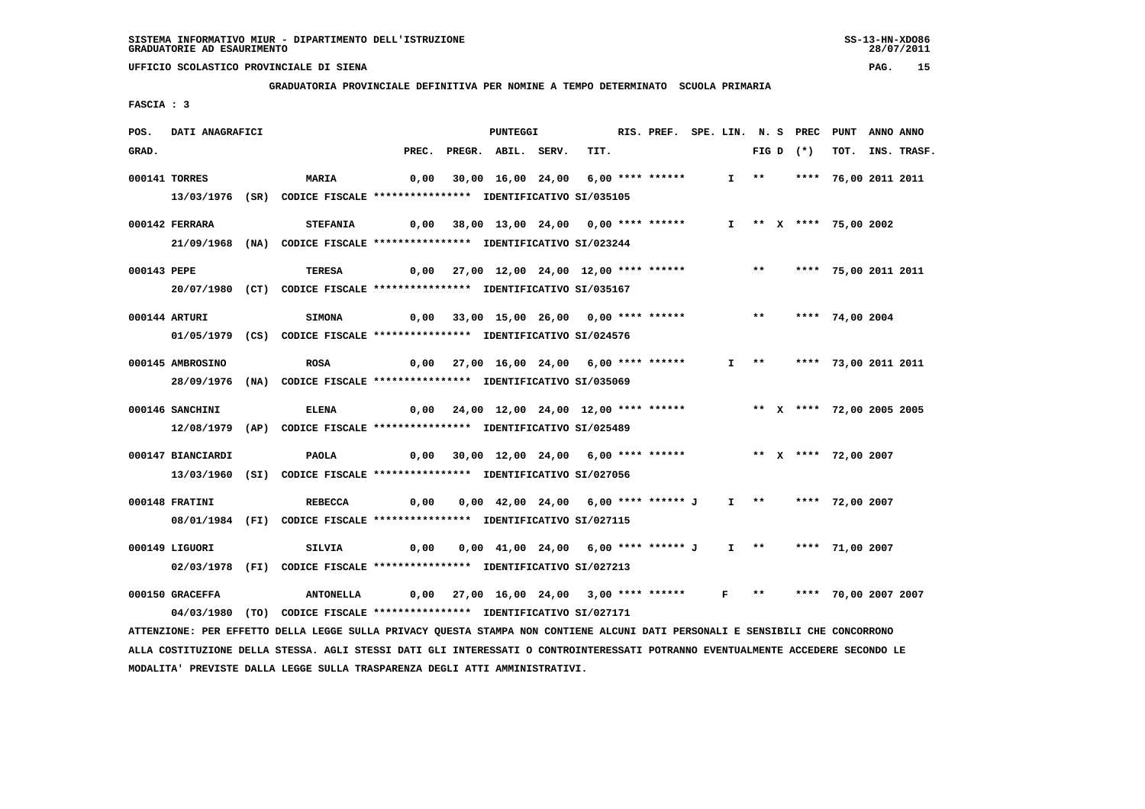**GRADUATORIA PROVINCIALE DEFINITIVA PER NOMINE A TEMPO DETERMINATO SCUOLA PRIMARIA**

 **FASCIA : 3**

| POS.  | DATI ANAGRAFICI   |                                                                                                                                                                                                          |       | <b>PUNTEGGI</b>                                                     |      | RIS. PREF. SPE. LIN. N. S PREC PUNT |  |                       |             |                           | ANNO ANNO |             |
|-------|-------------------|----------------------------------------------------------------------------------------------------------------------------------------------------------------------------------------------------------|-------|---------------------------------------------------------------------|------|-------------------------------------|--|-----------------------|-------------|---------------------------|-----------|-------------|
| GRAD. |                   |                                                                                                                                                                                                          | PREC. | PREGR. ABIL. SERV.                                                  | TIT. |                                     |  |                       | FIG D $(*)$ | тот.                      |           | INS. TRASF. |
|       | 000141 TORRES     | <b>MARIA</b>                                                                                                                                                                                             | 0,00  | 30,00 16,00 24,00 6,00 **** ******                                  |      |                                     |  | $I \rightarrow \star$ |             | **** 76,00 2011 2011      |           |             |
|       |                   | 13/03/1976 (SR) CODICE FISCALE *************** IDENTIFICATIVO SI/035105                                                                                                                                  |       |                                                                     |      |                                     |  |                       |             |                           |           |             |
|       | 000142 FERRARA    | <b>STEFANIA</b>                                                                                                                                                                                          |       | $0,00$ 38,00 13,00 24,00 0,00 **** ******                           |      |                                     |  |                       |             | I ** X **** 75,00 2002    |           |             |
|       |                   | 21/09/1968 (NA) CODICE FISCALE *************** IDENTIFICATIVO SI/023244                                                                                                                                  |       |                                                                     |      |                                     |  |                       |             |                           |           |             |
|       |                   |                                                                                                                                                                                                          |       |                                                                     |      |                                     |  |                       |             |                           |           |             |
|       | 000143 PEPE       | TERESA                                                                                                                                                                                                   |       | 0,00 27,00 12,00 24,00 12,00 **** ******                            |      |                                     |  | $\star\star$          |             | **** 75,00 2011 2011      |           |             |
|       |                   | 20/07/1980 (CT) CODICE FISCALE *************** IDENTIFICATIVO SI/035167                                                                                                                                  |       |                                                                     |      |                                     |  |                       |             |                           |           |             |
|       | 000144 ARTURI     | <b>SIMONA</b>                                                                                                                                                                                            |       | 0,00 33,00 15,00 26,00 0,00 **** ******                             |      |                                     |  |                       |             | ** **** 74,00 2004        |           |             |
|       |                   | 01/05/1979 (CS) CODICE FISCALE *************** IDENTIFICATIVO SI/024576                                                                                                                                  |       |                                                                     |      |                                     |  |                       |             |                           |           |             |
|       | 000145 AMBROSINO  | <b>ROSA</b>                                                                                                                                                                                              |       | $0,00$ 27,00 16,00 24,00 6,00 **** ******                           |      |                                     |  |                       |             | I ** **** 73,00 2011 2011 |           |             |
|       |                   | 28/09/1976 (NA) CODICE FISCALE *************** IDENTIFICATIVO SI/035069                                                                                                                                  |       |                                                                     |      |                                     |  |                       |             |                           |           |             |
|       |                   |                                                                                                                                                                                                          |       |                                                                     |      |                                     |  |                       |             |                           |           |             |
|       | 000146 SANCHINI   | ELENA                                                                                                                                                                                                    | 0,00  | 24,00 12,00 24,00 12,00 **** ******                                 |      |                                     |  |                       |             | ** X **** 72,00 2005 2005 |           |             |
|       |                   | 12/08/1979 (AP) CODICE FISCALE *************** IDENTIFICATIVO SI/025489                                                                                                                                  |       |                                                                     |      |                                     |  |                       |             |                           |           |             |
|       | 000147 BIANCIARDI | PAOLA                                                                                                                                                                                                    |       | 0,00 30,00 12,00 24,00 6,00 **** ****** **** *** ** **** 72,00 2007 |      |                                     |  |                       |             |                           |           |             |
|       |                   | 13/03/1960 (SI) CODICE FISCALE *************** IDENTIFICATIVO SI/027056                                                                                                                                  |       |                                                                     |      |                                     |  |                       |             |                           |           |             |
|       |                   |                                                                                                                                                                                                          |       |                                                                     |      |                                     |  |                       |             |                           |           |             |
|       | 000148 FRATINI    | <b>REBECCA</b>                                                                                                                                                                                           | 0,00  | 0,00 42,00 24,00 6,00 **** ****** J                                 |      |                                     |  |                       |             | I ** **** 72,00 2007      |           |             |
|       |                   | 08/01/1984 (FI) CODICE FISCALE *************** IDENTIFICATIVO SI/027115                                                                                                                                  |       |                                                                     |      |                                     |  |                       |             |                           |           |             |
|       | 000149 LIGUORI    | SILVIA                                                                                                                                                                                                   | 0,00  | 0,00 41,00 24,00 6,00 **** ****** J I **   **** 71,00 2007          |      |                                     |  |                       |             |                           |           |             |
|       |                   | 02/03/1978 (FI) CODICE FISCALE *************** IDENTIFICATIVO SI/027213                                                                                                                                  |       |                                                                     |      |                                     |  |                       |             |                           |           |             |
|       | 000150 GRACEFFA   |                                                                                                                                                                                                          |       | 0,00 27,00 16,00 24,00 3,00 **** ****** F ** **** 70,00 2007 2007   |      |                                     |  |                       |             |                           |           |             |
|       |                   | <b>ANTONELLA</b>                                                                                                                                                                                         |       |                                                                     |      |                                     |  |                       |             |                           |           |             |
|       |                   | 04/03/1980 (TO) CODICE FISCALE *************** IDENTIFICATIVO SI/027171<br>ATTENZIONE: PER EFFETTO DELLA LEGGE SULLA PRIVACY QUESTA STAMPA NON CONTIENE ALCUNI DATI PERSONALI E SENSIBILI CHE CONCORRONO |       |                                                                     |      |                                     |  |                       |             |                           |           |             |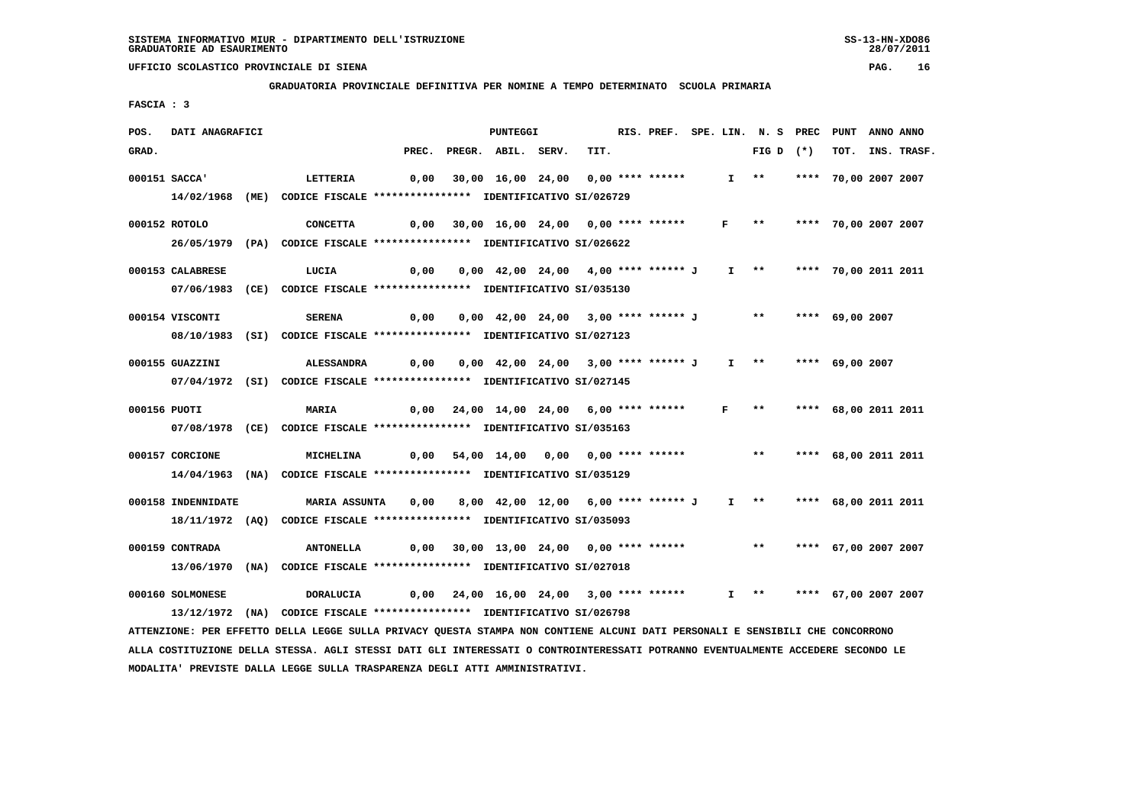**GRADUATORIA PROVINCIALE DEFINITIVA PER NOMINE A TEMPO DETERMINATO SCUOLA PRIMARIA**

 **FASCIA : 3**

| POS.  | DATI ANAGRAFICI    |                                                                                                                               |       | <b>PUNTEGGI</b>                                                    |      |  |  | RIS. PREF. SPE. LIN. N. S PREC PUNT |                      | ANNO ANNO |             |
|-------|--------------------|-------------------------------------------------------------------------------------------------------------------------------|-------|--------------------------------------------------------------------|------|--|--|-------------------------------------|----------------------|-----------|-------------|
| GRAD. |                    |                                                                                                                               | PREC. | PREGR. ABIL. SERV.                                                 | TIT. |  |  | FIG D $(*)$                         | тот.                 |           | INS. TRASF. |
|       | 000151 SACCA'      | <b>LETTERIA</b>                                                                                                               | 0,00  | 30,00 16,00 24,00 0,00 **** ******                                 |      |  |  | $I \rightarrow *$                   | **** 70,00 2007 2007 |           |             |
|       |                    | 14/02/1968 (ME) CODICE FISCALE *************** IDENTIFICATIVO SI/026729                                                       |       |                                                                    |      |  |  |                                     |                      |           |             |
|       | 000152 ROTOLO      |                                                                                                                               |       |                                                                    |      |  |  |                                     |                      |           |             |
|       |                    | <b>CONCETTA</b><br>26/05/1979 (PA) CODICE FISCALE *************** IDENTIFICATIVO SI/026622                                    |       | 0,00 30,00 16,00 24,00 0,00 **** ****** F ** **** 70,00 2007 2007  |      |  |  |                                     |                      |           |             |
|       |                    |                                                                                                                               |       |                                                                    |      |  |  |                                     |                      |           |             |
|       | 000153 CALABRESE   | LUCIA                                                                                                                         | 0,00  | 0,00 42,00 24,00 4,00 **** ****** J I **     **** 70,00 2011 2011  |      |  |  |                                     |                      |           |             |
|       |                    | 07/06/1983 (CE) CODICE FISCALE *************** IDENTIFICATIVO SI/035130                                                       |       |                                                                    |      |  |  |                                     |                      |           |             |
|       | 000154 VISCONTI    | <b>SERENA</b>                                                                                                                 |       | 0,00  0,00  42,00  24,00  3,00  ****  ******  J                    |      |  |  | ** **** 69,00 2007                  |                      |           |             |
|       |                    | 08/10/1983 (SI) CODICE FISCALE *************** IDENTIFICATIVO SI/027123                                                       |       |                                                                    |      |  |  |                                     |                      |           |             |
|       |                    |                                                                                                                               |       |                                                                    |      |  |  |                                     |                      |           |             |
|       | 000155 GUAZZINI    | <b>ALESSANDRA</b>                                                                                                             |       | $0,00$ $0,00$ $42,00$ $24,00$ $3,00$ **** ****** J                 |      |  |  | I ** **** 69,00 2007                |                      |           |             |
|       |                    | 07/04/1972 (SI) CODICE FISCALE *************** IDENTIFICATIVO SI/027145                                                       |       |                                                                    |      |  |  |                                     |                      |           |             |
|       | 000156 PUOTI       | <b>MARIA</b>                                                                                                                  |       | 0,00 24,00 14,00 24,00 6,00 **** ****** F **                       |      |  |  |                                     | **** 68,00 2011 2011 |           |             |
|       |                    | 07/08/1978 (CE) CODICE FISCALE *************** IDENTIFICATIVO SI/035163                                                       |       |                                                                    |      |  |  |                                     |                      |           |             |
|       | 000157 CORCIONE    | MICHELINA                                                                                                                     |       | 0,00 54,00 14,00 0,00 0,00 **** ******                             |      |  |  | $***$                               | **** 68,00 2011 2011 |           |             |
|       |                    | 14/04/1963 (NA) CODICE FISCALE *************** IDENTIFICATIVO SI/035129                                                       |       |                                                                    |      |  |  |                                     |                      |           |             |
|       |                    |                                                                                                                               |       |                                                                    |      |  |  |                                     |                      |           |             |
|       | 000158 INDENNIDATE | MARIA ASSUNTA                                                                                                                 |       | 0,00 8,00 42,00 12,00 6,00 **** ****** J I ** **** 68,00 2011 2011 |      |  |  |                                     |                      |           |             |
|       |                    | 18/11/1972 (AQ) CODICE FISCALE *************** IDENTIFICATIVO SI/035093                                                       |       |                                                                    |      |  |  |                                     |                      |           |             |
|       | 000159 CONTRADA    | <b>ANTONELLA</b>                                                                                                              | 0,00  | 30,00 13,00 24,00 0,00 **** ******                                 |      |  |  | $\star\star$                        | **** 67,00 2007 2007 |           |             |
|       |                    | 13/06/1970 (NA) CODICE FISCALE *************** IDENTIFICATIVO SI/027018                                                       |       |                                                                    |      |  |  |                                     |                      |           |             |
|       |                    |                                                                                                                               |       |                                                                    |      |  |  |                                     |                      |           |             |
|       | 000160 SOLMONESE   | <b>DORALUCIA</b>                                                                                                              |       | $0,00$ $24,00$ $16,00$ $24,00$ $3,00$ **** ******                  |      |  |  | I ** **** 67,00 2007 2007           |                      |           |             |
|       |                    | 13/12/1972 (NA) CODICE FISCALE **************** IDENTIFICATIVO SI/026798                                                      |       |                                                                    |      |  |  |                                     |                      |           |             |
|       |                    | ATTENZIONE: PER EFFETTO DELLA LEGGE SULLA PRIVACY OUESTA STAMPA NON CONTIENE ALCUNI DATI PERSONALI E SENSIBILI CHE CONCORRONO |       |                                                                    |      |  |  |                                     |                      |           |             |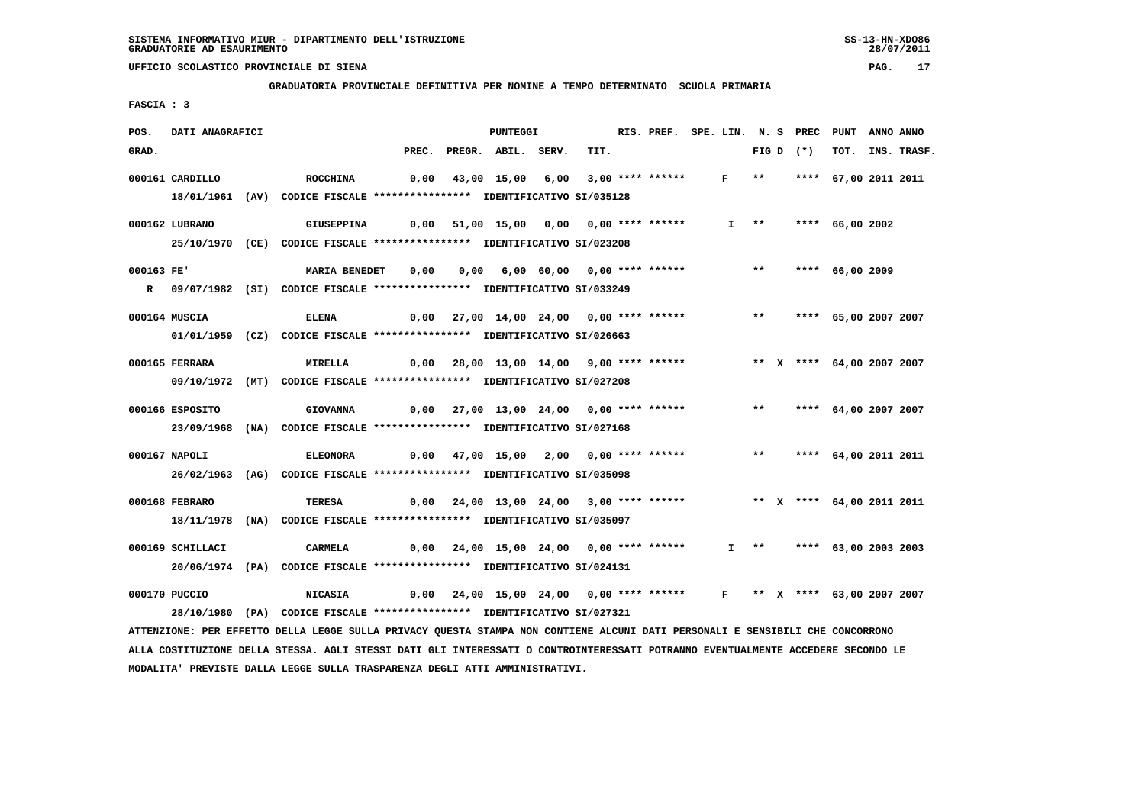**GRADUATORIA PROVINCIALE DEFINITIVA PER NOMINE A TEMPO DETERMINATO SCUOLA PRIMARIA**

 **FASCIA : 3**

| POS.       | DATI ANAGRAFICI  |                                                                            |       | PUNTEGGI                                                                |      | RIS. PREF. SPE. LIN. N. S PREC |                             |                       |                           | PUNT                 | ANNO ANNO |             |
|------------|------------------|----------------------------------------------------------------------------|-------|-------------------------------------------------------------------------|------|--------------------------------|-----------------------------|-----------------------|---------------------------|----------------------|-----------|-------------|
| GRAD.      |                  |                                                                            | PREC. | PREGR. ABIL. SERV.                                                      | TIT. |                                |                             |                       | FIG D $(*)$               | тот.                 |           | INS. TRASF. |
|            | 000161 CARDILLO  | <b>ROCCHINA</b>                                                            | 0,00  | 43,00 15,00 6,00 3,00 **** ******                                       |      |                                | $F \rightarrow \star \star$ |                       |                           | **** 67,00 2011 2011 |           |             |
|            |                  | 18/01/1961 (AV) CODICE FISCALE *************** IDENTIFICATIVO SI/035128    |       |                                                                         |      |                                |                             |                       |                           |                      |           |             |
|            |                  |                                                                            |       |                                                                         |      |                                |                             |                       |                           |                      |           |             |
|            | 000162 LUBRANO   | <b>GIUSEPPINA</b>                                                          |       | 0,00 51,00 15,00 0,00 0,00 **** ******                                  |      |                                |                             | $I \rightarrow \star$ |                           | **** 66,00 2002      |           |             |
|            |                  | 25/10/1970 (CE) CODICE FISCALE *************** IDENTIFICATIVO SI/023208    |       |                                                                         |      |                                |                             |                       |                           |                      |           |             |
| 000163 FE' |                  | <b>MARIA BENEDET</b>                                                       | 0,00  | 0,00 6,00 60,00 0,00 **** ******                                        |      |                                |                             | $***$                 |                           | **** 66,00 2009      |           |             |
|            |                  | R 09/07/1982 (SI) CODICE FISCALE **************** IDENTIFICATIVO SI/033249 |       |                                                                         |      |                                |                             |                       |                           |                      |           |             |
|            | 000164 MUSCIA    | ELENA                                                                      |       | 0,00 27,00 14,00 24,00 0,00 **** ******                                 |      |                                |                             |                       | ** **** 65,00 2007 2007   |                      |           |             |
|            |                  | 01/01/1959 (CZ) CODICE FISCALE *************** IDENTIFICATIVO SI/026663    |       |                                                                         |      |                                |                             |                       |                           |                      |           |             |
|            |                  |                                                                            |       |                                                                         |      |                                |                             |                       |                           |                      |           |             |
|            | 000165 FERRARA   | <b>MIRELLA</b>                                                             |       | 0,00 28,00 13,00 14,00 9,00 **** ******                                 |      |                                |                             |                       | ** X **** 64,00 2007 2007 |                      |           |             |
|            |                  | 09/10/1972 (MT) CODICE FISCALE *************** IDENTIFICATIVO SI/027208    |       |                                                                         |      |                                |                             |                       |                           |                      |           |             |
|            | 000166 ESPOSITO  | <b>GIOVANNA</b>                                                            |       | 0,00 27,00 13,00 24,00 0,00 **** ******                                 |      |                                |                             |                       | ** **** 64,00 2007 2007   |                      |           |             |
|            |                  | 23/09/1968 (NA) CODICE FISCALE *************** IDENTIFICATIVO SI/027168    |       |                                                                         |      |                                |                             |                       |                           |                      |           |             |
|            |                  |                                                                            |       |                                                                         |      |                                |                             |                       |                           |                      |           |             |
|            | 000167 NAPOLI    | <b>ELEONORA</b>                                                            |       | 0,00 47,00 15,00 2,00 0,00 **** ******                                  |      |                                |                             | $***$                 |                           | **** 64,00 2011 2011 |           |             |
|            |                  | 26/02/1963 (AG) CODICE FISCALE *************** IDENTIFICATIVO SI/035098    |       |                                                                         |      |                                |                             |                       |                           |                      |           |             |
|            | 000168 FEBRARO   | <b>TERESA</b>                                                              |       | 0,00 24,00 13,00 24,00 3,00 **** ****** *** ** ** ** ** 64,00 2011 2011 |      |                                |                             |                       |                           |                      |           |             |
|            |                  | 18/11/1978 (NA) CODICE FISCALE *************** IDENTIFICATIVO SI/035097    |       |                                                                         |      |                                |                             |                       |                           |                      |           |             |
|            |                  |                                                                            |       |                                                                         |      |                                |                             |                       |                           |                      |           |             |
|            | 000169 SCHILLACI | CARMELA                                                                    |       | 0,00 24,00 15,00 24,00 0,00 **** ******                                 |      |                                |                             |                       | I ** **** 63,00 2003 2003 |                      |           |             |
|            |                  | 20/06/1974 (PA) CODICE FISCALE *************** IDENTIFICATIVO SI/024131    |       |                                                                         |      |                                |                             |                       |                           |                      |           |             |
|            | 000170 PUCCIO    | <b>NICASIA</b>                                                             |       | 0,00 24,00 15,00 24,00 0,00 **** ****** F ** X **** 63,00 2007 2007     |      |                                |                             |                       |                           |                      |           |             |
|            |                  | 28/10/1980 (PA) CODICE FISCALE *************** IDENTIFICATIVO SI/027321    |       |                                                                         |      |                                |                             |                       |                           |                      |           |             |
|            |                  |                                                                            |       |                                                                         |      |                                |                             |                       |                           |                      |           |             |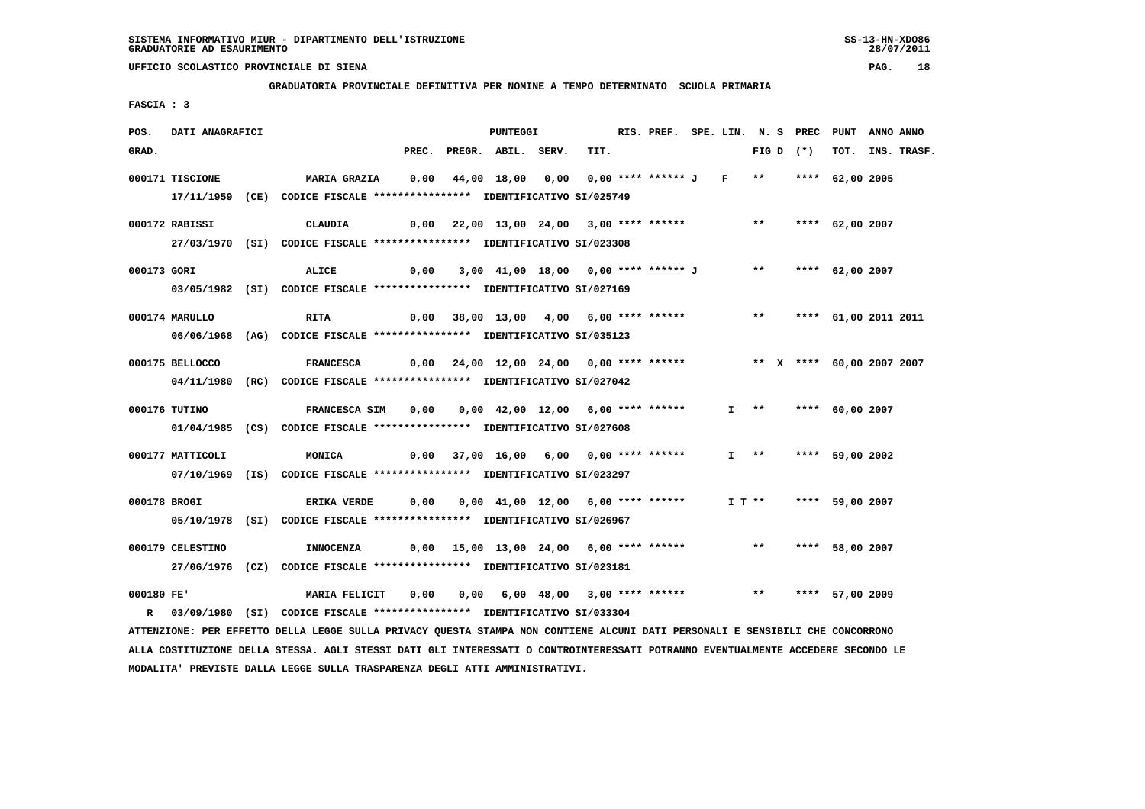**GRADUATORIA PROVINCIALE DEFINITIVA PER NOMINE A TEMPO DETERMINATO SCUOLA PRIMARIA**

 **FASCIA : 3**

| POS.         | DATI ANAGRAFICI  |                                                                                                       |      | PUNTEGGI                                                    |      | RIS. PREF. SPE. LIN. N. S PREC PUNT ANNO ANNO |  |                           |                 |                  |
|--------------|------------------|-------------------------------------------------------------------------------------------------------|------|-------------------------------------------------------------|------|-----------------------------------------------|--|---------------------------|-----------------|------------------|
| GRAD.        |                  |                                                                                                       |      | PREC. PREGR. ABIL. SERV.                                    | TIT. |                                               |  | FIG D $(*)$               |                 | TOT. INS. TRASF. |
|              | 000171 TISCIONE  | MARIA GRAZIA      0,00    44,00  18,00   0,00   0,00  **** ****** J    F    **      ****   62,00 2005 |      |                                                             |      |                                               |  |                           |                 |                  |
|              |                  | 17/11/1959 (CE) CODICE FISCALE *************** IDENTIFICATIVO SI/025749                               |      |                                                             |      |                                               |  |                           |                 |                  |
|              |                  |                                                                                                       |      |                                                             |      |                                               |  |                           |                 |                  |
|              | 000172 RABISSI   | CLAUDIA                                                                                               |      | 0,00 22,00 13,00 24,00 3,00 **** ****** *** **** 62,00 2007 |      |                                               |  |                           |                 |                  |
|              |                  | 27/03/1970 (SI) CODICE FISCALE *************** IDENTIFICATIVO SI/023308                               |      |                                                             |      |                                               |  |                           |                 |                  |
| 000173 GORI  |                  | ALICE                                                                                                 | 0,00 | 3,00 41,00 18,00 0,00 **** ****** J ** **** 62,00 2007      |      |                                               |  |                           |                 |                  |
|              |                  | 03/05/1982 (SI) CODICE FISCALE **************** IDENTIFICATIVO SI/027169                              |      |                                                             |      |                                               |  |                           |                 |                  |
|              | 000174 MARULLO   | <b>RITA</b>                                                                                           |      | 0,00 38,00 13,00 4,00 6,00 **** ******                      |      |                                               |  | ** **** 61,00 2011 2011   |                 |                  |
|              |                  | 06/06/1968 (AG) CODICE FISCALE *************** IDENTIFICATIVO SI/035123                               |      |                                                             |      |                                               |  |                           |                 |                  |
|              |                  |                                                                                                       |      |                                                             |      |                                               |  |                           |                 |                  |
|              | 000175 BELLOCCO  | FRANCESCA          0,00     24,00     12,00     24,00     0,00    ****    ******                      |      |                                                             |      |                                               |  | ** X **** 60,00 2007 2007 |                 |                  |
|              |                  | 04/11/1980 (RC) CODICE FISCALE *************** IDENTIFICATIVO SI/027042                               |      |                                                             |      |                                               |  |                           |                 |                  |
|              | 000176 TUTINO    | FRANCESCA SIM 0,00 0,00 42,00 12,00 6,00 **** ******                                                  |      |                                                             |      |                                               |  | I ** **** 60,00 2007      |                 |                  |
|              |                  | 01/04/1985 (CS) CODICE FISCALE *************** IDENTIFICATIVO SI/027608                               |      |                                                             |      |                                               |  |                           |                 |                  |
|              | 000177 MATTICOLI | <b>MONICA</b>                                                                                         |      | 0,00 37,00 16,00 6,00 0,00 **** ******                      |      |                                               |  | $I \rightarrow \star$     | **** 59,00 2002 |                  |
|              |                  | 07/10/1969 (IS) CODICE FISCALE *************** IDENTIFICATIVO SI/023297                               |      |                                                             |      |                                               |  |                           |                 |                  |
|              |                  |                                                                                                       |      |                                                             |      |                                               |  |                           |                 |                  |
| 000178 BROGI |                  | <b>ERIKA VERDE</b>                                                                                    |      | $0,00$ $0,00$ $41,00$ $12,00$ $6,00$ **** ******            |      |                                               |  | I T ** **** 59,00 2007    |                 |                  |
|              |                  | 05/10/1978 (SI) CODICE FISCALE *************** IDENTIFICATIVO SI/026967                               |      |                                                             |      |                                               |  |                           |                 |                  |
|              | 000179 CELESTINO | INNOCENZA                                                                                             |      | $0,00$ 15,00 13,00 24,00 6,00 **** ****** *** **            |      |                                               |  |                           | **** 58,00 2007 |                  |
|              |                  | 27/06/1976 (CZ) CODICE FISCALE *************** IDENTIFICATIVO SI/023181                               |      |                                                             |      |                                               |  |                           |                 |                  |
|              |                  |                                                                                                       |      |                                                             |      |                                               |  |                           |                 |                  |
|              | 000180 FE'       | MARIA FELICIT                                                                                         | 0,00 | 0,00 6,00 48,00 3,00 **** ******                            |      |                                               |  | $\star\star$              | **** 57,00 2009 |                  |
|              |                  | R 03/09/1980 (SI) CODICE FISCALE *************** IDENTIFICATIVO SI/033304                             |      |                                                             |      |                                               |  |                           |                 |                  |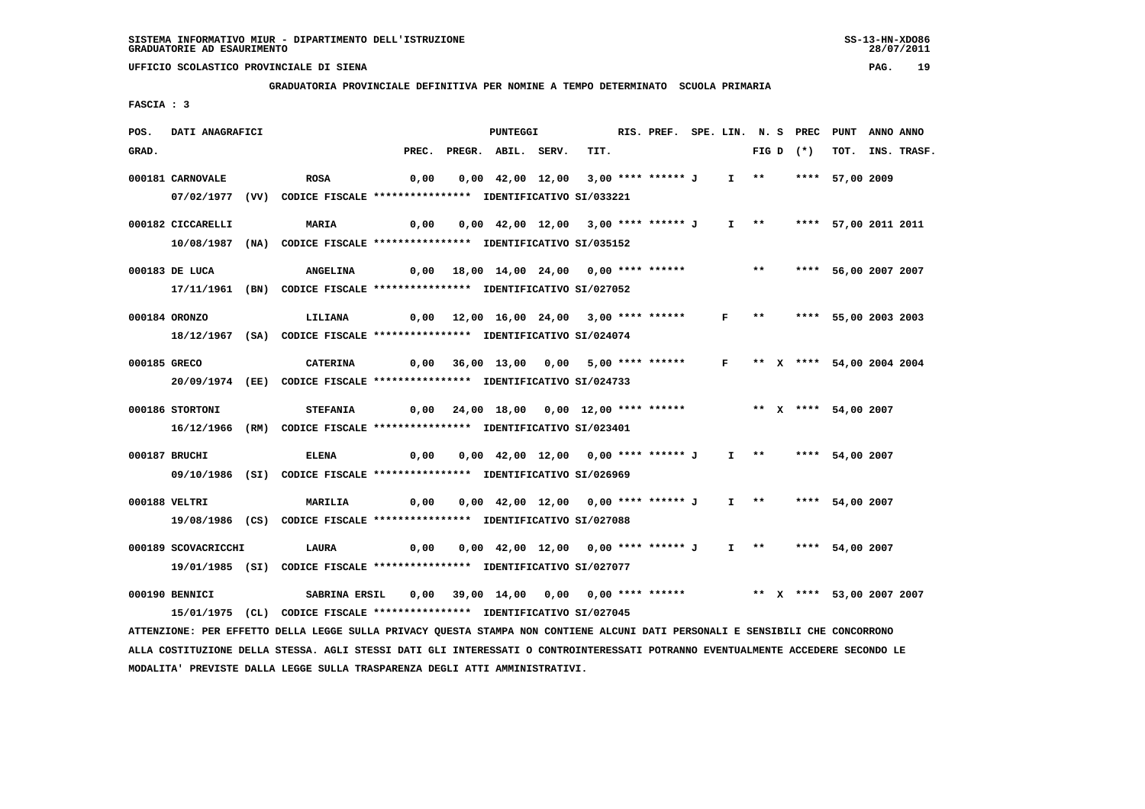### **GRADUATORIA PROVINCIALE DEFINITIVA PER NOMINE A TEMPO DETERMINATO SCUOLA PRIMARIA**

 **FASCIA : 3**

| POS.         | DATI ANAGRAFICI     |                                                                                   |       | <b>PUNTEGGI</b>                                            |      | RIS. PREF. SPE. LIN. N. S PREC |              |                       |  | PUNT                      | ANNO ANNO |             |
|--------------|---------------------|-----------------------------------------------------------------------------------|-------|------------------------------------------------------------|------|--------------------------------|--------------|-----------------------|--|---------------------------|-----------|-------------|
| GRAD.        |                     |                                                                                   | PREC. | PREGR. ABIL. SERV.                                         | TIT. |                                |              | FIG D $(*)$           |  | тот.                      |           | INS. TRASF. |
|              | 000181 CARNOVALE    | <b>ROSA</b>                                                                       | 0,00  | 0,00 42,00 12,00 3,00 **** ****** J                        |      |                                |              | $I \rightarrow *$     |  | **** 57,00 2009           |           |             |
|              |                     | 07/02/1977 (VV) CODICE FISCALE *************** IDENTIFICATIVO SI/033221           |       |                                                            |      |                                |              |                       |  |                           |           |             |
|              |                     |                                                                                   |       |                                                            |      |                                |              | $I \rightarrow \star$ |  |                           |           |             |
|              | 000182 CICCARELLI   | MARIA<br>10/08/1987 (NA) CODICE FISCALE **************** IDENTIFICATIVO SI/035152 | 0,00  | 0,00 42,00 12,00 3,00 **** ****** J                        |      |                                |              |                       |  | **** 57,00 2011 2011      |           |             |
|              |                     |                                                                                   |       |                                                            |      |                                |              |                       |  |                           |           |             |
|              | 000183 DE LUCA      | <b>ANGELINA</b>                                                                   |       | 0,00 18,00 14,00 24,00 0,00 **** ******                    |      |                                |              | $***$                 |  | **** 56,00 2007 2007      |           |             |
|              |                     | 17/11/1961 (BN) CODICE FISCALE *************** IDENTIFICATIVO SI/027052           |       |                                                            |      |                                |              |                       |  |                           |           |             |
|              | 000184 ORONZO       | LILIANA                                                                           | 0,00  | 12,00 16,00 24,00 3,00 **** ******                         |      |                                | F            | $***$                 |  | **** 55,00 2003 2003      |           |             |
|              |                     | 18/12/1967 (SA) CODICE FISCALE *************** IDENTIFICATIVO SI/024074           |       |                                                            |      |                                |              |                       |  |                           |           |             |
|              |                     |                                                                                   |       |                                                            |      |                                |              |                       |  |                           |           |             |
| 000185 GRECO |                     | <b>CATERINA</b>                                                                   |       | $0,00$ 36,00 13,00 0,00 5,00 **** ******                   |      |                                | $\mathbf{F}$ |                       |  | ** X **** 54,00 2004 2004 |           |             |
|              |                     | 20/09/1974 (EE) CODICE FISCALE *************** IDENTIFICATIVO SI/024733           |       |                                                            |      |                                |              |                       |  |                           |           |             |
|              | 000186 STORTONI     | <b>STEFANIA</b>                                                                   | 0,00  | 24,00 18,00 0,00 12,00 **** ****** * *** * **** 54,00 2007 |      |                                |              |                       |  |                           |           |             |
|              |                     | 16/12/1966 (RM) CODICE FISCALE *************** IDENTIFICATIVO SI/023401           |       |                                                            |      |                                |              |                       |  |                           |           |             |
|              | 000187 BRUCHI       | <b>ELENA</b>                                                                      | 0,00  | 0,00 42,00 12,00 0,00 **** ****** J                        |      |                                |              |                       |  | I ** **** 54,00 2007      |           |             |
|              |                     | 09/10/1986 (SI) CODICE FISCALE *************** IDENTIFICATIVO SI/026969           |       |                                                            |      |                                |              |                       |  |                           |           |             |
|              |                     |                                                                                   |       |                                                            |      |                                |              |                       |  |                           |           |             |
|              | 000188 VELTRI       | <b>MARILIA</b>                                                                    | 0,00  | 0,00 42,00 12,00 0,00 **** ****** J                        |      |                                |              | $I \rightarrow \star$ |  | **** 54,00 2007           |           |             |
|              |                     | 19/08/1986 (CS) CODICE FISCALE *************** IDENTIFICATIVO SI/027088           |       |                                                            |      |                                |              |                       |  |                           |           |             |
|              | 000189 SCOVACRICCHI | LAURA                                                                             | 0,00  | 0,00 42,00 12,00 0,00 **** ****** J                        |      |                                |              |                       |  | I ** **** 54,00 2007      |           |             |
|              |                     | 19/01/1985 (SI) CODICE FISCALE **************** IDENTIFICATIVO SI/027077          |       |                                                            |      |                                |              |                       |  |                           |           |             |
|              | 000190 BENNICI      | SABRINA ERSIL                                                                     | 0,00  | 39,00 14,00 0,00 0,00 **** ******                          |      |                                |              |                       |  | ** X **** 53,00 2007 2007 |           |             |
|              |                     | 15/01/1975 (CL) CODICE FISCALE *************** IDENTIFICATIVO SI/027045           |       |                                                            |      |                                |              |                       |  |                           |           |             |
|              |                     |                                                                                   |       |                                                            |      |                                |              |                       |  |                           |           |             |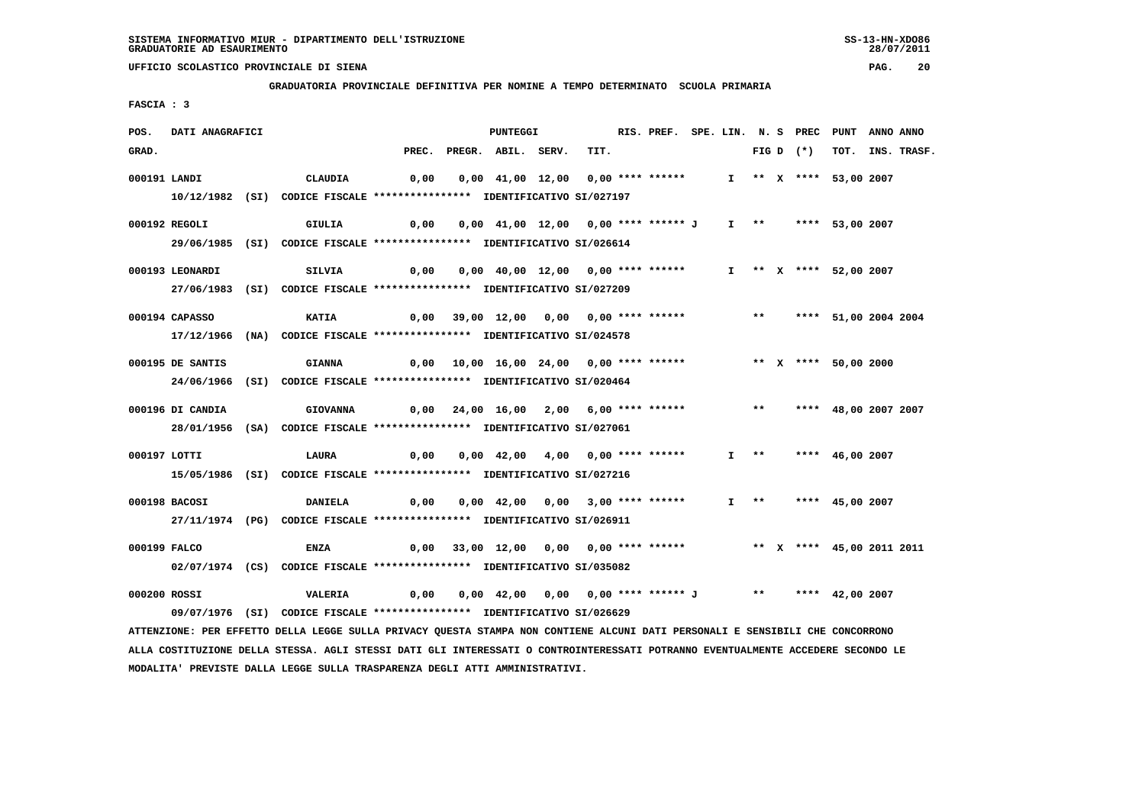**GRADUATORIA PROVINCIALE DEFINITIVA PER NOMINE A TEMPO DETERMINATO SCUOLA PRIMARIA**

 **FASCIA : 3**

| POS.  | DATI ANAGRAFICI  |                                                                                                                                                                                                                            |      | PUNTEGGI                                                              |      | RIS. PREF. SPE. LIN. N. S PREC PUNT ANNO ANNO |  |  |             |                        |                  |
|-------|------------------|----------------------------------------------------------------------------------------------------------------------------------------------------------------------------------------------------------------------------|------|-----------------------------------------------------------------------|------|-----------------------------------------------|--|--|-------------|------------------------|------------------|
| GRAD. |                  |                                                                                                                                                                                                                            |      | PREC. PREGR. ABIL. SERV.                                              | TIT. |                                               |  |  | FIG D $(*)$ |                        | TOT. INS. TRASF. |
|       | 000191 LANDI     | CLAUDIA                                                                                                                                                                                                                    | 0,00 | 0,00 41,00 12,00 0,00 **** ******                                     |      |                                               |  |  |             | I ** X **** 53,00 2007 |                  |
|       |                  | 10/12/1982 (SI) CODICE FISCALE *************** IDENTIFICATIVO SI/027197                                                                                                                                                    |      |                                                                       |      |                                               |  |  |             |                        |                  |
|       |                  |                                                                                                                                                                                                                            |      |                                                                       |      |                                               |  |  |             |                        |                  |
|       | 000192 REGOLI    | GIULIA                                                                                                                                                                                                                     | 0,00 | 0,00 41,00 12,00 0,00 **** ****** J                                   |      |                                               |  |  |             | I ** **** 53,00 2007   |                  |
|       |                  | 29/06/1985 (SI) CODICE FISCALE *************** IDENTIFICATIVO SI/026614                                                                                                                                                    |      |                                                                       |      |                                               |  |  |             |                        |                  |
|       | 000193 LEONARDI  | SILVIA                                                                                                                                                                                                                     | 0,00 | 0,00 40,00 12,00 0,00 **** ******                                     |      |                                               |  |  |             | I ** X **** 52,00 2007 |                  |
|       |                  | 27/06/1983 (SI) CODICE FISCALE *************** IDENTIFICATIVO SI/027209                                                                                                                                                    |      |                                                                       |      |                                               |  |  |             |                        |                  |
|       | 000194 CAPASSO   | <b>KATIA</b>                                                                                                                                                                                                               | 0,00 | 39,00 12,00 0,00 0,00 **** ****** *** **** 51,00 2004 2004            |      |                                               |  |  |             |                        |                  |
|       |                  | 17/12/1966 (NA) CODICE FISCALE *************** IDENTIFICATIVO SI/024578                                                                                                                                                    |      |                                                                       |      |                                               |  |  |             |                        |                  |
|       |                  |                                                                                                                                                                                                                            |      |                                                                       |      |                                               |  |  |             |                        |                  |
|       | 000195 DE SANTIS | <b>GIANNA</b>                                                                                                                                                                                                              |      | 0,00 10,00 16,00 24,00 0,00 **** ******                               |      |                                               |  |  |             | ** X **** 50,00 2000   |                  |
|       |                  | 24/06/1966 (SI) CODICE FISCALE *************** IDENTIFICATIVO SI/020464                                                                                                                                                    |      |                                                                       |      |                                               |  |  |             |                        |                  |
|       | 000196 DI CANDIA | <b>GIOVANNA</b>                                                                                                                                                                                                            |      | $0,00$ $24,00$ $16,00$ $2,00$ $6,00$ **** ****** *** **               |      |                                               |  |  |             | **** 48,00 2007 2007   |                  |
|       |                  | 28/01/1956 (SA) CODICE FISCALE *************** IDENTIFICATIVO SI/027061                                                                                                                                                    |      |                                                                       |      |                                               |  |  |             |                        |                  |
|       |                  |                                                                                                                                                                                                                            |      |                                                                       |      |                                               |  |  |             |                        |                  |
|       | 000197 LOTTI     | <b>LAURA</b>                                                                                                                                                                                                               | 0,00 | 0,00 42,00 4,00 0,00 **** ******                                      |      |                                               |  |  |             | I ** **** 46,00 2007   |                  |
|       |                  | 15/05/1986 (SI) CODICE FISCALE *************** IDENTIFICATIVO SI/027216                                                                                                                                                    |      |                                                                       |      |                                               |  |  |             |                        |                  |
|       | 000198 BACOSI    | <b>DANIELA</b>                                                                                                                                                                                                             | 0,00 | 0,00 42,00 0,00 3,00 **** ******                                      |      |                                               |  |  |             | I ** **** 45,00 2007   |                  |
|       |                  | 27/11/1974 (PG) CODICE FISCALE *************** IDENTIFICATIVO SI/026911                                                                                                                                                    |      |                                                                       |      |                                               |  |  |             |                        |                  |
|       |                  |                                                                                                                                                                                                                            |      |                                                                       |      |                                               |  |  |             |                        |                  |
|       | 000199 FALCO     | <b>ENZA</b>                                                                                                                                                                                                                | 0,00 | 33,00 12,00 0,00 0,00 **** ******           ** x **** 45,00 2011 2011 |      |                                               |  |  |             |                        |                  |
|       |                  | 02/07/1974 (CS) CODICE FISCALE *************** IDENTIFICATIVO SI/035082                                                                                                                                                    |      |                                                                       |      |                                               |  |  |             |                        |                  |
|       |                  |                                                                                                                                                                                                                            |      |                                                                       |      |                                               |  |  |             |                        |                  |
|       |                  |                                                                                                                                                                                                                            |      |                                                                       |      |                                               |  |  |             |                        |                  |
|       |                  |                                                                                                                                                                                                                            |      |                                                                       |      |                                               |  |  |             |                        |                  |
|       | 000200 ROSSI     | <b>VALERIA</b><br>09/07/1976 (SI) CODICE FISCALE *************** IDENTIFICATIVO SI/026629<br>ATTENZIONE: PER EFFETTO DELLA LEGGE SULLA PRIVACY QUESTA STAMPA NON CONTIENE ALCUNI DATI PERSONALI E SENSIBILI CHE CONCORRONO |      |                                                                       |      |                                               |  |  |             |                        |                  |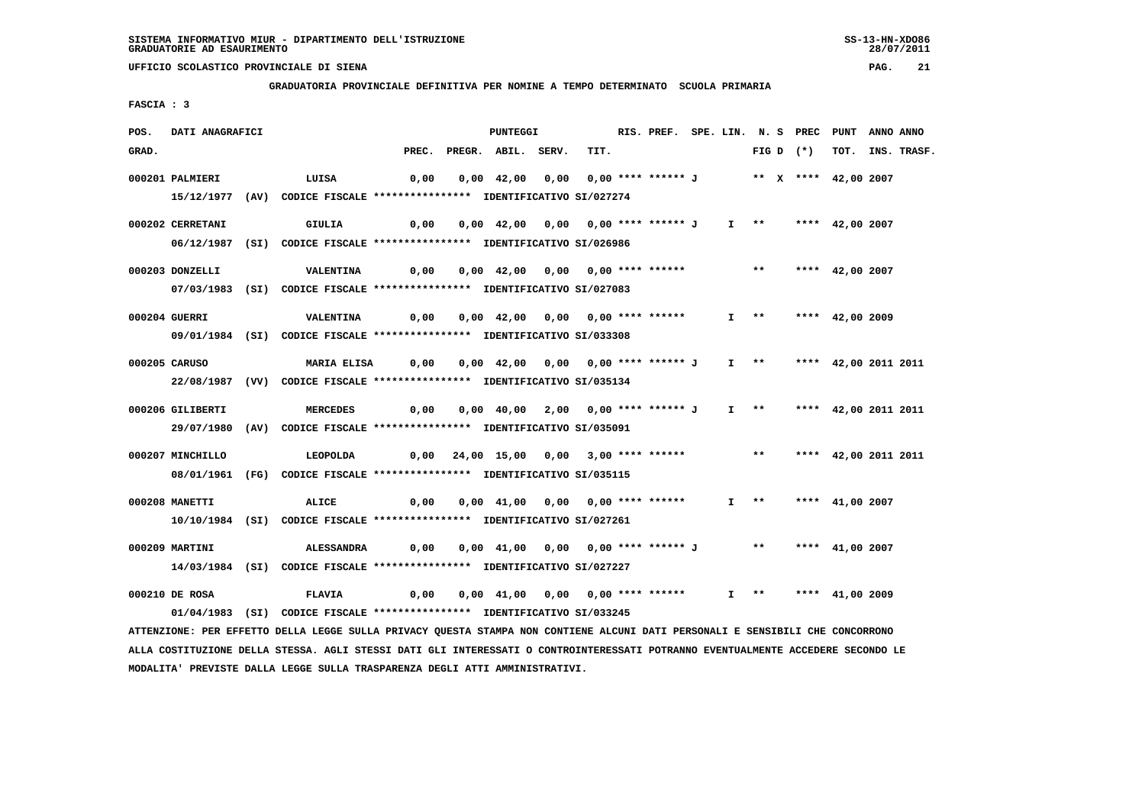**GRADUATORIA PROVINCIALE DEFINITIVA PER NOMINE A TEMPO DETERMINATO SCUOLA PRIMARIA**

 **FASCIA : 3**

| POS.  | DATI ANAGRAFICI  |                                                                                  |                                                                      | PUNTEGGI                                                                                          |      | RIS. PREF. SPE. LIN. N. S PREC PUNT ANNO ANNO |                       |                   |             |                           |             |
|-------|------------------|----------------------------------------------------------------------------------|----------------------------------------------------------------------|---------------------------------------------------------------------------------------------------|------|-----------------------------------------------|-----------------------|-------------------|-------------|---------------------------|-------------|
| GRAD. |                  |                                                                                  |                                                                      | PREC. PREGR. ABIL. SERV.                                                                          | TIT. |                                               |                       |                   | FIG D $(*)$ | тот.                      | INS. TRASF. |
|       | 000201 PALMIERI  | LUISA                                                                            | 0,00                                                                 | 0,00 42,00     0,00     0,00     ****     ******     J            **     x     **** 42,00    2007 |      |                                               |                       |                   |             |                           |             |
|       |                  | 15/12/1977 (AV) CODICE FISCALE *************** IDENTIFICATIVO SI/027274          |                                                                      |                                                                                                   |      |                                               |                       |                   |             |                           |             |
|       | 000202 CERRETANI | GIULIA                                                                           |                                                                      |                                                                                                   |      |                                               |                       |                   |             | I ** **** 42,00 2007      |             |
|       |                  | 06/12/1987 (SI) CODICE FISCALE *************** IDENTIFICATIVO SI/026986          |                                                                      |                                                                                                   |      |                                               |                       |                   |             |                           |             |
|       |                  |                                                                                  |                                                                      |                                                                                                   |      |                                               |                       |                   |             |                           |             |
|       | 000203 DONZELLI  | <b>VALENTINA</b>                                                                 |                                                                      |                                                                                                   |      |                                               |                       | $***$             |             | **** $42,00$ 2007         |             |
|       |                  | 07/03/1983 (SI) CODICE FISCALE *************** IDENTIFICATIVO SI/027083          |                                                                      |                                                                                                   |      |                                               |                       |                   |             |                           |             |
|       | 000204 GUERRI    | VALENTINA                                                                        |                                                                      |                                                                                                   |      |                                               | $I \rightarrow \star$ |                   |             | **** $42,00$ 2009         |             |
|       |                  | 09/01/1984 (SI) CODICE FISCALE *************** IDENTIFICATIVO SI/033308          |                                                                      |                                                                                                   |      |                                               |                       |                   |             |                           |             |
|       | 000205 CARUSO    |                                                                                  | MARIA ELISA      0,00    0,00   42,00   0,00   0,00   ****  ****** J |                                                                                                   |      |                                               |                       |                   |             | I ** **** 42,00 2011 2011 |             |
|       |                  | 22/08/1987 (VV) CODICE FISCALE *************** IDENTIFICATIVO SI/035134          |                                                                      |                                                                                                   |      |                                               |                       |                   |             |                           |             |
|       |                  |                                                                                  |                                                                      |                                                                                                   |      |                                               |                       |                   |             |                           |             |
|       | 000206 GILIBERTI | <b>MERCEDES</b>                                                                  |                                                                      |                                                                                                   |      |                                               |                       | $I \quad * \quad$ |             | **** 42,00 2011 2011      |             |
|       |                  | 29/07/1980 (AV) CODICE FISCALE *************** IDENTIFICATIVO SI/035091          |                                                                      |                                                                                                   |      |                                               |                       |                   |             |                           |             |
|       | 000207 MINCHILLO | LEOPOLDA                                                                         |                                                                      | $0,00$ 24,00 15,00 0,00 3,00 **** ******                                                          |      |                                               |                       | $***$             |             | **** 42,00 2011 2011      |             |
|       |                  | 08/01/1961 (FG) CODICE FISCALE *************** IDENTIFICATIVO SI/035115          |                                                                      |                                                                                                   |      |                                               |                       |                   |             |                           |             |
|       |                  |                                                                                  |                                                                      |                                                                                                   |      |                                               |                       | $I$ **            |             |                           |             |
|       | 000208 MANETTI   | ALICE<br>10/10/1984 (SI) CODICE FISCALE *************** IDENTIFICATIVO SI/027261 |                                                                      |                                                                                                   |      |                                               |                       |                   |             | **** $41,00$ 2007         |             |
|       |                  |                                                                                  |                                                                      |                                                                                                   |      |                                               |                       |                   |             |                           |             |
|       | 000209 MARTINI   | <b>ALESSANDRA</b>                                                                |                                                                      | 0,00 0,00 41,00 0,00 0,00 **** ****** J ** **** 41,00 2007                                        |      |                                               |                       |                   |             |                           |             |
|       |                  | 14/03/1984 (SI) CODICE FISCALE *************** IDENTIFICATIVO SI/027227          |                                                                      |                                                                                                   |      |                                               |                       |                   |             |                           |             |
|       | 000210 DE ROSA   | <b>FLAVIA</b>                                                                    |                                                                      |                                                                                                   |      |                                               | $\mathbf{I}$          | $**$              |             | **** $41,00$ 2009         |             |
|       |                  | 01/04/1983 (SI) CODICE FISCALE *************** IDENTIFICATIVO SI/033245          |                                                                      |                                                                                                   |      |                                               |                       |                   |             |                           |             |
|       |                  |                                                                                  |                                                                      |                                                                                                   |      |                                               |                       |                   |             |                           |             |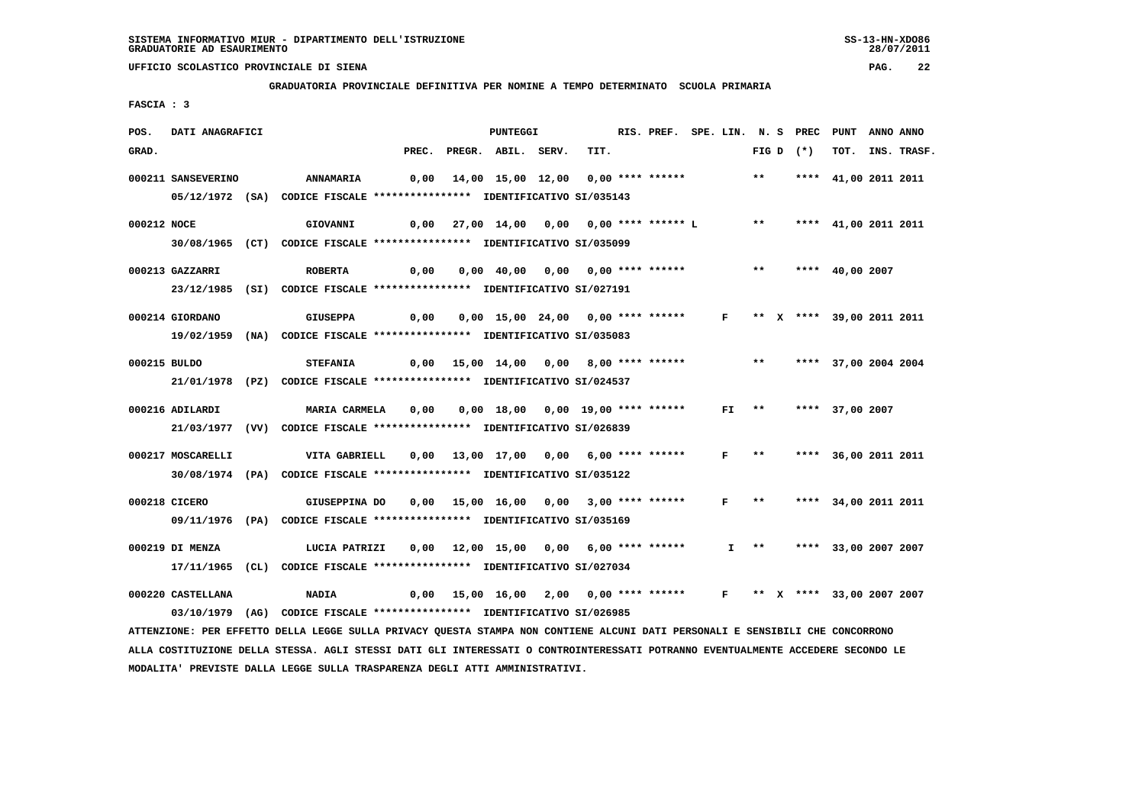**GRADUATORIA PROVINCIALE DEFINITIVA PER NOMINE A TEMPO DETERMINATO SCUOLA PRIMARIA**

 **FASCIA : 3**

| POS.        | DATI ANAGRAFICI    |                                                                                                                               |       | <b>PUNTEGGI</b>                                                      |      | RIS. PREF. SPE. LIN. N. S PREC PUNT ANNO ANNO |              |                           |                      |                  |
|-------------|--------------------|-------------------------------------------------------------------------------------------------------------------------------|-------|----------------------------------------------------------------------|------|-----------------------------------------------|--------------|---------------------------|----------------------|------------------|
| GRAD.       |                    |                                                                                                                               | PREC. | PREGR. ABIL. SERV.                                                   | TIT. |                                               |              | FIG D $(*)$               |                      | TOT. INS. TRASF. |
|             | 000211 SANSEVERINO | <b>ANNAMARIA</b>                                                                                                              |       | 0,00 14,00 15,00 12,00 0,00 **** ****** *** **                       |      |                                               |              |                           | **** 41,00 2011 2011 |                  |
|             |                    | 05/12/1972 (SA) CODICE FISCALE *************** IDENTIFICATIVO SI/035143                                                       |       |                                                                      |      |                                               |              |                           |                      |                  |
| 000212 NOCE |                    | <b>GIOVANNI</b>                                                                                                               |       | $0,00$ 27,00 $14,00$ 0,00 0,00 **** ****** L ** **** 41,00 2011 2011 |      |                                               |              |                           |                      |                  |
|             |                    | 30/08/1965 (CT) CODICE FISCALE *************** IDENTIFICATIVO SI/035099                                                       |       |                                                                      |      |                                               |              |                           |                      |                  |
|             | 000213 GAZZARRI    | <b>ROBERTA</b>                                                                                                                | 0,00  | 0,00 40,00 0,00 0,00 **** ******                                     |      |                                               |              | $***$                     | **** 40,00 2007      |                  |
|             |                    | 23/12/1985 (SI) CODICE FISCALE *************** IDENTIFICATIVO SI/027191                                                       |       |                                                                      |      |                                               |              |                           |                      |                  |
|             |                    |                                                                                                                               |       |                                                                      |      |                                               |              |                           |                      |                  |
|             | 000214 GIORDANO    | <b>GIUSEPPA</b>                                                                                                               |       | 0,00 0,00 15,00 24,00 0,00 **** ****** F ** X **** 39,00 2011 2011   |      |                                               |              |                           |                      |                  |
|             |                    | 19/02/1959 (NA) CODICE FISCALE *************** IDENTIFICATIVO SI/035083                                                       |       |                                                                      |      |                                               |              |                           |                      |                  |
|             | 000215 BULDO       | <b>STEFANIA</b>                                                                                                               |       | 0,00 15,00 14,00 0,00 8,00 **** ****** *** *** **** 37,00 2004 2004  |      |                                               |              |                           |                      |                  |
|             |                    | 21/01/1978 (PZ) CODICE FISCALE *************** IDENTIFICATIVO SI/024537                                                       |       |                                                                      |      |                                               |              |                           |                      |                  |
|             | 000216 ADILARDI    | MARIA CARMELA                                                                                                                 | 0,00  |                                                                      |      |                                               |              | $FI$ **                   | **** 37,00 2007      |                  |
|             |                    | 21/03/1977 (VV) CODICE FISCALE *************** IDENTIFICATIVO SI/026839                                                       |       |                                                                      |      |                                               |              |                           |                      |                  |
|             |                    |                                                                                                                               |       |                                                                      |      |                                               |              |                           |                      |                  |
|             | 000217 MOSCARELLI  | VITA GABRIELL                                                                                                                 |       | 0,00 13,00 17,00 0,00 6,00 **** ******                               |      |                                               | F            | $***$                     | **** 36,00 2011 2011 |                  |
|             |                    | 30/08/1974 (PA) CODICE FISCALE **************** IDENTIFICATIVO SI/035122                                                      |       |                                                                      |      |                                               |              |                           |                      |                  |
|             | 000218 CICERO      | GIUSEPPINA DO                                                                                                                 |       | 0,00 15,00 16,00 0,00 3,00 **** ******                               |      |                                               | $\mathbf{F}$ | $\star\star$              | **** 34,00 2011 2011 |                  |
|             |                    | 09/11/1976 (PA) CODICE FISCALE *************** IDENTIFICATIVO SI/035169                                                       |       |                                                                      |      |                                               |              |                           |                      |                  |
|             |                    |                                                                                                                               |       |                                                                      |      |                                               |              |                           |                      |                  |
|             | 000219 DI MENZA    | LUCIA PATRIZI                                                                                                                 |       | 0,00 12,00 15,00 0,00 6,00 **** ******                               |      |                                               |              | I ** **** 33,00 2007 2007 |                      |                  |
|             |                    | 17/11/1965 (CL) CODICE FISCALE *************** IDENTIFICATIVO SI/027034                                                       |       |                                                                      |      |                                               |              |                           |                      |                  |
|             | 000220 CASTELLANA  | <b>NADIA</b>                                                                                                                  |       | 0,00 15,00 16,00 2,00 0,00 **** ****** F ** X **** 33,00 2007 2007   |      |                                               |              |                           |                      |                  |
|             |                    | 03/10/1979 (AG) CODICE FISCALE *************** IDENTIFICATIVO SI/026985                                                       |       |                                                                      |      |                                               |              |                           |                      |                  |
|             |                    | ATTENZIONE: PER EFFETTO DELLA LEGGE SULLA PRIVACY QUESTA STAMPA NON CONTIENE ALCUNI DATI PERSONALI E SENSIBILI CHE CONCORRONO |       |                                                                      |      |                                               |              |                           |                      |                  |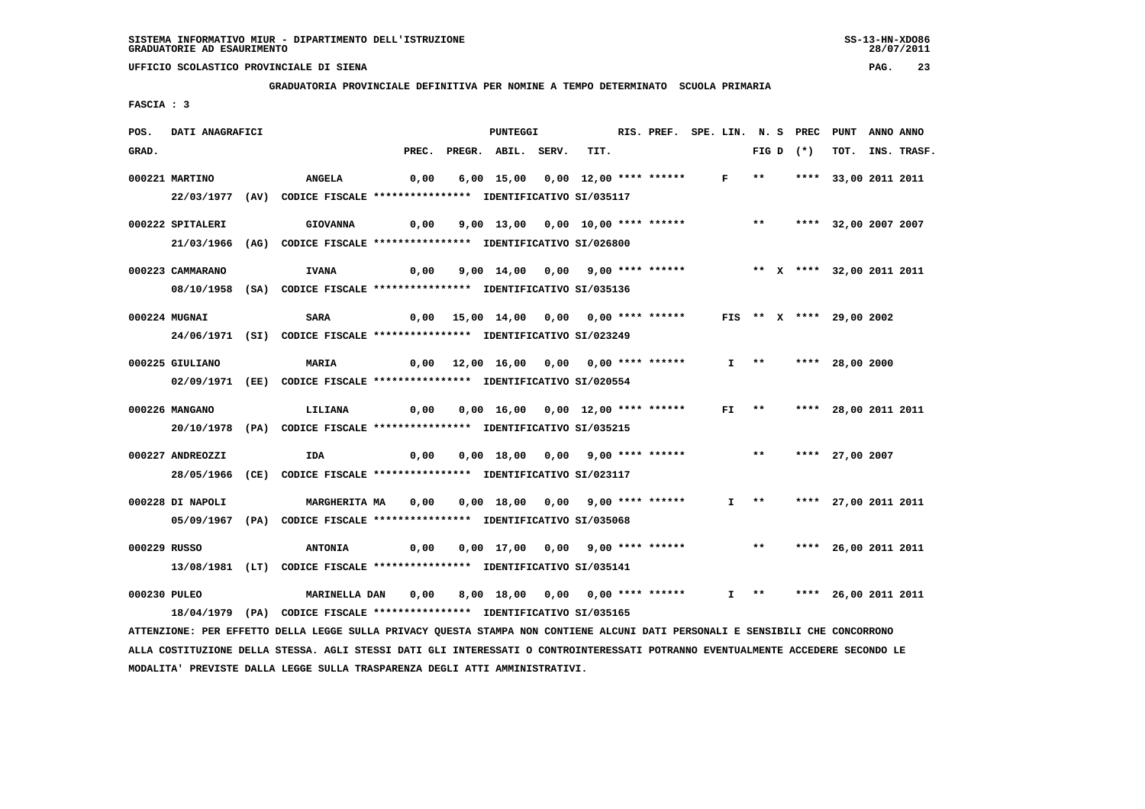**GRADUATORIA PROVINCIALE DEFINITIVA PER NOMINE A TEMPO DETERMINATO SCUOLA PRIMARIA**

 **FASCIA : 3**

| POS.<br>DATI ANAGRAFICI |                                                                                                                               |       | PUNTEGGI                                                               |      | RIS. PREF. SPE. LIN. N. S PREC PUNT |         |       |             |                           | ANNO ANNO |             |
|-------------------------|-------------------------------------------------------------------------------------------------------------------------------|-------|------------------------------------------------------------------------|------|-------------------------------------|---------|-------|-------------|---------------------------|-----------|-------------|
| GRAD.                   |                                                                                                                               | PREC. | PREGR. ABIL. SERV.                                                     | TIT. |                                     |         |       | FIG D $(*)$ | тот.                      |           | INS. TRASF. |
| 000221 MARTINO          | ANGELA                                                                                                                        | 0,00  | 6,00 15,00 0,00 12,00 **** ****** F **                                 |      |                                     |         |       |             | **** 33,00 2011 2011      |           |             |
|                         | 22/03/1977 (AV) CODICE FISCALE *************** IDENTIFICATIVO SI/035117                                                       |       |                                                                        |      |                                     |         |       |             |                           |           |             |
|                         |                                                                                                                               |       |                                                                        |      |                                     |         |       |             |                           |           |             |
| 000222 SPITALERI        | <b>GIOVANNA</b>                                                                                                               | 0,00  | 9,00 13,00 0,00 10,00 **** ******                                      |      |                                     |         |       |             | ** **** 32,00 2007 2007   |           |             |
|                         | 21/03/1966 (AG) CODICE FISCALE *************** IDENTIFICATIVO SI/026800                                                       |       |                                                                        |      |                                     |         |       |             |                           |           |             |
| 000223 CAMMARANO        | <b>IVANA</b>                                                                                                                  | 0,00  | 9,00 14,00 0,00 9,00 **** ******             ** x **** 32,00 2011 2011 |      |                                     |         |       |             |                           |           |             |
|                         | 08/10/1958 (SA) CODICE FISCALE *************** IDENTIFICATIVO SI/035136                                                       |       |                                                                        |      |                                     |         |       |             |                           |           |             |
| 000224 MUGNAI           | <b>SARA</b>                                                                                                                   |       | 0,00 15,00 14,00 0,00 0,00 **** ****** FIS ** X **** 29,00 2002        |      |                                     |         |       |             |                           |           |             |
|                         | 24/06/1971 (SI) CODICE FISCALE *************** IDENTIFICATIVO SI/023249                                                       |       |                                                                        |      |                                     |         |       |             |                           |           |             |
|                         |                                                                                                                               |       |                                                                        |      |                                     |         |       |             |                           |           |             |
| 000225 GIULIANO         | <b>MARIA</b>                                                                                                                  |       | 0,00 12,00 16,00 0,00 0,00 **** ******                                 |      |                                     |         |       |             | I ** **** 28,00 2000      |           |             |
|                         | 02/09/1971 (EE) CODICE FISCALE *************** IDENTIFICATIVO SI/020554                                                       |       |                                                                        |      |                                     |         |       |             |                           |           |             |
| 000226 MANGANO          | LILIANA                                                                                                                       | 0,00  | 0,00 16,00 0,00 12,00 **** ******                                      |      |                                     | $FI$ ** |       |             | **** 28,00 2011 2011      |           |             |
|                         | 20/10/1978 (PA) CODICE FISCALE *************** IDENTIFICATIVO SI/035215                                                       |       |                                                                        |      |                                     |         |       |             |                           |           |             |
|                         |                                                                                                                               |       |                                                                        |      |                                     |         |       |             |                           |           |             |
| 000227 ANDREOZZI        | IDA                                                                                                                           | 0,00  | 0,00 18,00 0,00 9,00 **** ******                                       |      |                                     |         | $***$ |             | **** 27,00 2007           |           |             |
|                         | 28/05/1966 (CE) CODICE FISCALE *************** IDENTIFICATIVO SI/023117                                                       |       |                                                                        |      |                                     |         |       |             |                           |           |             |
| 000228 DI NAPOLI        | <b>MARGHERITA MA</b>                                                                                                          | 0,00  | 0,00 18,00 0,00 9,00 **** ******                                       |      |                                     |         |       |             | I ** **** 27,00 2011 2011 |           |             |
|                         | 05/09/1967 (PA) CODICE FISCALE *************** IDENTIFICATIVO SI/035068                                                       |       |                                                                        |      |                                     |         |       |             |                           |           |             |
|                         |                                                                                                                               |       |                                                                        |      |                                     |         |       |             |                           |           |             |
| 000229 RUSSO            | <b>ANTONIA</b>                                                                                                                | 0,00  | 0,00 17,00 0,00 9,00 **** ******                                       |      |                                     |         | $***$ |             | **** 26,00 2011 2011      |           |             |
|                         | 13/08/1981 (LT) CODICE FISCALE *************** IDENTIFICATIVO SI/035141                                                       |       |                                                                        |      |                                     |         |       |             |                           |           |             |
| 000230 PULEO            | <b>MARINELLA DAN</b>                                                                                                          | 0,00  | 8,00 18,00 0,00 0,00 **** ******                                       |      |                                     |         |       |             | I ** **** 26,00 2011 2011 |           |             |
|                         | 18/04/1979 (PA) CODICE FISCALE *************** IDENTIFICATIVO SI/035165                                                       |       |                                                                        |      |                                     |         |       |             |                           |           |             |
|                         | ATTENZIONE: PER EFFETTO DELLA LEGGE SULLA PRIVACY QUESTA STAMPA NON CONTIENE ALCUNI DATI PERSONALI E SENSIBILI CHE CONCORRONO |       |                                                                        |      |                                     |         |       |             |                           |           |             |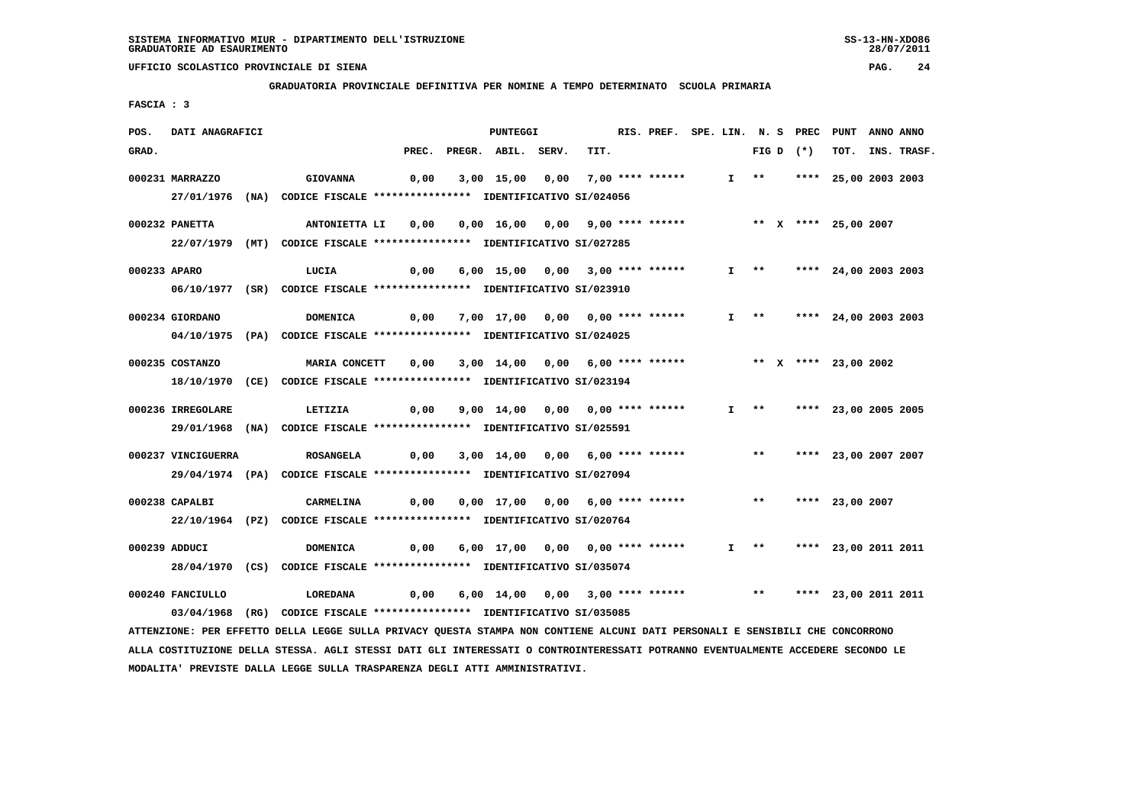**GRADUATORIA PROVINCIALE DEFINITIVA PER NOMINE A TEMPO DETERMINATO SCUOLA PRIMARIA**

 **FASCIA : 3**

| POS.         | DATI ANAGRAFICI    |                                                                                                                                 |       | PUNTEGGI                         |      | RIS. PREF. SPE. LIN. N. S PREC PUNT ANNO ANNO |  |                       |             |                             |             |
|--------------|--------------------|---------------------------------------------------------------------------------------------------------------------------------|-------|----------------------------------|------|-----------------------------------------------|--|-----------------------|-------------|-----------------------------|-------------|
| GRAD.        |                    |                                                                                                                                 | PREC. | PREGR. ABIL. SERV.               | TIT. |                                               |  |                       | FIG D $(*)$ | тот.                        | INS. TRASF. |
|              | 000231 MARRAZZO    | <b>GIOVANNA</b>                                                                                                                 | 0,00  | 3,00 15,00 0,00 7,00 **** ****** |      |                                               |  | I **                  |             | **** 25,00 2003 2003        |             |
|              |                    | 27/01/1976 (NA) CODICE FISCALE *************** IDENTIFICATIVO SI/024056                                                         |       |                                  |      |                                               |  |                       |             |                             |             |
|              |                    |                                                                                                                                 |       |                                  |      |                                               |  |                       |             |                             |             |
|              | 000232 PANETTA     | ANTONIETTA LI                                                                                                                   | 0,00  | 0,00 16,00 0,00 9,00 **** ****** |      |                                               |  |                       |             | ** X **** 25,00 2007        |             |
|              |                    | 22/07/1979 (MT) CODICE FISCALE *************** IDENTIFICATIVO SI/027285                                                         |       |                                  |      |                                               |  |                       |             |                             |             |
| 000233 APARO |                    | LUCIA                                                                                                                           | 0,00  | 6,00 15,00 0,00 3,00 **** ****** |      |                                               |  | $I \rightarrow \star$ |             | **** 24,00 2003 2003        |             |
|              |                    | 06/10/1977 (SR) CODICE FISCALE **************** IDENTIFICATIVO SI/023910                                                        |       |                                  |      |                                               |  |                       |             |                             |             |
|              |                    |                                                                                                                                 |       |                                  |      |                                               |  |                       |             |                             |             |
|              | 000234 GIORDANO    | <b>DOMENICA</b>                                                                                                                 | 0,00  | 7,00 17,00 0,00 0,00 **** ****** |      |                                               |  | $I \longrightarrow$   |             | **** 24,00 2003 2003        |             |
|              |                    | 04/10/1975 (PA) CODICE FISCALE *************** IDENTIFICATIVO SI/024025                                                         |       |                                  |      |                                               |  |                       |             |                             |             |
|              | 000235 COSTANZO    | <b>MARIA CONCETT</b>                                                                                                            | 0,00  | 3,00 14,00 0,00 6,00 **** ****** |      |                                               |  |                       |             | ** X **** 23,00 2002        |             |
|              |                    | 18/10/1970 (CE) CODICE FISCALE *************** IDENTIFICATIVO SI/023194                                                         |       |                                  |      |                                               |  |                       |             |                             |             |
|              |                    |                                                                                                                                 |       |                                  |      |                                               |  |                       |             |                             |             |
|              | 000236 IRREGOLARE  | LETIZIA                                                                                                                         | 0,00  | 9,00 14,00 0,00 0,00 **** ****** |      |                                               |  |                       |             | $I$ ** **** 23,00 2005 2005 |             |
|              |                    | 29/01/1968 (NA) CODICE FISCALE *************** IDENTIFICATIVO SI/025591                                                         |       |                                  |      |                                               |  |                       |             |                             |             |
|              | 000237 VINCIGUERRA | ROSANGELA                                                                                                                       | 0,00  | 3,00 14,00 0,00 6,00 **** ****** |      |                                               |  | $***$                 |             | **** 23,00 2007 2007        |             |
|              |                    | 29/04/1974 (PA) CODICE FISCALE *************** IDENTIFICATIVO SI/027094                                                         |       |                                  |      |                                               |  |                       |             |                             |             |
|              |                    |                                                                                                                                 |       |                                  |      |                                               |  |                       |             |                             |             |
|              | 000238 CAPALBI     | CARMELINA                                                                                                                       | 0,00  | 0,00 17,00 0,00 6,00 **** ****** |      |                                               |  | $***$                 |             | **** 23,00 2007             |             |
|              |                    | 22/10/1964 (PZ) CODICE FISCALE *************** IDENTIFICATIVO SI/020764                                                         |       |                                  |      |                                               |  |                       |             |                             |             |
|              | 000239 ADDUCI      | DOMENICA                                                                                                                        | 0,00  | 6,00 17,00 0,00 0,00 **** ****** |      |                                               |  | $I \rightarrow *$     |             | **** 23,00 2011 2011        |             |
|              |                    | 28/04/1970 (CS) CODICE FISCALE *************** IDENTIFICATIVO SI/035074                                                         |       |                                  |      |                                               |  |                       |             |                             |             |
|              |                    |                                                                                                                                 |       |                                  |      |                                               |  |                       |             |                             |             |
|              | 000240 FANCIULLO   | LOREDANA                                                                                                                        | 0,00  | 6,00 14,00 0,00 3,00 **** ****** |      |                                               |  |                       |             | ** **** 23,00 2011 2011     |             |
|              |                    | 03/04/1968 (RG) CODICE FISCALE *************** IDENTIFICATIVO SI/035085                                                         |       |                                  |      |                                               |  |                       |             |                             |             |
|              |                    | ATTENZIONE: PER EFFETTO DELLA LEGGE SULLA PRIVACY QUESTA STAMPA NON CONTIENE ALCUNI DATI PERSONALI E SENSIBILI CHE CONCORRONO   |       |                                  |      |                                               |  |                       |             |                             |             |
|              |                    | ALLA COSTITUZIONE DELLA STESSA. AGLI STESSI DATI GLI INTERESSATI O CONTROINTERESSATI POTRANNO EVENTUALMENTE ACCEDERE SECONDO LE |       |                                  |      |                                               |  |                       |             |                             |             |

 **MODALITA' PREVISTE DALLA LEGGE SULLA TRASPARENZA DEGLI ATTI AMMINISTRATIVI.**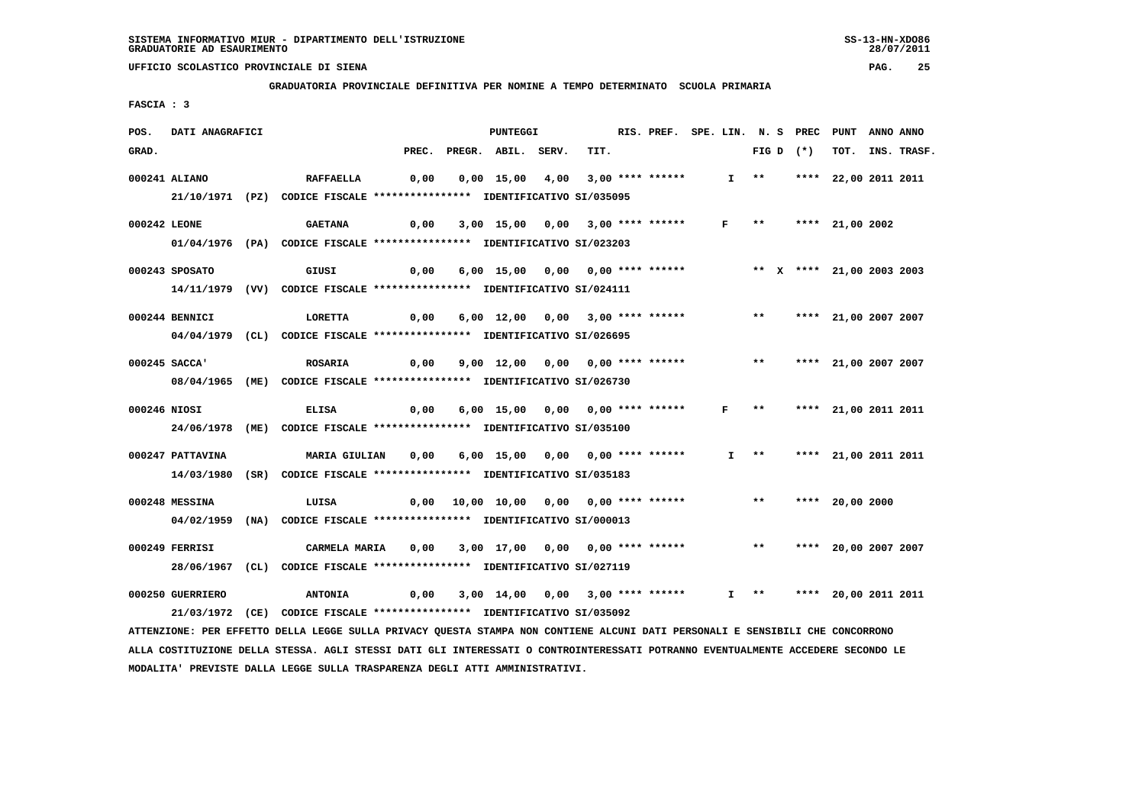**GRADUATORIA PROVINCIALE DEFINITIVA PER NOMINE A TEMPO DETERMINATO SCUOLA PRIMARIA**

 **FASCIA : 3**

| POS.<br>DATI ANAGRAFICI |                                                                                                                               | <b>PUNTEGGI</b>                        |      |                    | RIS. PREF. SPE. LIN. N. S PREC PUNT |                           |                      | ANNO ANNO |             |
|-------------------------|-------------------------------------------------------------------------------------------------------------------------------|----------------------------------------|------|--------------------|-------------------------------------|---------------------------|----------------------|-----------|-------------|
| GRAD.                   | PREC.                                                                                                                         | PREGR. ABIL. SERV.                     |      | TIT.               |                                     | FIG D $(*)$               | тот.                 |           | INS. TRASF. |
| 000241 ALIANO           | <b>RAFFAELLA</b><br>0,00                                                                                                      | $0,00 \quad 15,00$                     | 4,00 | $3,00$ **** ****** |                                     | $I$ **                    | **** 22,00 2011 2011 |           |             |
|                         | 21/10/1971 (PZ) CODICE FISCALE *************** IDENTIFICATIVO SI/035095                                                       |                                        |      |                    |                                     |                           |                      |           |             |
| 000242 LEONE            | <b>GAETANA</b><br>0,00                                                                                                        | 3,00 15,00 0,00 3,00 **** ******       |      |                    |                                     | $F$ ** **** 21,00 2002    |                      |           |             |
|                         | 01/04/1976 (PA) CODICE FISCALE **************** IDENTIFICATIVO SI/023203                                                      |                                        |      |                    |                                     |                           |                      |           |             |
| 000243 SPOSATO          | GIUSI<br>0,00                                                                                                                 | 6,00 15,00 0,00 0,00 **** ******       |      |                    |                                     | ** X **** 21,00 2003 2003 |                      |           |             |
|                         | 14/11/1979 (VV) CODICE FISCALE *************** IDENTIFICATIVO SI/024111                                                       |                                        |      |                    |                                     |                           |                      |           |             |
| 000244 BENNICI          | LORETTA<br>0,00                                                                                                               | 6,00 12,00 0,00 3,00 **** ******       |      |                    |                                     | $***$                     | **** 21,00 2007 2007 |           |             |
|                         | 04/04/1979 (CL) CODICE FISCALE *************** IDENTIFICATIVO SI/026695                                                       |                                        |      |                    |                                     |                           |                      |           |             |
| 000245 SACCA'           | 0,00                                                                                                                          | 9,00 12,00 0,00 0,00 **** ******       |      |                    |                                     | $***$                     | **** 21,00 2007 2007 |           |             |
|                         | <b>ROSARIA</b><br>08/04/1965 (ME) CODICE FISCALE *************** IDENTIFICATIVO SI/026730                                     |                                        |      |                    |                                     |                           |                      |           |             |
|                         |                                                                                                                               |                                        |      |                    |                                     |                           |                      |           |             |
| 000246 NIOSI            | <b>ELISA</b><br>0,00                                                                                                          | 6,00 15,00 0,00 0,00 **** ******       |      |                    | $\mathbf{F}$                        | $* *$                     | **** 21,00 2011 2011 |           |             |
|                         | 24/06/1978 (ME) CODICE FISCALE *************** IDENTIFICATIVO SI/035100                                                       |                                        |      |                    |                                     |                           |                      |           |             |
| 000247 PATTAVINA        | <b>MARIA GIULIAN</b><br>0,00                                                                                                  | 6,00 15,00 0,00 0,00 **** ******       |      |                    |                                     | $I$ **                    | **** 21,00 2011 2011 |           |             |
|                         | 14/03/1980 (SR) CODICE FISCALE *************** IDENTIFICATIVO SI/035183                                                       |                                        |      |                    |                                     |                           |                      |           |             |
| 000248 MESSINA          | LUISA                                                                                                                         | 0,00 10,00 10,00 0,00 0,00 **** ****** |      |                    |                                     | $***$                     | **** 20,00 2000      |           |             |
|                         | 04/02/1959 (NA) CODICE FISCALE *************** IDENTIFICATIVO SI/000013                                                       |                                        |      |                    |                                     |                           |                      |           |             |
| 000249 FERRISI          | CARMELA MARIA<br>0,00                                                                                                         | 3,00 17,00 0,00 0,00 **** ******       |      |                    |                                     | $***$                     | **** 20,00 2007 2007 |           |             |
|                         | 28/06/1967 (CL) CODICE FISCALE *************** IDENTIFICATIVO SI/027119                                                       |                                        |      |                    |                                     |                           |                      |           |             |
| 000250 GUERRIERO        | <b>ANTONIA</b><br>0,00                                                                                                        | 3,00 14,00 0,00 3,00 **** ******       |      |                    |                                     | $I$ **                    | **** 20,00 2011 2011 |           |             |
|                         | 21/03/1972 (CE) CODICE FISCALE *************** IDENTIFICATIVO SI/035092                                                       |                                        |      |                    |                                     |                           |                      |           |             |
|                         | ATTENZIONE: PER EFFETTO DELLA LEGGE SULLA PRIVACY QUESTA STAMPA NON CONTIENE ALCUNI DATI PERSONALI E SENSIBILI CHE CONCORRONO |                                        |      |                    |                                     |                           |                      |           |             |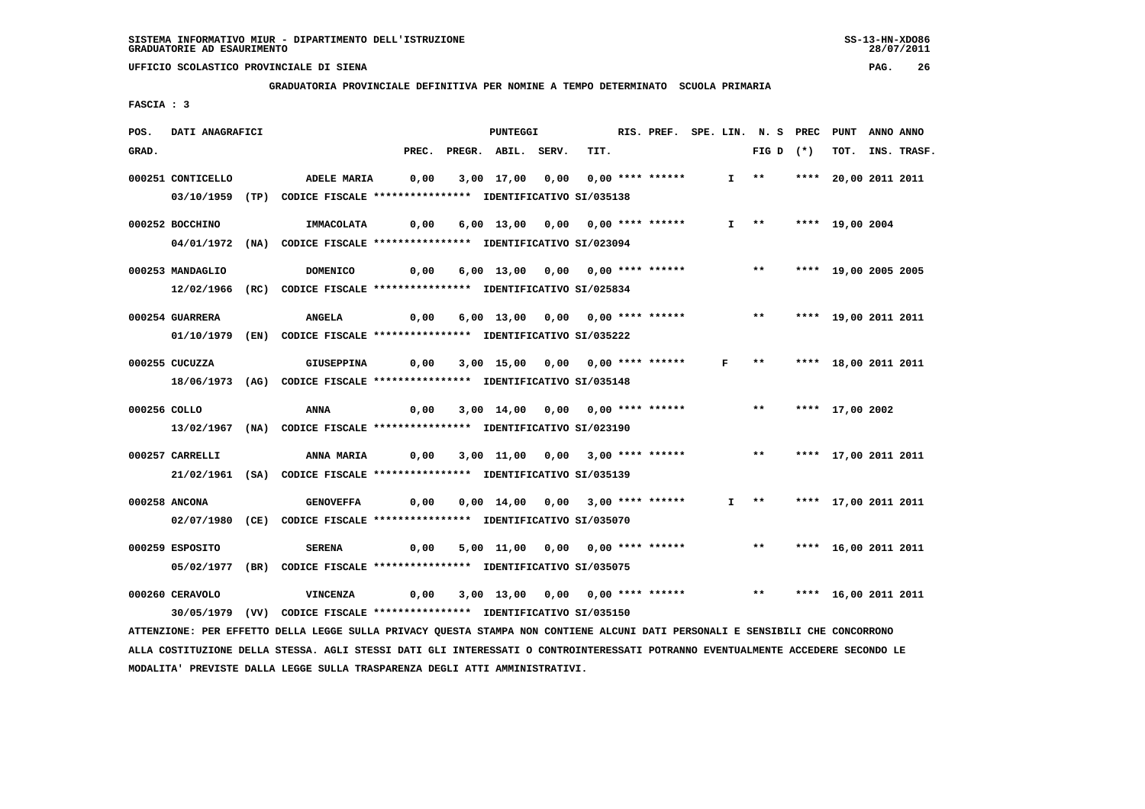**GRADUATORIA PROVINCIALE DEFINITIVA PER NOMINE A TEMPO DETERMINATO SCUOLA PRIMARIA**

 **FASCIA : 3**

| POS.  | DATI ANAGRAFICI   |                                                                                                                               |       |                                         | RIS. PREF. SPE. LIN. N. S PREC PUNT |      |                  |                   |                         | ANNO ANNO |                      |  |             |
|-------|-------------------|-------------------------------------------------------------------------------------------------------------------------------|-------|-----------------------------------------|-------------------------------------|------|------------------|-------------------|-------------------------|-----------|----------------------|--|-------------|
| GRAD. |                   |                                                                                                                               | PREC. | PREGR. ABIL. SERV.                      |                                     | TIT. |                  |                   | FIG D                   | $(\star)$ | тот.                 |  | INS. TRASF. |
|       | 000251 CONTICELLO | <b>ADELE MARIA</b>                                                                                                            | 0,00  | 3,00 17,00                              | 0.00                                |      | 0,00 **** ****** | $I \rightarrow *$ |                         |           | **** 20,00 2011 2011 |  |             |
|       |                   | 03/10/1959 (TP) CODICE FISCALE *************** IDENTIFICATIVO SI/035138                                                       |       |                                         |                                     |      |                  |                   |                         |           |                      |  |             |
|       |                   |                                                                                                                               |       |                                         |                                     |      |                  |                   |                         |           |                      |  |             |
|       | 000252 BOCCHINO   | IMMACOLATA                                                                                                                    | 0,00  | 6,00 13,00 0,00 0,00 **** ******        |                                     |      |                  |                   | $I \longrightarrow$     |           | **** 19,00 2004      |  |             |
|       |                   | 04/01/1972 (NA) CODICE FISCALE *************** IDENTIFICATIVO SI/023094                                                       |       |                                         |                                     |      |                  |                   |                         |           |                      |  |             |
|       | 000253 MANDAGLIO  | <b>DOMENICO</b>                                                                                                               | 0,00  | 6,00 13,00 0,00 0,00 **** ******        |                                     |      |                  |                   | $***$                   |           | **** 19,00 2005 2005 |  |             |
|       |                   | 12/02/1966 (RC) CODICE FISCALE *************** IDENTIFICATIVO SI/025834                                                       |       |                                         |                                     |      |                  |                   |                         |           |                      |  |             |
|       |                   |                                                                                                                               |       |                                         |                                     |      |                  |                   |                         |           |                      |  |             |
|       | 000254 GUARRERA   | <b>ANGELA</b>                                                                                                                 | 0,00  | 6,00 13,00 0,00 0,00 **** ******        |                                     |      |                  |                   | ** **** 19,00 2011 2011 |           |                      |  |             |
|       |                   | 01/10/1979 (EN) CODICE FISCALE *************** IDENTIFICATIVO SI/035222                                                       |       |                                         |                                     |      |                  |                   |                         |           |                      |  |             |
|       | 000255 CUCUZZA    | <b>GIUSEPPINA</b>                                                                                                             | 0,00  | 3,00 15,00 0,00 0,00 **** ****** F      |                                     |      |                  |                   | $***$                   |           | **** 18,00 2011 2011 |  |             |
|       |                   | 18/06/1973 (AG) CODICE FISCALE *************** IDENTIFICATIVO SI/035148                                                       |       |                                         |                                     |      |                  |                   |                         |           |                      |  |             |
|       |                   |                                                                                                                               |       |                                         |                                     |      |                  |                   |                         |           |                      |  |             |
|       | 000256 COLLO      | ANNA                                                                                                                          | 0,00  | 3,00 14,00 0,00 0,00 **** ******        |                                     |      |                  |                   | $* *$                   |           | **** 17,00 2002      |  |             |
|       |                   | 13/02/1967 (NA) CODICE FISCALE **************** IDENTIFICATIVO SI/023190                                                      |       |                                         |                                     |      |                  |                   |                         |           |                      |  |             |
|       | 000257 CARRELLI   | ANNA MARIA                                                                                                                    | 0,00  | 3,00 11,00 0,00 3,00 **** ****** *** ** |                                     |      |                  |                   |                         |           | **** 17,00 2011 2011 |  |             |
|       |                   | 21/02/1961 (SA) CODICE FISCALE *************** IDENTIFICATIVO SI/035139                                                       |       |                                         |                                     |      |                  |                   |                         |           |                      |  |             |
|       |                   |                                                                                                                               |       |                                         |                                     |      |                  |                   |                         |           |                      |  |             |
|       | 000258 ANCONA     | <b>GENOVEFFA</b>                                                                                                              | 0,00  | 0,00 14,00 0,00 3,00 **** ******        |                                     |      |                  |                   | $I \quad * \quad$       |           | **** 17,00 2011 2011 |  |             |
|       |                   | 02/07/1980 (CE) CODICE FISCALE *************** IDENTIFICATIVO SI/035070                                                       |       |                                         |                                     |      |                  |                   |                         |           |                      |  |             |
|       | 000259 ESPOSITO   | <b>SERENA</b>                                                                                                                 | 0,00  | 5,00 11,00 0,00 0,00 **** ******        |                                     |      |                  |                   | $\star\star$            |           | **** 16,00 2011 2011 |  |             |
|       |                   | 05/02/1977 (BR) CODICE FISCALE *************** IDENTIFICATIVO SI/035075                                                       |       |                                         |                                     |      |                  |                   |                         |           |                      |  |             |
|       |                   |                                                                                                                               |       |                                         |                                     |      |                  |                   |                         |           |                      |  |             |
|       | 000260 CERAVOLO   | <b>VINCENZA</b>                                                                                                               | 0,00  | 3,00 13,00 0,00 0,00 **** ******        |                                     |      |                  |                   | ** **** 16,00 2011 2011 |           |                      |  |             |
|       |                   | 30/05/1979 (VV) CODICE FISCALE *************** IDENTIFICATIVO SI/035150                                                       |       |                                         |                                     |      |                  |                   |                         |           |                      |  |             |
|       |                   | ATTENZIONE: PER EFFETTO DELLA LEGGE SULLA PRIVACY QUESTA STAMPA NON CONTIENE ALCUNI DATI PERSONALI E SENSIBILI CHE CONCORRONO |       |                                         |                                     |      |                  |                   |                         |           |                      |  |             |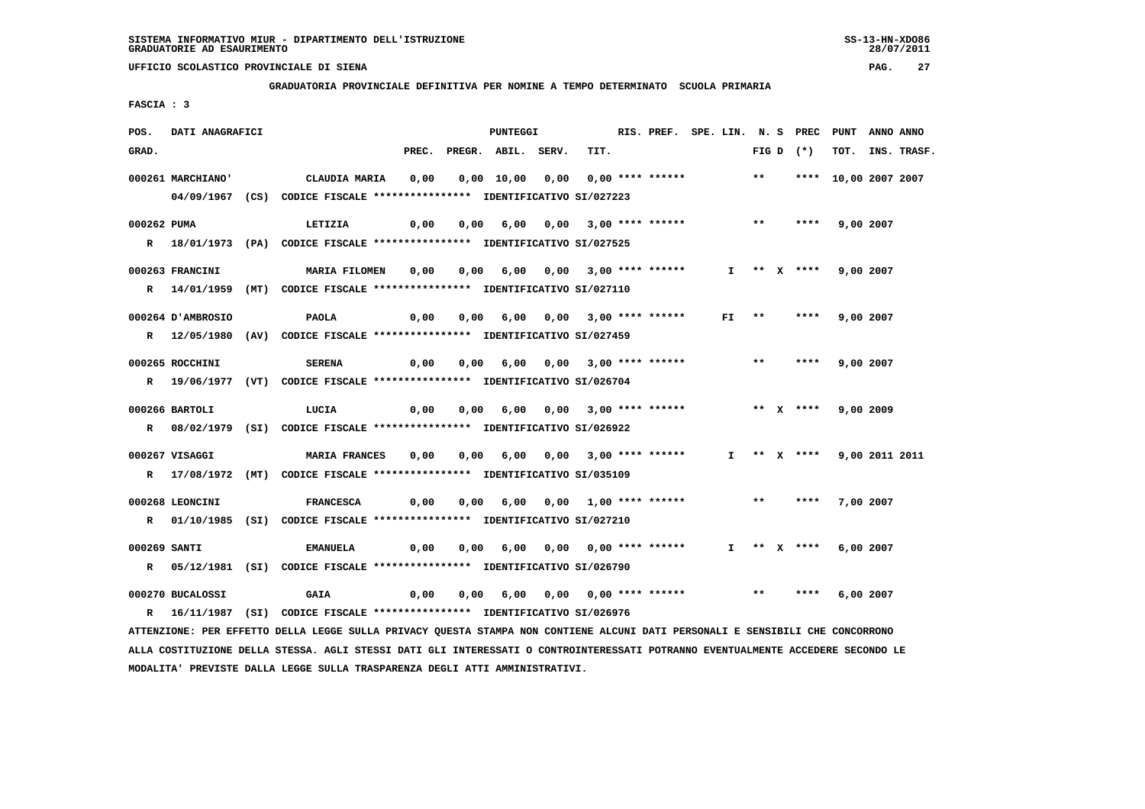**GRADUATORIA PROVINCIALE DEFINITIVA PER NOMINE A TEMPO DETERMINATO SCUOLA PRIMARIA**

 **FASCIA : 3**

| POS.         | DATI ANAGRAFICI   |                                                                                                                               | PUNTEGGI |      | RIS. PREF. SPE. LIN. N. S PREC PUNT |      |                            |                  |    | ANNO ANNO |             |                      |                |             |
|--------------|-------------------|-------------------------------------------------------------------------------------------------------------------------------|----------|------|-------------------------------------|------|----------------------------|------------------|----|-----------|-------------|----------------------|----------------|-------------|
| GRAD.        |                   |                                                                                                                               |          |      | PREC. PREGR. ABIL. SERV.            |      | TIT.                       |                  |    |           | FIG D $(*)$ | тот.                 |                | INS. TRASF. |
|              | 000261 MARCHIANO' | CLAUDIA MARIA                                                                                                                 | 0,00     |      | 0,00 10,00                          | 0,00 |                            | 0,00 **** ****** |    | $***$     |             | **** 10,00 2007 2007 |                |             |
|              |                   | 04/09/1967 (CS) CODICE FISCALE *************** IDENTIFICATIVO SI/027223                                                       |          |      |                                     |      |                            |                  |    |           |             |                      |                |             |
|              |                   |                                                                                                                               |          |      |                                     |      |                            |                  |    |           |             |                      |                |             |
| 000262 PUMA  |                   | LETIZIA                                                                                                                       | 0,00     |      | 0,00 6,00 0,00 3,00 **** ******     |      |                            |                  |    | $***$     |             | **** 9,00 2007       |                |             |
|              |                   | R 18/01/1973 (PA) CODICE FISCALE **************** IDENTIFICATIVO SI/027525                                                    |          |      |                                     |      |                            |                  |    |           |             |                      |                |             |
|              | 000263 FRANCINI   | <b>MARIA FILOMEN</b>                                                                                                          | 0,00     |      | 0,00 6,00 0,00 3,00 **** ******     |      |                            |                  |    |           | I ** X **** | 9,00 2007            |                |             |
|              |                   | R 14/01/1959 (MT) CODICE FISCALE **************** IDENTIFICATIVO SI/027110                                                    |          |      |                                     |      |                            |                  |    |           |             |                      |                |             |
|              |                   |                                                                                                                               |          |      |                                     |      |                            |                  |    |           |             |                      |                |             |
|              | 000264 D'AMBROSIO | PAOLA                                                                                                                         | 0,00     | 0,00 |                                     |      | 6,00 0,00 3,00 **** ****** |                  | FI | $***$     | ****        |                      | 9,00 2007      |             |
|              |                   | R 12/05/1980 (AV) CODICE FISCALE *************** IDENTIFICATIVO SI/027459                                                     |          |      |                                     |      |                            |                  |    |           |             |                      |                |             |
|              | 000265 ROCCHINI   | <b>SERENA</b>                                                                                                                 | 0,00     |      | 0,00 6,00 0,00 3,00 **** ******     |      |                            |                  |    | $***$     | ****        | 9,00 2007            |                |             |
|              |                   | R 19/06/1977 (VT) CODICE FISCALE *************** IDENTIFICATIVO SI/026704                                                     |          |      |                                     |      |                            |                  |    |           |             |                      |                |             |
|              |                   |                                                                                                                               |          |      |                                     |      |                            |                  |    |           |             |                      |                |             |
|              | 000266 BARTOLI    | LUCIA                                                                                                                         | 0,00     |      | 0,00 6,00 0,00 3,00 **** ******     |      |                            |                  |    |           | ** $X$ **** | 9,00 2009            |                |             |
|              |                   | R 08/02/1979 (SI) CODICE FISCALE **************** IDENTIFICATIVO SI/026922                                                    |          |      |                                     |      |                            |                  |    |           |             |                      |                |             |
|              | 000267 VISAGGI    | <b>MARIA FRANCES</b>                                                                                                          | 0,00     |      | $0,00$ 6,00 0,00 3,00 **** ******   |      |                            |                  |    |           | I ** X **** |                      | 9,00 2011 2011 |             |
|              |                   | R 17/08/1972 (MT) CODICE FISCALE *************** IDENTIFICATIVO SI/035109                                                     |          |      |                                     |      |                            |                  |    |           |             |                      |                |             |
|              |                   |                                                                                                                               |          |      |                                     |      |                            |                  |    |           |             |                      |                |             |
|              | 000268 LEONCINI   | <b>FRANCESCA</b>                                                                                                              | 0,00     |      | 0,00 6,00 0,00 1,00 **** ******     |      |                            |                  |    | $***$     | ****        | 7,00 2007            |                |             |
|              |                   | R 01/10/1985 (SI) CODICE FISCALE *************** IDENTIFICATIVO SI/027210                                                     |          |      |                                     |      |                            |                  |    |           |             |                      |                |             |
| 000269 SANTI |                   | <b>EMANUELA</b>                                                                                                               | 0,00     | 0,00 |                                     |      |                            |                  |    |           | I ** X **** | 6,00 2007            |                |             |
|              |                   | R 05/12/1981 (SI) CODICE FISCALE **************** IDENTIFICATIVO SI/026790                                                    |          |      |                                     |      |                            |                  |    |           |             |                      |                |             |
|              |                   |                                                                                                                               |          |      |                                     |      |                            |                  |    |           |             |                      |                |             |
|              | 000270 BUCALOSSI  | <b>GAIA</b>                                                                                                                   | 0,00     |      | $0,00$ 6,00 0,00 0,00 **** ******   |      |                            |                  |    | $***$     | ****        | 6,00 2007            |                |             |
|              |                   | R 16/11/1987 (SI) CODICE FISCALE *************** IDENTIFICATIVO SI/026976                                                     |          |      |                                     |      |                            |                  |    |           |             |                      |                |             |
|              |                   | ATTENZIONE: PER EFFETTO DELLA LEGGE SULLA PRIVACY QUESTA STAMPA NON CONTIENE ALCUNI DATI PERSONALI E SENSIBILI CHE CONCORRONO |          |      |                                     |      |                            |                  |    |           |             |                      |                |             |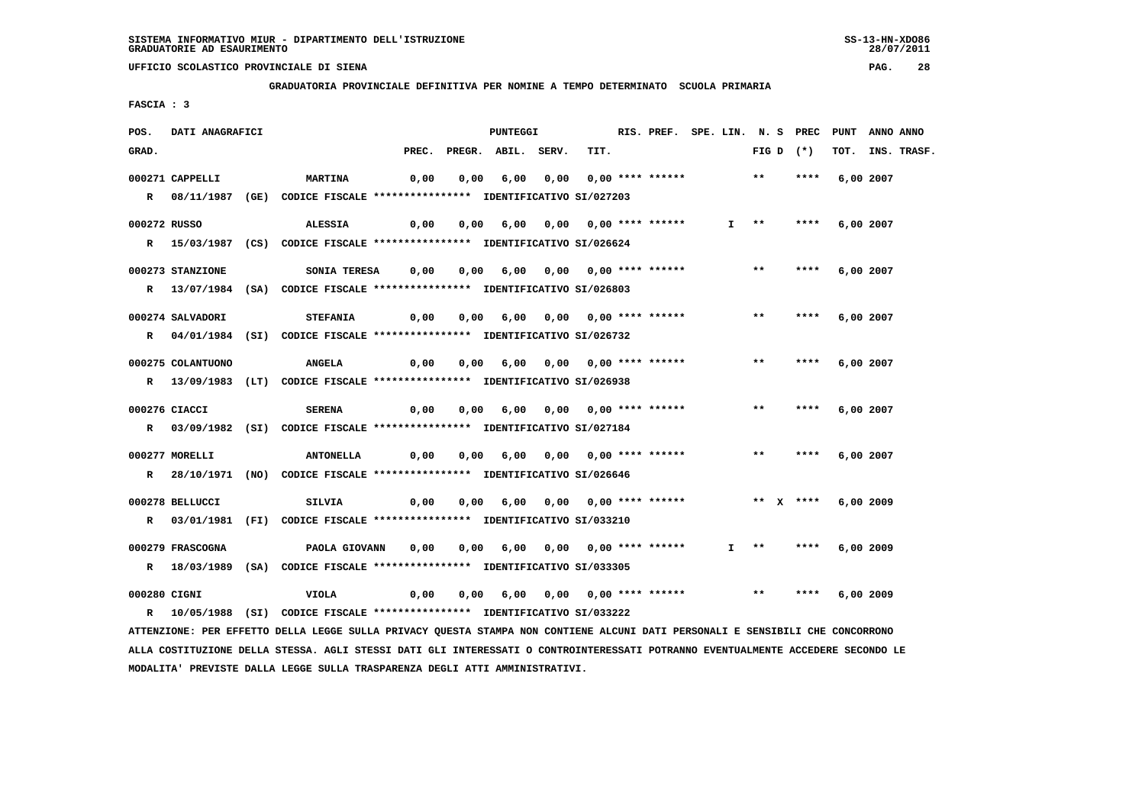**GRADUATORIA PROVINCIALE DEFINITIVA PER NOMINE A TEMPO DETERMINATO SCUOLA PRIMARIA**

 **FASCIA : 3**

| POS.         | DATI ANAGRAFICI   |                                                                                                                               | <b>PUNTEGGI</b> |      | RIS. PREF. SPE. LIN. N. S PREC    |      |      |                  | PUNT | ANNO ANNO         |             |      |           |             |
|--------------|-------------------|-------------------------------------------------------------------------------------------------------------------------------|-----------------|------|-----------------------------------|------|------|------------------|------|-------------------|-------------|------|-----------|-------------|
| GRAD.        |                   |                                                                                                                               |                 |      | PREC. PREGR. ABIL. SERV.          |      | TIT. |                  |      |                   | FIG D $(*)$ | TOT. |           | INS. TRASF. |
|              | 000271 CAPPELLI   | <b>MARTINA</b>                                                                                                                | 0,00            | 0,00 | 6,00                              | 0,00 |      | 0,00 **** ****** |      | $***$             | ****        |      | 6,00 2007 |             |
|              |                   | R 08/11/1987 (GE) CODICE FISCALE *************** IDENTIFICATIVO SI/027203                                                     |                 |      |                                   |      |      |                  |      |                   |             |      |           |             |
|              |                   |                                                                                                                               |                 |      |                                   |      |      |                  |      |                   |             |      |           |             |
| 000272 RUSSO |                   | <b>ALESSIA</b>                                                                                                                | 0,00            |      | 0,00 6,00 0,00 0,00 **** ******   |      |      |                  |      | $I \quad * \quad$ | ****        |      | 6,00 2007 |             |
|              |                   | R 15/03/1987 (CS) CODICE FISCALE *************** IDENTIFICATIVO SI/026624                                                     |                 |      |                                   |      |      |                  |      |                   |             |      |           |             |
|              | 000273 STANZIONE  | SONIA TERESA                                                                                                                  | 0,00            |      | 0,00 6,00 0,00 0,00 **** ******   |      |      |                  |      | $***$             | ****        |      | 6,00 2007 |             |
|              |                   | R 13/07/1984 (SA) CODICE FISCALE **************** IDENTIFICATIVO SI/026803                                                    |                 |      |                                   |      |      |                  |      |                   |             |      |           |             |
|              | 000274 SALVADORI  | <b>STEFANIA</b>                                                                                                               | 0,00            | 0,00 | 6,00                              |      |      |                  |      | $***$             | ****        |      | 6,00 2007 |             |
|              |                   | R 04/01/1984 (SI) CODICE FISCALE **************** IDENTIFICATIVO SI/026732                                                    |                 |      |                                   |      |      |                  |      |                   |             |      |           |             |
|              |                   |                                                                                                                               |                 |      |                                   |      |      |                  |      |                   |             |      |           |             |
|              | 000275 COLANTUONO | <b>ANGELA</b>                                                                                                                 | 0,00            |      | 0,00 6,00 0,00 0,00 **** ******   |      |      |                  |      | $***$             | ****        |      | 6,00 2007 |             |
|              |                   | R 13/09/1983 (LT) CODICE FISCALE *************** IDENTIFICATIVO SI/026938                                                     |                 |      |                                   |      |      |                  |      |                   |             |      |           |             |
|              | 000276 CIACCI     | <b>SERENA</b>                                                                                                                 | 0,00            |      | 0,00 6,00 0,00 0,00 **** ******   |      |      |                  |      | $***$             | ****        |      | 6,00 2007 |             |
|              |                   |                                                                                                                               |                 |      |                                   |      |      |                  |      |                   |             |      |           |             |
|              |                   | R 03/09/1982 (SI) CODICE FISCALE **************** IDENTIFICATIVO SI/027184                                                    |                 |      |                                   |      |      |                  |      |                   |             |      |           |             |
|              | 000277 MORELLI    | <b>ANTONELLA</b>                                                                                                              | 0,00            |      | $0,00$ 6,00 0,00 0,00 **** ****** |      |      |                  |      | $***$             | ****        |      | 6,00 2007 |             |
| $\mathbf{R}$ |                   | 28/10/1971 (NO) CODICE FISCALE *************** IDENTIFICATIVO SI/026646                                                       |                 |      |                                   |      |      |                  |      |                   |             |      |           |             |
|              |                   |                                                                                                                               |                 |      |                                   |      |      |                  |      |                   |             |      |           |             |
|              | 000278 BELLUCCI   | <b>SILVIA</b>                                                                                                                 | 0,00            |      | 0,00 6,00 0,00 0,00 **** ******   |      |      |                  |      |                   | ** $X$ **** |      | 6,00 2009 |             |
|              |                   | R 03/01/1981 (FI) CODICE FISCALE *************** IDENTIFICATIVO SI/033210                                                     |                 |      |                                   |      |      |                  |      |                   |             |      |           |             |
|              | 000279 FRASCOGNA  | PAOLA GIOVANN                                                                                                                 | 0,00            | 0,00 | 6,00                              |      |      |                  | I.   | $\star\star$      | ****        |      | 6,00 2009 |             |
|              |                   | R 18/03/1989 (SA) CODICE FISCALE **************** IDENTIFICATIVO SI/033305                                                    |                 |      |                                   |      |      |                  |      |                   |             |      |           |             |
| 000280 CIGNI |                   | <b>VIOLA</b>                                                                                                                  | 0,00            |      | $0,00$ 6,00 0,00 0,00 **** ****** |      |      |                  |      | $***$             | ****        |      | 6,00 2009 |             |
|              |                   | R 10/05/1988 (SI) CODICE FISCALE **************** IDENTIFICATIVO SI/033222                                                    |                 |      |                                   |      |      |                  |      |                   |             |      |           |             |
|              |                   |                                                                                                                               |                 |      |                                   |      |      |                  |      |                   |             |      |           |             |
|              |                   | ATTENZIONE: PER EFFETTO DELLA LEGGE SULLA PRIVACY QUESTA STAMPA NON CONTIENE ALCUNI DATI PERSONALI E SENSIBILI CHE CONCORRONO |                 |      |                                   |      |      |                  |      |                   |             |      |           |             |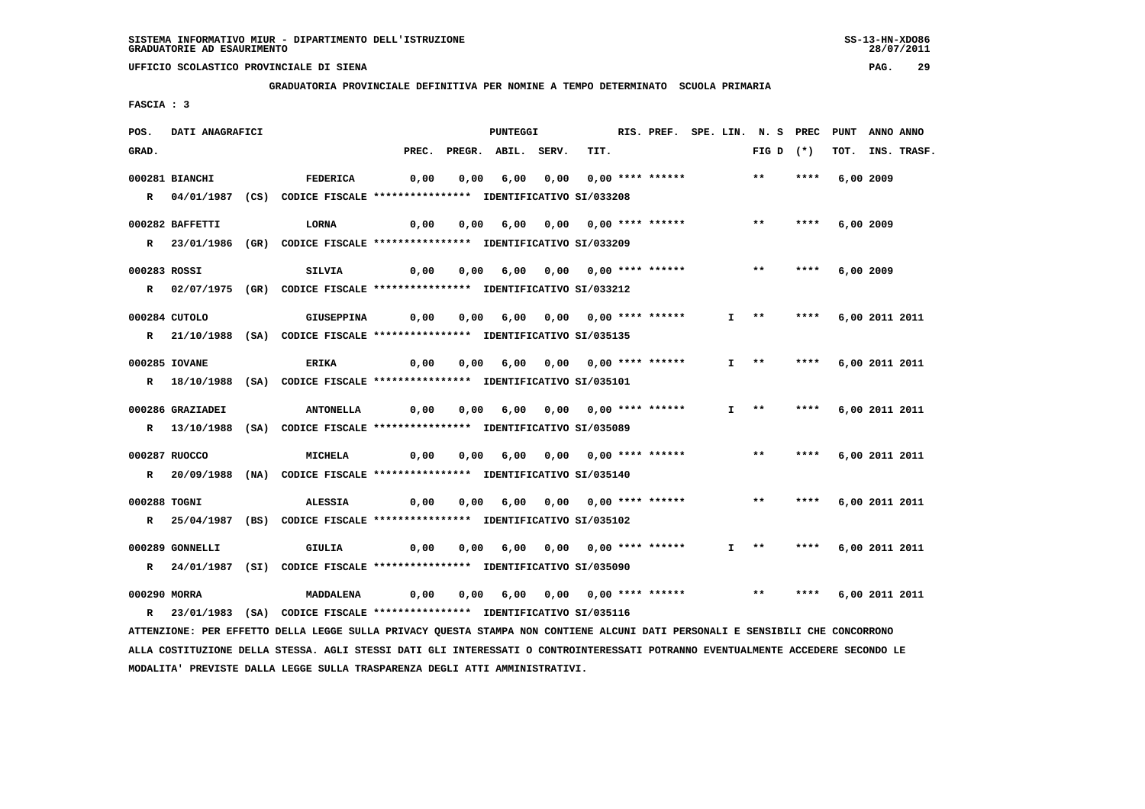**GRADUATORIA PROVINCIALE DEFINITIVA PER NOMINE A TEMPO DETERMINATO SCUOLA PRIMARIA**

 **FASCIA : 3**

| POS.         | DATI ANAGRAFICI  |                                                                                                                                 |       | RIS. PREF. SPE. LIN. N. S PREC |                    |      |      | PUNT                            | ANNO ANNO |       |           |      |                |             |
|--------------|------------------|---------------------------------------------------------------------------------------------------------------------------------|-------|--------------------------------|--------------------|------|------|---------------------------------|-----------|-------|-----------|------|----------------|-------------|
| GRAD.        |                  |                                                                                                                                 | PREC. |                                | PREGR. ABIL. SERV. |      | TIT. |                                 |           | FIG D | $(\star)$ | тот. |                | INS. TRASF. |
|              | 000281 BIANCHI   | <b>FEDERICA</b>                                                                                                                 | 0,00  | 0,00                           | 6,00               | 0,00 |      | $0,00$ **** ******              |           | $***$ | ****      |      | 6,00 2009      |             |
|              |                  | R 04/01/1987 (CS) CODICE FISCALE *************** IDENTIFICATIVO SI/033208                                                       |       |                                |                    |      |      |                                 |           |       |           |      |                |             |
|              |                  |                                                                                                                                 |       |                                |                    |      |      |                                 |           |       |           |      |                |             |
|              | 000282 BAFFETTI  | <b>LORNA</b>                                                                                                                    | 0,00  | 0,00                           | 6,00               | 0,00 |      | 0,00 **** ******                |           | $* *$ |           |      | 6,00 2009      |             |
|              |                  | R 23/01/1986 (GR) CODICE FISCALE **************** IDENTIFICATIVO SI/033209                                                      |       |                                |                    |      |      |                                 |           |       |           |      |                |             |
| 000283 ROSSI |                  | <b>SILVIA</b>                                                                                                                   | 0,00  | 0,00                           |                    |      |      | 6,00 0,00 0,00 **** ******      |           | $* *$ | ****      |      | 6,00 2009      |             |
|              |                  | R 02/07/1975 (GR) CODICE FISCALE *************** IDENTIFICATIVO SI/033212                                                       |       |                                |                    |      |      |                                 |           |       |           |      |                |             |
|              |                  |                                                                                                                                 |       |                                |                    |      |      |                                 |           |       |           |      |                |             |
|              | 000284 CUTOLO    | <b>GIUSEPPINA</b>                                                                                                               | 0,00  | 0,00                           | 6,00               |      |      | 0,00 0,00 **** ******           | I.        | $***$ | ****      |      | 6,00 2011 2011 |             |
|              |                  | R 21/10/1988 (SA) CODICE FISCALE **************** IDENTIFICATIVO SI/035135                                                      |       |                                |                    |      |      |                                 |           |       |           |      |                |             |
|              | 000285 IOVANE    | <b>ERIKA</b>                                                                                                                    | 0,00  | 0,00                           | 6,00               |      |      |                                 | T.        | $***$ | ****      |      | 6,00 2011 2011 |             |
|              |                  | R 18/10/1988 (SA) CODICE FISCALE **************** IDENTIFICATIVO SI/035101                                                      |       |                                |                    |      |      |                                 |           |       |           |      |                |             |
|              | 000286 GRAZIADEI | <b>ANTONELLA</b>                                                                                                                | 0,00  | 0,00                           | 6,00               |      |      |                                 | I.        | $***$ | ****      |      | 6,00 2011 2011 |             |
|              |                  | R 13/10/1988 (SA) CODICE FISCALE *************** IDENTIFICATIVO SI/035089                                                       |       |                                |                    |      |      |                                 |           |       |           |      |                |             |
|              |                  |                                                                                                                                 |       |                                |                    |      |      |                                 |           |       |           |      |                |             |
|              | 000287 RUOCCO    | <b>MICHELA</b>                                                                                                                  | 0,00  | 0,00                           |                    |      |      | 6,00 0,00 0,00 **** ******      |           | **    | ****      |      | 6,00 2011 2011 |             |
|              | R 20/09/1988     | (NA) CODICE FISCALE *************** IDENTIFICATIVO SI/035140                                                                    |       |                                |                    |      |      |                                 |           |       |           |      |                |             |
| 000288 TOGNI |                  | <b>ALESSIA</b>                                                                                                                  | 0,00  | 0,00                           | 6,00               |      |      | $0.00$ $0.00$ $***$ **** ****** |           | $* *$ | ****      |      | 6,00 2011 2011 |             |
|              |                  | R 25/04/1987 (BS) CODICE FISCALE *************** IDENTIFICATIVO SI/035102                                                       |       |                                |                    |      |      |                                 |           |       |           |      |                |             |
|              |                  |                                                                                                                                 |       |                                |                    |      |      |                                 |           |       |           |      |                |             |
|              | 000289 GONNELLI  | GIULIA                                                                                                                          | 0,00  | 0,00                           | 6,00               |      |      | 0,00 0,00 **** ******           | I.        | **    | ****      |      | 6,00 2011 2011 |             |
|              |                  | R 24/01/1987 (SI) CODICE FISCALE *************** IDENTIFICATIVO SI/035090                                                       |       |                                |                    |      |      |                                 |           |       |           |      |                |             |
| 000290 MORRA |                  | MADDALENA                                                                                                                       | 0,00  | 0,00                           | 6,00               |      |      |                                 |           | $* *$ | ****      |      | 6,00 2011 2011 |             |
| $\mathbb{R}$ |                  | 23/01/1983 (SA) CODICE FISCALE **************** IDENTIFICATIVO SI/035116                                                        |       |                                |                    |      |      |                                 |           |       |           |      |                |             |
|              |                  | ATTENZIONE: PER EFFETTO DELLA LEGGE SULLA PRIVACY QUESTA STAMPA NON CONTIENE ALCUNI DATI PERSONALI E SENSIBILI CHE CONCORRONO   |       |                                |                    |      |      |                                 |           |       |           |      |                |             |
|              |                  | ALLA COSTITUZIONE DELLA STESSA. AGLI STESSI DATI GLI INTERESSATI O CONTROINTERESSATI POTRANNO EVENTUALMENTE ACCEDERE SECONDO LE |       |                                |                    |      |      |                                 |           |       |           |      |                |             |

 **MODALITA' PREVISTE DALLA LEGGE SULLA TRASPARENZA DEGLI ATTI AMMINISTRATIVI.**